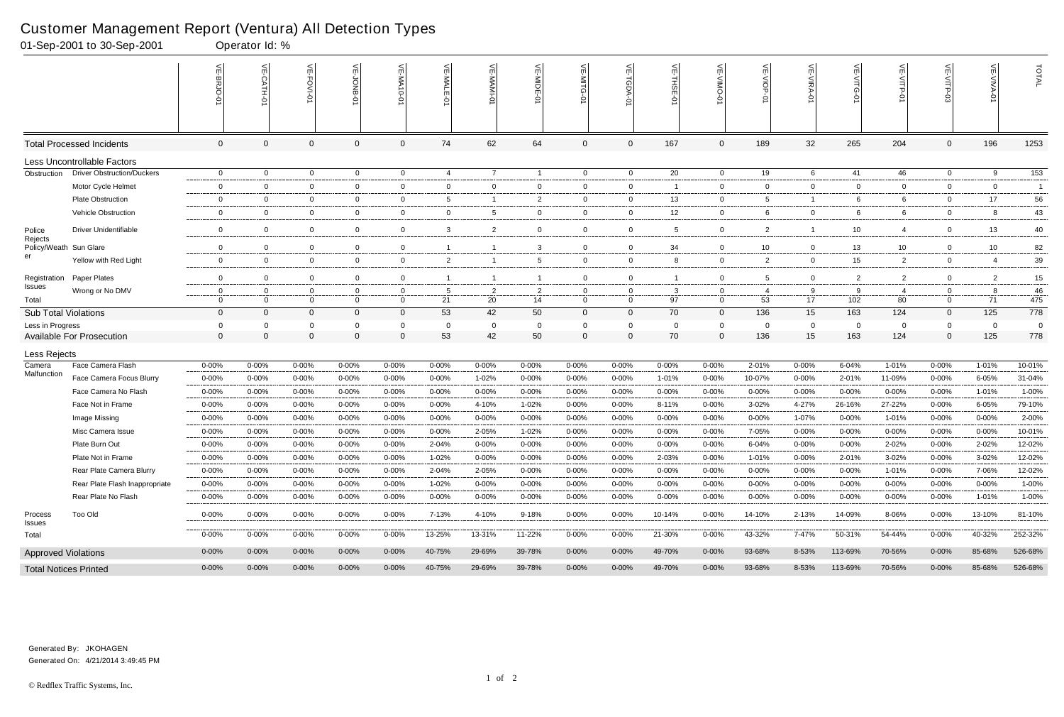# Customer Management Report (Ventura) All Detection Types<br>01-Sep-2001 to 30-Sep-2001<br>00erator Id: %

|                                   | 01-Sep-2001 to 30-Sep-2001        |                  | Operator Id: % |                |                | $\sim$ 1         |                |                |                |                |                |                        |                |                 |                |                 |                   |                |                       |                |
|-----------------------------------|-----------------------------------|------------------|----------------|----------------|----------------|------------------|----------------|----------------|----------------|----------------|----------------|------------------------|----------------|-----------------|----------------|-----------------|-------------------|----------------|-----------------------|----------------|
|                                   |                                   | VE-BRJO-<br>ó    |                | VE-FOVI-0      | VE-JONB-01     | <b>VE-MA10-0</b> | VE-MALE-01     | VE-MAMI-0      | VE-MIDE-0      | VE-MITG        | 늦              | $\widetilde{\pi}$<br>Ċ | VE-VIMO-       | VE-VIOP-<br>ò   | VE-VIRA-01     | VE-VITG-0       | $V = \sqrt{TP-9}$ | VE-VITP-03     | 늰<br><b>AIVA</b><br>Ó | TOTAL          |
|                                   | <b>Total Processed Incidents</b>  | $\boldsymbol{0}$ | 0              | $\mathbf 0$    | $\mathbf 0$    | 0                | 74             | 62             | 64             | $\mathbf 0$    | $\mathbf 0$    | 167                    | $\mathbf 0$    | 189             | 32             | 265             | 204               | $\mathbf 0$    | 196                   | 1253           |
|                                   | Less Uncontrollable Factors       |                  |                |                |                |                  |                |                |                |                |                |                        |                |                 |                |                 |                   |                |                       |                |
| Obstruction                       | <b>Driver Obstruction/Duckers</b> | $\mathbf 0$      | $\overline{0}$ | $\mathbf 0$    | $\mathbf 0$    | $\mathbf 0$      | $\overline{4}$ | $\overline{7}$ |                | $\mathbf 0$    | $\mathbf 0$    | 20                     | $\overline{0}$ | 19              | 6              | 41              | 46                | $\mathbf{0}$   | 9                     | 153            |
|                                   | Motor Cycle Helmet                | $\mathbf 0$      | $\mathbf 0$    | $\overline{0}$ | $\mathbf{0}$   | 0                | $\overline{0}$ | $\overline{0}$ | $\overline{0}$ | $\overline{0}$ | $\mathbf{0}$   | - 1                    | $\overline{0}$ | $\overline{0}$  | $\overline{0}$ | $\overline{0}$  | $\overline{0}$    | $\mathbf 0$    | $\overline{0}$        | $\overline{1}$ |
|                                   | <b>Plate Obstruction</b>          | $\overline{0}$   | $\overline{0}$ | $\overline{0}$ | $\mathbf 0$    | $\overline{0}$   | 5              | $\overline{1}$ | $\overline{2}$ | $\overline{0}$ | $\mathbf 0$    | 13                     | $\overline{0}$ | $5\phantom{.0}$ | -1             | 6               | 6                 | $\mathbf 0$    | 17                    | 56             |
|                                   | Vehicle Obstruction               | $\overline{0}$   | $\mathbf 0$    | $\overline{0}$ | $\mathbf 0$    | 0                | $\overline{0}$ | 5              | $\mathbf 0$    | $\overline{0}$ | $\mathbf 0$    | 12                     | $\overline{0}$ | 6               | $\overline{0}$ | 6               | 6                 | $\mathbf 0$    | 8                     | 43             |
| Police                            | <b>Driver Unidentifiable</b>      | $\mathbf 0$      | $\overline{0}$ | $\mathbf 0$    | $\mathbf 0$    | $\mathbf 0$      | $\mathbf{3}$   | $\overline{2}$ | $\mathbf 0$    | $\mathbf 0$    | $\mathbf 0$    | 5                      | $\mathbf 0$    | $\overline{2}$  |                | 10 <sup>1</sup> | $\overline{4}$    | $\Omega$       | 13                    | 40             |
| Rejects<br>Policy/Weath Sun Glare |                                   | $\overline{0}$   | $\mathbf 0$    | $\mathbf 0$    | $\mathbf{0}$   | 0                | 1              |                | 3              | $\mathbf 0$    | 0              | 34                     | $\mathbf 0$    | 10              | $\overline{0}$ | 13              | 10                | $\mathbf 0$    | 10                    | 82             |
| er                                | Yellow with Red Light             | $\mathbf 0$      | $\mathbf 0$    | $\mathbf 0$    | $\overline{0}$ | 0                | $\overline{2}$ | -1             | 5              | $\overline{0}$ | 0              | 8                      | $\overline{0}$ | $\overline{2}$  | $\mathbf 0$    | 15 <sub>1</sub> | $\overline{2}$    | $\mathbf 0$    | 4                     | 39             |
| Registration                      | Paper Plates                      | $\mathbf 0$      | $\mathbf 0$    | $\Omega$       | $\mathbf 0$    | $\mathbf 0$      | $\overline{1}$ | $\overline{1}$ |                | $\mathbf 0$    | $\mathbf 0$    | -1                     | $\overline{0}$ | 5               | $\overline{0}$ | $\overline{2}$  | $\overline{2}$    | $\mathbf 0$    | 2                     | 15             |
| <b>Issues</b>                     | Wrong or No DMV                   | $\overline{0}$   | $\Omega$       | 0              | $\overline{0}$ | 0                | 5              | $\overline{2}$ | $\overline{2}$ | $\mathbf 0$    | 0              | $\mathbf{3}$           | 0              | 4               | 9              | 9               | 4                 | 0              | 8                     | 46             |
| Total                             |                                   | $\mathbf 0$      | $\overline{0}$ | $\Omega$       | $\mathbf 0$    | $\overline{0}$   | 21             | 20             | 14             | $\Omega$       | $\overline{0}$ | 97                     | $\overline{0}$ | 53              | 17             | 102             | 80                | $\Omega$       | 71                    | 475            |
| <b>Sub Total Violations</b>       |                                   | $\overline{0}$   | $\Omega$       | $\Omega$       | $\overline{0}$ | $\mathbf 0$      | 53             | 42             | 50             | $\overline{0}$ | $\overline{0}$ | 70                     | $\mathbf{0}$   | 136             | 15             | 163             | 124               | $\overline{0}$ | 125                   | 778            |
| Less in Progress                  |                                   | $\mathbf 0$      | $\Omega$       | $\Omega$       | 0              | $\Omega$         | $\Omega$       | $\mathbf{0}$   |                | $\Omega$       | 0              | $\Omega$               | $\Omega$       | $\overline{0}$  | $\overline{0}$ | $\Omega$        | $\mathbf 0$       | $\Omega$       | $\Omega$              | $\overline{0}$ |
|                                   | <b>Available For Prosecution</b>  | $\overline{0}$   | $\mathbf{0}$   | $\mathbf 0$    | $\Omega$       | 0                | 53             | 42             | 50             | $\overline{0}$ | $\mathbf 0$    | 70                     | $\mathbf{0}$   | 136             | 15             | 163             | 124               | $\Omega$       | 125                   | 778            |
| Less Rejects                      |                                   |                  |                |                |                |                  |                |                |                |                |                |                        |                |                 |                |                 |                   |                |                       |                |
| Camera<br>Malfunction             | Face Camera Flash                 | $0 - 00%$        | 0-00%          | $0 - 00\%$     | $0 - 00\%$     | $0 - 00%$        | 0-00%          | $0 - 00%$      | $0 - 00%$      | $0 - 00\%$     | $0 - 00%$      | $0 - 00%$              | $0 - 00%$      | 2-01%           | $0 - 00%$      | 6-04%           | 1-01%             | $0 - 00%$      | 1-01%                 | 10-01%         |
|                                   | Face Camera Focus Blurry          | $0 - 00%$        | $0 - 00%$      | $0 - 00%$      | $0 - 00%$      | $0 - 00%$        | $0 - 00%$      | 1-02%          | 0-00%          | $0 - 00%$      | $0 - 00%$      | 1-01%                  | $0 - 00%$      | 10-07%          | $0 - 00%$      | 2-01%           | 11-09%            | $0 - 00%$      | 6-05%                 | 31-04%         |
|                                   | Face Camera No Flash              | $0 - 00%$        | $0 - 00%$      | $0 - 00%$      | $0 - 00%$      | $0 - 00%$        | $0 - 00%$      | 0-00%          | $0 - 00%$      | $0 - 00%$      | $0 - 00%$      | $0 - 00%$              | $0 - 00%$      | $0 - 00%$       | $0 - 00%$      | 0-00%           | $0 - 00%$         | $0 - 00%$      | 1-01%                 | 1-00%          |
|                                   | Face Not in Frame                 | $0 - 00%$        | 0-00%          | $0 - 00%$      | 0-00%          | $0 - 00%$        | $0 - 00%$      | 4-10%          | 1-02%          | $0 - 00%$      | $0 - 00%$      | 8-11%                  | 0-00%          | $3 - 02%$       | 4-27%          | 26-16%          | 27-22%            | $0 - 00%$      | 6-05%                 | 79-10%         |
|                                   | Image Missing                     | $0 - 00%$        | $0 - 00%$      | 0-00%          | 0-00%          | $0 - 00%$        | 0-00%          | 0-00%          | 0-00%          | $0 - 00%$      | $0 - 00%$      | $0 - 00%$              | 0-00%          | $0 - 00%$       | 1-07%          | 0-00%           | 1-01%             | $0 - 00%$      | $0 - 00%$             | 2-00%          |
|                                   | Misc Camera Issue                 | $0 - 00%$        | $0 - 00%$      | $0 - 00%$      | $0 - 00%$      | $0 - 00%$        | $0 - 00%$      | 2-05%          | $1 - 02%$      | $0 - 00%$      | $0 - 00%$      | $0 - 00%$              | $0 - 00%$      | 7-05%           | $0 - 00%$      | $0 - 00%$       | $0 - 00%$         | $0 - 00%$      | $0 - 00%$             | 10-01%         |
|                                   | Plate Burn Out                    | $0 - 00%$        | 0-00%          | 0-00%          | $0 - 00\%$     | $0 - 00%$        | 2-04%          | $0 - 00%$      | 0-00%          | $0 - 00\%$     | $0 - 00%$      | $0 - 00%$              | $0 - 00\%$     | $6 - 04%$       | $0 - 00%$      | 0-00%           | 2-02%             | $0 - 00%$      | 2-02%                 | 12-02%         |
|                                   | Plate Not in Frame                | $0 - 00%$        | 0-00%          | $0 - 00%$      | $0 - 00%$      | $0 - 00%$        | 1-02%          | $0 - 00%$      | 0-00%          | $0 - 00%$      | $0 - 00%$      | 2-03%                  | $0 - 00%$      | 1-01%           | $0 - 00%$      | 2-01%           | 3-02%             | $0 - 00%$      | 3-02%                 | 12-02%         |
|                                   | Rear Plate Camera Blurry          | $0 - 00%$        | $0 - 00%$      | $0 - 00\%$     | $0 - 00%$      | $0 - 00%$        | 2-04%          | 2-05%          | $0 - 00\%$     | $0 - 00%$      | 0-00%          | $0 - 00%$              | $0 - 00%$      | 0-00%           | $0 - 00%$      | $0 - 00%$       | 1-01%             | $0 - 00%$      | 7-06%                 | 12-02%         |
|                                   | Rear Plate Flash Inappropriate    | $0 - 00%$        | $0 - 00%$      | $0 - 00\%$     | $0 - 00%$      | $0 - 00%$        | 1-02%          | $0 - 00%$      | $0 - 00%$      | $0 - 00%$      | $0 - 00%$      | $0 - 00%$              | $0 - 00%$      | $0 - 00\%$      | $0 - 00%$      | $0 - 00%$       | $0 - 00%$         | $0 - 00%$      | $0 - 00\%$            | 1-00%          |
|                                   | Rear Plate No Flash               | 0-00%            | $0 - 00\%$     | 0-00%          | 0-00%          | $0 - 00%$        | $0 - 00%$      | 0-00%          | 0-00%          | 0-00%          | 0-00%          | 0-00%                  | 0-00%          | 0-00%           | $0 - 00%$      | $0 - 00%$       | 0-00%             | 0-00%          | 1-01%                 | 1-00%          |
| Process<br>Issues                 | Too Old                           | $0 - 00%$        | $0 - 00\%$     | $0 - 00\%$     | $0 - 00\%$     | $0 - 00%$        | 7-13%          | 4-10%          | 9-18%          | $0 - 00\%$     | $0 - 00\%$     | 10-14%                 | 0-00%          | 14-10%          | $2 - 13%$      | 14-09%          | 8-06%             | 0-00%          | 13-10%                | 81-10%         |
| Total                             |                                   | $0 - 00%$        | $0 - 00\%$     | $0 - 00\%$     | 0-00%          | $0 - 00%$        | 13-25%         | 13-31%         | 11-22%         | 0-00%          | $0 - 00%$      | 21-30%                 | 0-00%          | 43-32%          | 7-47%          | 50-31%          | 54-44%            | 0-00%          | 40-32%                | 252-32%        |
| <b>Approved Violations</b>        |                                   | $0 - 00%$        | $0 - 00\%$     | $0 - 00\%$     | $0 - 00\%$     | $0 - 00\%$       | 40-75%         | 29-69%         | 39-78%         | $0 - 00\%$     | $0 - 00\%$     | 49-70%                 | $0 - 00\%$     | 93-68%          | 8-53%          | 113-69%         | 70-56%            | $0 - 00\%$     | 85-68%                | 526-68%        |
| <b>Total Notices Printed</b>      |                                   | $0 - 00\%$       | $0 - 00\%$     | $0 - 00\%$     | $0 - 00\%$     | $0 - 00\%$       | 40-75%         | 29-69%         | 39-78%         | $0 - 00\%$     | $0 - 00\%$     | 49-70%                 | $0 - 00\%$     | 93-68%          | 8-53%          | 113-69%         | 70-56%            | $0 - 00\%$     | 85-68%                | 526-68%        |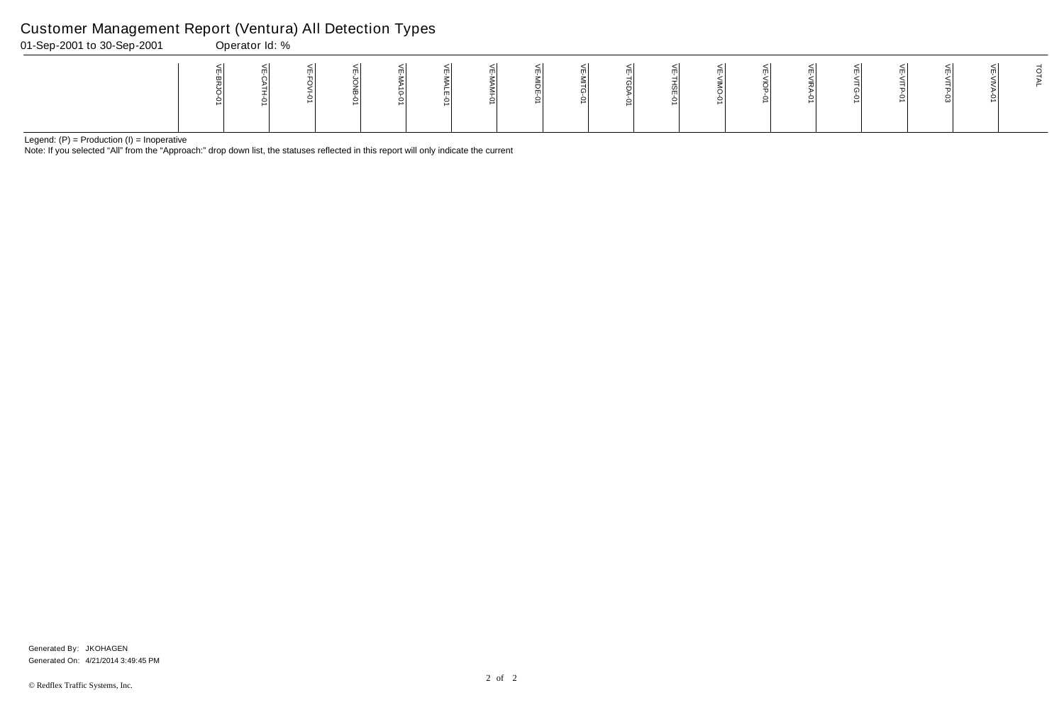Note: If you selected "All" from the "Approach:" drop down list, the statuses reflected in this report will only indicate the current

#### Customer Management Report (Ventura) All Detection Types

| 01-Sep-2001 to 30-Sep-2001 | Operator Id: % |  |  |  |  |   |  |  |  |  |  |
|----------------------------|----------------|--|--|--|--|---|--|--|--|--|--|
|                            |                |  |  |  |  | ∸ |  |  |  |  |  |

Generated On: 4/21/2014 3:49:45 PM Generated By: JKOHAGEN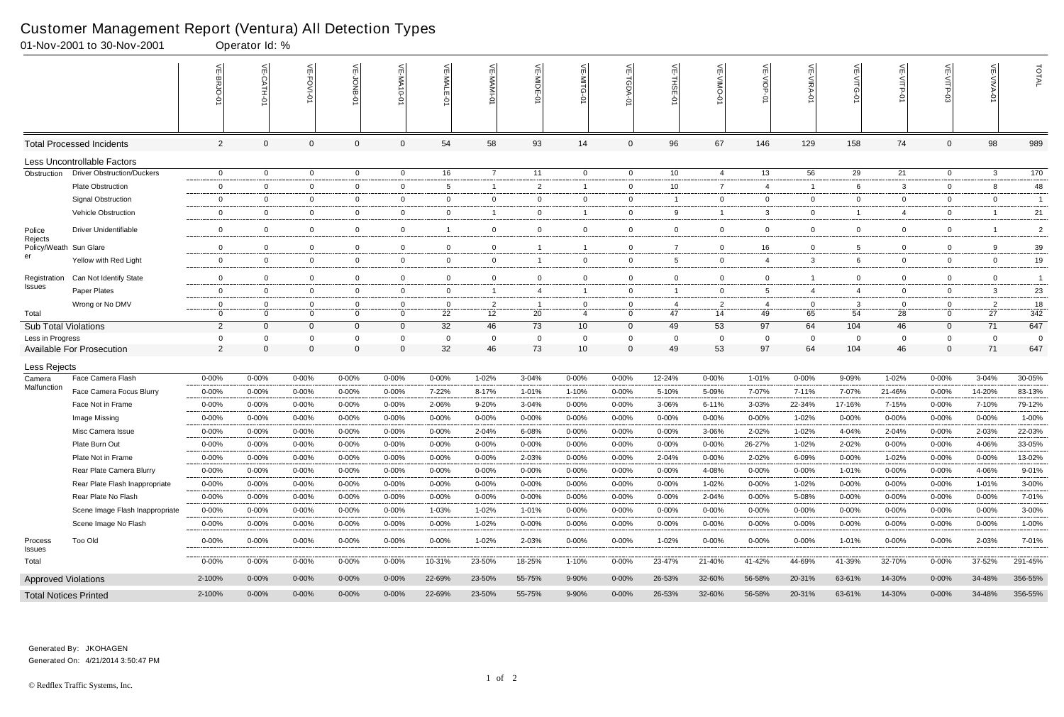|                            | 01-Nov-2001 to 30-Nov-2001        |                            | Operator Id: %       |                               |                                  |                     |                    |                      |                |                             |                            |                |                      |                |                |                 |                      |                            |                      |                |
|----------------------------|-----------------------------------|----------------------------|----------------------|-------------------------------|----------------------------------|---------------------|--------------------|----------------------|----------------|-----------------------------|----------------------------|----------------|----------------------|----------------|----------------|-----------------|----------------------|----------------------------|----------------------|----------------|
|                            |                                   |                            | $\leq$<br>CATH-0     | اٺ<br>FOVI-01                 | 녽                                | VE-MA'<br>$-0-0$    | VE-MALE<br>ò       | 는                    | VE-MIDE-01     | VE-MITG-<br>$\dot{\varphi}$ | VE-TGDA-0                  | VE-THSE-01     | VE-VIMO-01           | VE-VIOP-07     | VE-VIRA-01     | ے<br>VITG-<br>Ş | VE-VITP-01           |                            | $\leq$               | TOTAL          |
|                            | <b>Total Processed Incidents</b>  | $\overline{2}$             | $\Omega$             | $\Omega$                      | $\mathbf 0$                      | $\Omega$            | 54                 | 58                   | 93             | 14                          | $\mathbf 0$                | 96             | 67                   | 146            | 129            | 158             | 74                   | $\mathbf 0$                | 98                   | 989            |
|                            | Less Uncontrollable Factors       |                            |                      |                               |                                  |                     |                    |                      |                |                             |                            |                |                      |                |                |                 |                      |                            |                      |                |
| Obstruction                | <b>Driver Obstruction/Duckers</b> | $\mathbf{0}$               | $\overline{0}$       | $\overline{0}$                | $\overline{0}$                   | $\mathbf{0}$        | 16                 | $\overline{7}$       | 11             | $\overline{0}$              | $\overline{0}$             | 10             | $\overline{4}$       | 13             | 56             | 29              | 21                   | $\overline{0}$             | $\mathbf{3}$         | 170            |
|                            | Plate Obstruction                 | $\overline{0}$             | $\Omega$             | $\mathbf 0$                   | $\mathbf 0$                      | 0                   | 5                  | $\overline{1}$       | $\overline{2}$ | -1                          | 0                          | 10             | $\overline{7}$       | 4              | -1             | 6               | 3                    | $\mathbf 0$                | 8                    | 48             |
|                            | <b>Signal Obstruction</b>         | $\overline{0}$             | $\Omega$             | $\overline{0}$                | $\overline{0}$                   | 0                   | $\mathbf{0}$       | $\overline{0}$       | $\mathbf 0$    | $\mathbf{0}$                | 0                          | - 1            | $\mathbf{0}$         | $\overline{0}$ | $\overline{0}$ | 0               | $\overline{0}$       | $\mathbf 0$                | $\mathbf 0$          | $\overline{1}$ |
|                            | Vehicle Obstruction               | $\mathbf 0$                | $\Omega$             | $\overline{0}$                | 0                                | 0                   | $\overline{0}$     |                      | $\mathbf 0$    |                             | $\mathbf 0$                | 9              |                      | 3              | $\overline{0}$ |                 | $\overline{4}$       | $\mathbf 0$                |                      | 21             |
| Police                     | <b>Driver Unidentifiable</b>      | $\mathbf 0$                | $\Omega$             | $\overline{0}$                | $\mathbf 0$                      | 0                   |                    | $\overline{0}$       | $\mathbf 0$    | $\mathbf 0$                 | $\overline{0}$             | $\overline{0}$ | $\mathbf 0$          | $\mathbf 0$    | $\mathbf 0$    | $\mathbf 0$     | $\overline{0}$       | $\mathbf 0$                |                      | $\overline{2}$ |
| Rejects<br>Policy/Weath    | Sun Glare                         | $\mathbf 0$                | $\Omega$             | $\mathbf 0$                   | 0                                | 0                   | $\mathbf 0$        | $\mathbf 0$          |                |                             | $\mathbf 0$                | $\overline{7}$ | 0                    | 16             | $\overline{0}$ | 5               | $\mathbf 0$          | $\mathbf 0$                | 9                    | 39             |
| er                         | Yellow with Red Light             | $\mathbf 0$                | $\overline{0}$       | $\overline{0}$                | $\mathbf 0$                      | $\overline{0}$      | $\mathbf{0}$       | $\overline{0}$       |                | $\overline{0}$              | $\mathbf 0$                | 5              | $\mathbf{0}$         | 4              | 3              | 6               | $\overline{0}$       | $\mathbf 0$                | $\overline{0}$       | 19             |
|                            |                                   |                            |                      |                               |                                  |                     |                    |                      |                |                             |                            |                |                      |                |                |                 |                      |                            |                      |                |
| Registration<br>Issues     | Can Not Identify State            | $\overline{0}$             | $\Omega$             | $\overline{0}$                | 0                                | 0                   | $\overline{0}$     | $\mathbf 0$          | $\mathbf 0$    | $\overline{0}$              | $\mathbf 0$                | $\overline{0}$ | $\mathbf{0}$         | $\overline{0}$ |                | 0               | $\overline{0}$       | $\mathbf 0$                | $\overline{0}$       | $\overline{1}$ |
|                            | Paper Plates                      | $\mathbf 0$                | $\Omega$             | $\mathbf 0$                   | $\mathbf 0$                      | 0                   | $\mathbf 0$        | $\overline{1}$       | $\overline{4}$ |                             | $\mathbf 0$                | -1             | $\mathbf{0}$         | 5              | $\overline{4}$ | 4               | $\mathbf 0$          | $\mathbf 0$                | $\mathbf{3}$         | 23             |
| Total                      | Wrong or No DMV                   | $\mathbf 0$<br>$\mathbf 0$ | $\Omega$<br>$\Omega$ | $\overline{0}$<br>$\mathbf 0$ | $\overline{0}$<br>$\overline{0}$ | 0<br>$\overline{0}$ | $\mathbf{0}$<br>22 | $\overline{2}$<br>12 | 20             | 0<br>4                      | $\mathbf 0$<br>$\mathbf 0$ | - 4<br>47      | $\overline{2}$<br>14 | 4<br>49        | 0<br>65        | -3<br>54        | $\overline{0}$<br>28 | $\mathbf 0$<br>$\mathbf 0$ | $\overline{2}$<br>27 | 18<br>342      |
| Sub Total Violations       |                                   | $\overline{2}$             | $\Omega$             | $\overline{0}$                | $\overline{0}$                   | $\overline{0}$      | 32                 | 46                   | 73             | 10 <sup>1</sup>             | $\mathbf{0}$               | 49             | 53                   | 97             | 64             | 104             | 46                   | $\mathbf 0$                | 71                   | 647            |
| Less in Progress           |                                   | 0                          |                      | 0                             | 0                                | 0                   | $\Omega$           | $\overline{0}$       | $\mathbf 0$    | 0                           | $\mathbf 0$                | 0              | 0                    | $\overline{0}$ | $\Omega$       | -0              | 0                    | $\mathbf 0$                | - 0                  | $\mathbf 0$    |
|                            | <b>Available For Prosecution</b>  | $\overline{2}$             | $\Omega$             | $\Omega$                      | $\mathbf 0$                      | $\Omega$            | 32                 | 46                   | 73             | 10 <sup>°</sup>             | $\overline{0}$             | 49             | 53                   | 97             | 64             | 104             | 46                   | $\Omega$                   | 71                   | 647            |
| Less Rejects               |                                   |                            |                      |                               |                                  |                     |                    |                      |                |                             |                            |                |                      |                |                |                 |                      |                            |                      |                |
| Camera                     | Face Camera Flash                 | $0 - 00%$                  | 0-00%                | $0 - 00\%$                    | $0 - 00\%$                       | $0 - 00%$           | $0 - 00\%$         | 1-02%                | 3-04%          | $0 - 00%$                   | $0 - 00\%$                 | 12-24%         | $0 - 00%$            | 1-01%          | $0 - 00\%$     | 9-09%           | 1-02%                | $0 - 00\%$                 | 3-04%                | 30-05%         |
| Malfunction                | Face Camera Focus Blurry          | $0 - 00%$                  | $0 - 00%$            | $0 - 00%$                     | $0 - 00%$                        | $0 - 00%$           | 7-22%              | 8-17%                | 1-01%          | 1-10%                       | $0 - 00%$                  | 5-10%          | 5-09%                | 7-07%          | 7-11%          | 7-07%           | 21-46%               | 0-00%                      | 14-20%               | 83-13%         |
|                            | Face Not in Frame                 | $0 - 00%$                  | $0 - 00%$            | $0 - 00%$                     | $0 - 00%$                        | $0 - 00%$           | 2-06%              | 9-20%                | 3-04%          | $0 - 00%$                   | 0-00%                      | 3-06%          | 6-11%                | 3-03%          | 22-34%         | 17-16%          | 7-15%                | $0 - 00%$                  | 7-10%                | 79-12%         |
|                            | Image Missing                     | $0 - 00%$                  | $0 - 00%$            | $0 - 00%$                     | $0 - 00%$                        | $0 - 00%$           | $0 - 00%$          | $0 - 00%$            | 0-00%          | $0 - 00%$                   | $0 - 00%$                  | $0 - 00%$      | 0-00%                | $0 - 00%$      | 1-02%          | 0-00%           | 0-00%                | 0-00%                      | $0 - 00%$            | 1-00%          |
|                            | Misc Camera Issue                 | $0 - 00%$                  | 0-00%                | 0-00%                         | $0 - 00%$                        | $0 - 00%$           | $0 - 00\%$         | 2-04%                | 6-08%          | 0-00%                       | $0 - 00%$                  | $0 - 00%$      | 3-06%                | 2-02%          | 1-02%          | 4-04%           | 2-04%                | $0 - 00%$                  | 2-03%                | 22-03%         |
|                            | Plate Burn Out                    | $0 - 00%$                  | 0-00%                | $0 - 00\%$                    | $0 - 00%$                        | $0 - 00%$           | $0 - 00%$          | $0 - 00%$            | 0-00%          | $0 - 00%$                   | $0 - 00%$                  | $0 - 00%$      | 0-00%                | 26-27%         | 1-02%          | 2-02%           | 0-00%                | $0 - 00%$                  | 4-06%                | 33-05%         |
|                            | Plate Not in Frame                | 0-00%                      | 0-00%                | $0 - 00%$                     | 0-00%                            | 0-00%               | $0 - 00\%$         | $0 - 00%$            | 2-03%          | $0 - 00%$                   | 0-00%                      | 2-04%          | $0 - 00%$            | 2-02%          | 6-09%          | 0-00%           | 1-02%                | $0 - 00%$                  | $0 - 00%$            | 13-02%         |
|                            | Rear Plate Camera Blurry          | $0 - 00%$                  | $0 - 00\%$           | $0 - 00\%$                    | $0 - 00%$                        | $0 - 00%$           | $0 - 00\%$         | $0 - 00%$            | $0 - 00%$      | $0 - 00%$                   | $0 - 00\%$                 | $0 - 00%$      | 4-08%                | $0 - 00\%$     | $0 - 00\%$     | 1-01%           | 0-00%                | 0-00%                      | 4-06%                | 9-01%          |
|                            | Rear Plate Flash Inappropriate    | $0 - 00%$                  | $0 - 00\%$           | $0 - 00\%$                    | $0 - 00%$                        | $0 - 00%$           | 0-00%              | $0 - 00%$            | $0 - 00%$      | $0 - 00%$                   | 0-00%                      | $0 - 00%$      | $1 - 02%$            | $0 - 00\%$     | 1-02%          | $0 - 00%$       | 0-00%                | $0 - 00\%$                 | 1-01%                | 3-00%          |
|                            | Rear Plate No Flash               | $0 - 00%$                  | $0 - 00\%$           | 0-00%                         | $0 - 00%$                        | $0 - 00\%$          | $0 - 00\%$         | 0-00%                | $0 - 00%$      | $0 - 00%$                   | $0 - 00\%$                 | $0 - 00%$      | 2-04%                | $0 - 00%$      | 5-08%          | $0 - 00%$       | 0-00%                | $0 - 00%$                  | $0 - 00\%$           | 7-01%          |
|                            | Scene Image Flash Inappropriate   | $0 - 00\%$                 | $0 - 00\%$           | $0 - 00\%$                    | $0 - 00%$                        | $0 - 00%$           | 1-03%              | 1-02%                | 1-01%          | $0 - 00\%$                  | 0-00%                      | $0 - 00%$      | $0 - 00%$            | $0 - 00\%$     | $0 - 00\%$     | $0 - 00%$       | $0 - 00%$            | $0 - 00\%$                 | $0 - 00\%$           | 3-00%          |
|                            | Scene Image No Flash              | $0 - 00%$                  | $0 - 00\%$           | 0-00%                         | 0-00%                            | 0-00%               | 0-00%              | 1-02%                | $0 - 00%$      | 0-00%                       | $0 - 00\%$                 | $0 - 00%$      | $0 - 00\%$           | $0 - 00\%$     | $0 - 00\%$     | $0 - 00%$       | $0 - 00\%$           | $0 - 00\%$                 | $0 - 00\%$           | 1-00%          |
| Process<br>Issues          | <b>Too Old</b>                    | $0 - 00\%$                 | $0 - 00%$            | $0 - 00\%$                    | $0 - 00\%$                       | $0 - 00\%$          | $0 - 00\%$         | 1-02%                | 2-03%          | $0 - 00\%$                  | $0 - 00\%$                 | 1-02%          | $0 - 00%$            | $0 - 00\%$     | $0 - 00\%$     | 1-01%           | 0-00%                | $0 - 00\%$                 | 2-03%                | 7-01%          |
| Total                      |                                   | $0 - 00%$                  | $0 - 00%$            | $0 - 00\%$                    | $0 - 00\%$                       | $0 - 00%$           | 10-31%             | 23-50%               | 18-25%         | $1 - 10%$                   | $0 - 00\%$                 | 23-47%         | 21-40%               | 41-42%         | 44-69%         | 41-39%          | 32-70%               | $0 - 00\%$                 | 37-52%               | 291-45%        |
| <b>Approved Violations</b> |                                   | 2-100%                     | $0 - 00\%$           | $0 - 00\%$                    | $0 - 00\%$                       | $0 - 00\%$          | 22-69%             | 23-50%               | 55-75%         | 9-90%                       | $0 - 00\%$                 | 26-53%         | 32-60%               | 56-58%         | 20-31%         | 63-61%          | 14-30%               | $0 - 00\%$                 | 34-48%               | 356-55%        |
|                            | <b>Total Notices Printed</b>      | 2-100%                     | $0 - 00\%$           | $0 - 00\%$                    | $0 - 00\%$                       | $0 - 00\%$          | 22-69%             | 23-50%               | 55-75%         | 9-90%                       | $0 - 00\%$                 | 26-53%         | 32-60%               | 56-58%         | 20-31%         | 63-61%          | 14-30%               | $0 - 00\%$                 | 34-48%               | 356-55%        |

Generated On: 4/21/2014 3:50:47 PM Generated By: JKOHAGEN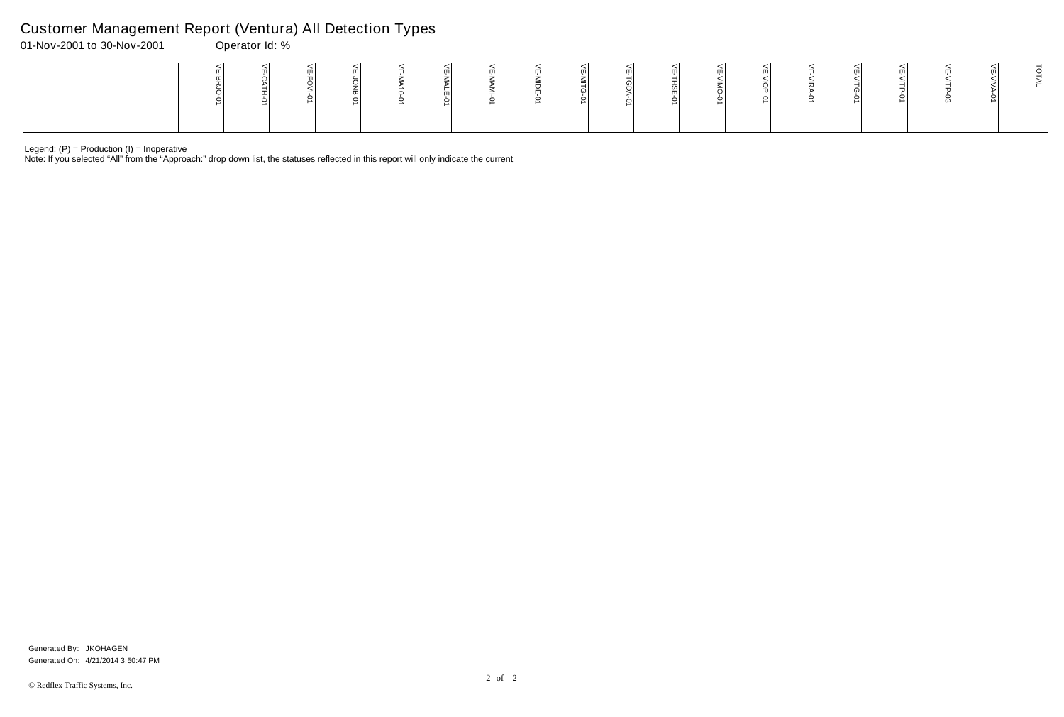Note: If you selected "All" from the "Approach:" drop down list, the statuses reflected in this report will only indicate the current

# Customer Management Report (Ventura) All Detection Types

| 01-Nov-2001 to 30-Nov-2001 | Operator Id: % |  |  |  |  |  |  |  |  |  |
|----------------------------|----------------|--|--|--|--|--|--|--|--|--|
|                            |                |  |  |  |  |  |  |  |  |  |

Generated On: 4/21/2014 3:50:47 PM Generated By: JKOHAGEN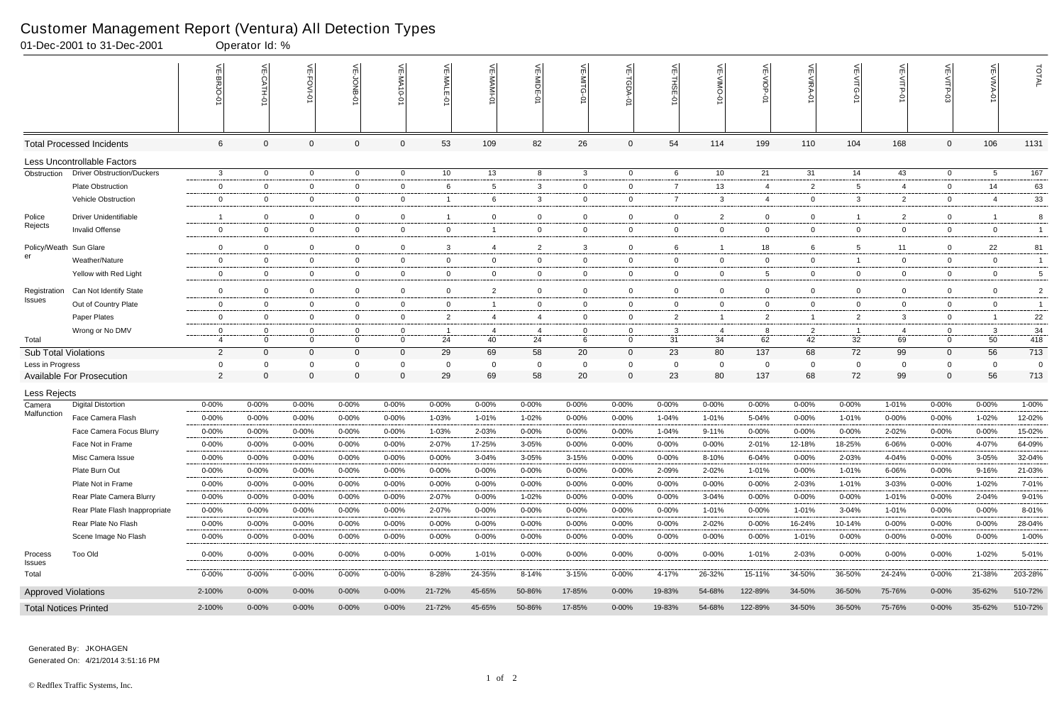|                             | 01-Dec-2001 to 31-Dec-2001                     |                  | Operator Id: % |                                  |                                  |                  |                               |                                                       |                |                               |                |                |                     |                            |                      |                |                |                |                |                                |
|-----------------------------|------------------------------------------------|------------------|----------------|----------------------------------|----------------------------------|------------------|-------------------------------|-------------------------------------------------------|----------------|-------------------------------|----------------|----------------|---------------------|----------------------------|----------------------|----------------|----------------|----------------|----------------|--------------------------------|
|                             |                                                |                  | VE-CATH-01     | VE-FOVI-01                       | 닞<br>$rac{5}{2}$                 | VE-MA10-01       | VE-MALE<br>ò                  | $\stackrel{\textstyle<}{\scriptstyle\sf m}$<br>-IMAM- | VE-MIDE-01     | 븻<br><b>MITG</b><br>$\vec{q}$ | VE-TGDA-0      | VE-THSE-01     | ۴<br><b>NINO</b>    | VE-VIOP-01                 | VE-VIRA-01           | 닞<br>-VITG-01  | VE-VITP-01     |                | VE-VIVA-0      | TOTAL                          |
|                             | <b>Total Processed Incidents</b>               | 6                | $\Omega$       | $\Omega$                         | $\mathbf 0$                      | $\overline{0}$   | 53                            | 109                                                   | 82             | 26                            | $\mathbf 0$    | 54             | 114                 | 199                        | 110                  | 104            | 168            | $\mathbf 0$    | 106            | 1131                           |
|                             | Less Uncontrollable Factors                    |                  |                |                                  |                                  |                  |                               |                                                       |                |                               |                |                |                     |                            |                      |                |                |                |                |                                |
| Obstruction                 | <b>Driver Obstruction/Duckers</b>              | 3                | $\overline{0}$ | $\overline{0}$                   | $\overline{0}$                   | $\overline{0}$   | 10 <sup>°</sup>               | 13                                                    | 8              | $\mathbf{3}$                  | $\overline{0}$ | 6              | 10                  | 21                         | 31                   | 14             | 43             | $\overline{0}$ | 5              | $\frac{167}{ }$                |
|                             | <b>Plate Obstruction</b>                       | $\mathbf 0$      | $\Omega$       | $\overline{0}$                   | $\mathbf 0$                      | 0                | 6                             | $5\phantom{.0}$                                       | 3              | $\overline{0}$                | $\overline{0}$ | $\overline{7}$ | 13                  | $\overline{4}$             | 2                    | 5              | $\overline{4}$ | 0              | 14             | 63                             |
|                             | Vehicle Obstruction                            | 0                | 0              | $\overline{0}$                   | $\overline{0}$                   | 0                | -1                            | 6                                                     | -3             | $\mathbf{0}$                  | $\overline{0}$ | $\overline{7}$ | 3                   | 4                          | $\mathbf 0$          | 3              | $\overline{2}$ | 0              | 4              | 33                             |
| Police                      | <b>Driver Unidentifiable</b>                   | -1               | $\mathbf 0$    | $\overline{0}$                   | $\overline{0}$                   | $\overline{0}$   | $\mathbf{1}$                  | $\mathbf 0$                                           | $\overline{0}$ | $\overline{0}$                | $\mathbf{0}$   | $\overline{0}$ | 2                   | $\mathbf 0$                | $\overline{0}$       |                | $\overline{2}$ | $\overline{0}$ | -1             | 8                              |
| Rejects                     | <b>Invalid Offense</b>                         | $\mathbf 0$      | $\Omega$       | $\overline{0}$                   | $\overline{0}$                   | $\mathbf 0$      | $\overline{0}$                | $\overline{1}$                                        | $\overline{0}$ | $\overline{0}$                | $\overline{0}$ | $\overline{0}$ | $\overline{0}$      | $\mathbf 0$                | $\overline{0}$       | $\overline{0}$ | $\overline{0}$ | $\overline{0}$ | $\overline{0}$ | $\overline{1}$                 |
| Policy/Weath                | Sun Glare                                      | 0                | $\Omega$       | $\overline{0}$                   | 0                                | 0                | 3                             | $\overline{4}$                                        | $\overline{2}$ | 3                             | $\mathbf 0$    | - 6            |                     | 18                         | 6                    | 5              | 11             | $\mathbf 0$    | 22             | 81                             |
| er                          | Weather/Nature                                 | $\mathbf 0$      | $\mathbf 0$    | $\overline{0}$                   | $\overline{0}$                   | $\mathbf 0$      | $\mathbf{0}$                  | $\mathbf 0$                                           | $\overline{0}$ | $\overline{0}$                | $\overline{0}$ | $\overline{0}$ | $\mathbf 0$         | $\mathbf 0$                | $\overline{0}$       |                | $\overline{0}$ | $\mathbf 0$    | $\overline{0}$ | $\mathbf{1}$                   |
|                             | Yellow with Red Light                          | $\mathbf{0}$     | $\mathbf 0$    | $\overline{0}$                   | $\overline{0}$                   | $\mathbf 0$      | $\mathbf 0$                   | $\overline{0}$                                        | $\overline{0}$ | $\mathbf{0}$                  | $\overline{0}$ | $\overline{0}$ | 0                   | 5                          | $\mathbf{0}$         | $\overline{0}$ | $\overline{0}$ | 0              | $\mathbf{0}$   | 5                              |
|                             |                                                |                  | $\Omega$       |                                  |                                  |                  |                               |                                                       | $\overline{0}$ |                               | $\mathbf 0$    | 0              |                     |                            | $\Omega$             | $\mathbf 0$    | $\mathbf 0$    | $\mathbf 0$    | $\mathbf 0$    |                                |
| Registration<br>Issues      | Can Not Identify State<br>Out of Country Plate | 0<br>$\mathbf 0$ | $\overline{0}$ | $\overline{0}$<br>$\overline{0}$ | $\overline{0}$<br>$\overline{0}$ | 0<br>$\mathbf 0$ | $\mathbf 0$<br>$\overline{0}$ | $\overline{2}$<br>$\overline{1}$                      | $\overline{0}$ | 0<br>$\overline{0}$           | $\overline{0}$ | $\overline{0}$ | 0<br>$\overline{0}$ | $\mathbf 0$<br>$\mathbf 0$ | $\overline{0}$       | $\overline{0}$ | $\overline{0}$ | $\mathbf 0$    | $\overline{0}$ | $\overline{2}$<br>$\mathbf{1}$ |
|                             | Paper Plates                                   | $\mathbf{0}$     | 0              | $\overline{0}$                   | $\mathbf{0}$                     | 0                | $\overline{2}$                | $\overline{4}$                                        | -4             | $\overline{0}$                | $\overline{0}$ | $\overline{2}$ |                     | $\overline{2}$             | $\overline{1}$       | $\overline{2}$ | 3              | 0              | -1             | 22                             |
|                             | Wrong or No DMV                                | $\mathbf 0$      | $\mathbf 0$    | $\mathbf 0$                      | $\overline{0}$                   | 0                | -1                            | 4                                                     |                | $\overline{0}$                | $\mathbf{0}$   | -3             | 4                   | 8                          |                      |                | 4              | $\mathbf 0$    | 3              | 34                             |
| Total                       |                                                | 4                | $\Omega$       | $\overline{0}$                   | $\overline{0}$                   | $\overline{0}$   | 24                            | 40                                                    | -4<br>24       | 6                             | $\mathbf{0}$   | 31             | 34                  | 62                         | $\overline{2}$<br>42 | 32             | 69             | $\overline{0}$ | 50             | 418                            |
| <b>Sub Total Violations</b> |                                                | $\overline{2}$   | $\Omega$       | $\overline{0}$                   | $\overline{0}$                   | $\mathbf 0$      | 29                            | 69                                                    | 58             | 20                            | $\mathbf{0}$   | 23             | 80                  | 137                        | 68                   | 72             | 99             | $\mathbf 0$    | 56             | 713                            |
| Less in Progress            |                                                | 0                | $\Omega$       | $\Omega$                         | $\mathbf 0$                      | 0                | $\mathbf 0$                   | $\mathbf 0$                                           | - 0            | 0                             | $\mathbf 0$    | $\Omega$       | $\overline{0}$      | 0                          | $\overline{0}$       | $\Omega$       | $\mathbf 0$    | 0              | 0              | 0                              |
|                             | <b>Available For Prosecution</b>               | $\overline{2}$   | $\Omega$       | $\Omega$                         | $\boldsymbol{0}$                 | $\Omega$         | 29                            | 69                                                    | 58             | 20                            | $\mathbf 0$    | 23             | 80                  | 137                        | 68                   | 72             | 99             | $\mathbf 0$    | 56             | 713                            |
| Less Rejects                |                                                |                  |                |                                  |                                  |                  |                               |                                                       |                |                               |                |                |                     |                            |                      |                |                |                |                |                                |
| Camera                      | <b>Digital Distortion</b>                      | 0-00%            | 0-00%          | $0 - 00%$                        | 0-00%                            | 0-00%            | $0 - 00%$                     | $0 - 00%$                                             | $0 - 00%$      | 0-00%                         | $0 - 00%$      | $0 - 00%$      | 0-00%               | $0 - 00%$                  | 0-00%                | 0-00%          | 1-01%          | 0-00%          | 0-00%          | 1-00%                          |
| Malfunction                 | Face Camera Flash                              | 0-00%            | $0 - 00%$      | 0-00%                            | 0-00%                            | 0-00%            | 1-03%                         | 1-01%                                                 | 1-02%          | $0 - 00%$                     | $0 - 00%$      | 1-04%          | 1-01%               | 5-04%                      | 0-00%                | 1-01%          | 0-00%          | 0-00%          | 1-02%          | 12-02%                         |
|                             | Face Camera Focus Blurry                       | 0-00%            | $0 - 00%$      | 0-00%                            | $0 - 00%$                        | $0 - 00%$        | 1-03%                         | 2-03%                                                 | $0 - 00%$      | 0-00%                         | $0 - 00\%$     | 1-04%          | $9 - 11%$           | $0 - 00%$                  | $0 - 00%$            | $0 - 00%$      | 2-02%          | $0 - 00%$      | 0-00%          | 15-02%                         |
|                             | Face Not in Frame                              | $0 - 00%$        | 0-00%          | $0 - 00%$                        | 0-00%                            | 0-00%            | 2-07%                         | 17-25%                                                | 3-05%          | 0-00%                         | 0-00%          | $0 - 00\%$     | 0-00%               | 2-01%                      | 12-18%               | 18-25%         | 6-06%          | $0 - 00%$      | 4-07%          | 64-09%                         |
|                             | Misc Camera Issue                              | 0-00%            | 0-00%          | $0 - 00%$                        | 0-00%                            | $0 - 00%$        | $0 - 00\%$                    | 3-04%                                                 | 3-05%          | $3 - 15%$                     | $0 - 00%$      | $0 - 00\%$     | 8-10%               | 6-04%                      | 0-00%                | 2-03%          | 4-04%          | 0-00%          | 3-05%          | 32-04%                         |
|                             | Plate Burn Out                                 | $0 - 00%$        | $0 - 00%$      | $0 - 00%$                        | $0 - 00%$                        | $0 - 00%$        | $0 - 00\%$                    | $0 - 00\%$                                            | $0 - 00%$      | 0-00%                         | $0 - 00\%$     | 2-09%          | 2-02%               | 1-01%                      | $0 - 00\%$           | 1-01%          | 6-06%          | 0-00%          | 9-16%          | 21-03%                         |
|                             | Plate Not in Frame                             | $0 - 00%$        | $0 - 00%$      | $0 - 00\%$                       | $0 - 00%$                        | $0 - 00%$        | $0 - 00\%$                    | $0 - 00\%$                                            | $0 - 00%$      | $0 - 00%$                     | $0 - 00\%$     | $0 - 00\%$     | $0 - 00%$           | $0 - 00%$                  | 2-03%                | 1-01%          | 3-03%          | $0 - 00%$      | 1-02%          | 7-01%                          |
|                             | Rear Plate Camera Blurry                       | 0-00%            | $0 - 00%$      | $0 - 00\%$                       | $0 - 00%$                        | $0 - 00%$        | 2-07%                         | $0 - 00\%$                                            | 1-02%          | 0-00%                         | $0 - 00\%$     | $0 - 00\%$     | 3-04%               | $0 - 00%$                  | $0 - 00\%$           | $0 - 00\%$     | 1-01%          | $0 - 00%$      | 2-04%          | 9-01%                          |
|                             | Rear Plate Flash Inappropriate                 | 0-00%            | $0 - 00%$      | $0 - 00\%$                       | $0 - 00%$                        | $0 - 00%$        | 2-07%                         | $0 - 00\%$                                            | $0 - 00%$      | $0 - 00%$                     | $0 - 00\%$     | $0 - 00%$      | 1-01%               | $0 - 00%$                  | 1-01%                | 3-04%          | 1-01%          | $0 - 00%$      | $0 - 00%$      | 8-01%                          |
|                             | Rear Plate No Flash                            | $0 - 00%$        | $0 - 00\%$     | $0 - 00%$                        | 0-00%                            | $0 - 00%$        | 0-00%                         | 0-00%                                                 | $0 - 00%$      | 0-00%                         | 0-00%          | $0 - 00%$      | 2-02%               | $0 - 00%$                  | 16-24%               | 10-14%         | 0-00%          | $0 - 00%$      | $0 - 00\%$     | 28-04%                         |
|                             | Scene Image No Flash                           | $0 - 00%$        | $0 - 00\%$     | $0 - 00\%$                       | $0 - 00%$                        | $0 - 00%$        | $0 - 00\%$                    | $0 - 00\%$                                            | 0-00%          | 0-00%                         | $0 - 00\%$     | $0 - 00%$      | 0-00%               | $0 - 00\%$                 | 1-01%                | $0 - 00\%$     | $0 - 00\%$     | $0 - 00%$      | $0 - 00\%$     | 1-00%                          |
| Process<br><b>Issues</b>    | Too Old                                        | 0-00%            | $0 - 00\%$     | $0 - 00%$                        | $0 - 00\%$                       | $0 - 00\%$       | $0 - 00\%$                    | 1-01%                                                 | $0 - 00%$      | $0 - 00\%$                    | $0 - 00\%$     | $0 - 00\%$     | $0 - 00\%$          | 1-01%                      | 2-03%                | $0 - 00%$      | $0 - 00\%$     | 0-00%          | $1 - 02%$      | 5-01%                          |
| Total                       |                                                | $0 - 00%$        | $0 - 00\%$     | $0 - 00\%$                       | $0 - 00%$                        | $0 - 00%$        | 8-28%                         | 24-35%                                                | 8-14%          | $3 - 15%$                     | $0 - 00\%$     | 4-17%          | 26-32%              | 15-11%                     | 34-50%               | 36-50%         | 24-24%         | $0 - 00\%$     | 21-38%         | 203-28%                        |
| <b>Approved Violations</b>  |                                                | 2-100%           | $0 - 00\%$     | $0 - 00\%$                       | $0 - 00\%$                       | $0 - 00%$        | 21-72%                        | 45-65%                                                | 50-86%         | 17-85%                        | $0 - 00\%$     | 19-83%         | 54-68%              | 122-89%                    | 34-50%               | 36-50%         | 75-76%         | $0 - 00\%$     | 35-62%         | 510-72%                        |
|                             | <b>Total Notices Printed</b>                   | 2-100%           | $0 - 00\%$     | $0 - 00\%$                       | $0 - 00\%$                       | $0 - 00\%$       | 21-72%                        | 45-65%                                                | 50-86%         | 17-85%                        | $0 - 00\%$     | 19-83%         | 54-68%              | 122-89%                    | 34-50%               | 36-50%         | 75-76%         | $0 - 00\%$     | 35-62%         | 510-72%                        |

Generated On: 4/21/2014 3:51:16 PM Generated By: JKOHAGEN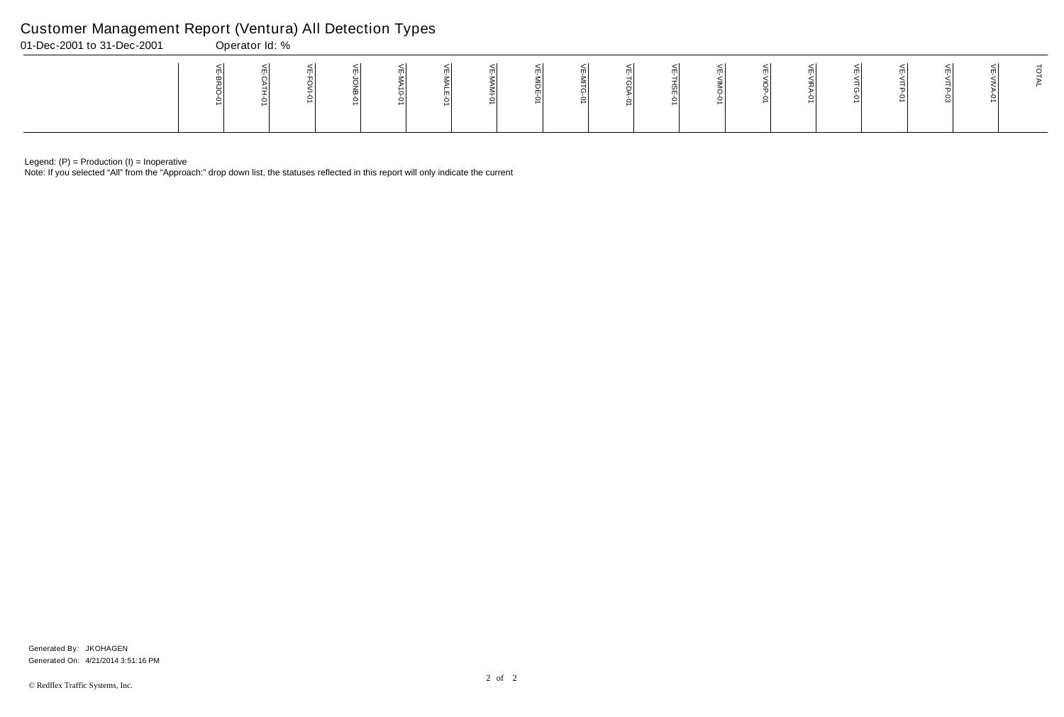Note: If you selected "All" from the "Approach:" drop down list, the statuses reflected in this report will only indicate the current

# Customer Management Report (Ventura) All Detection Types

| 01-Dec-2001 to 31-Dec-2001 | Operator Id: % |  |  |   |  |  |  |  |  |  |
|----------------------------|----------------|--|--|---|--|--|--|--|--|--|
|                            |                |  |  | ∸ |  |  |  |  |  |  |

Generated On: 4/21/2014 3:51:16 PM Generated By: JKOHAGEN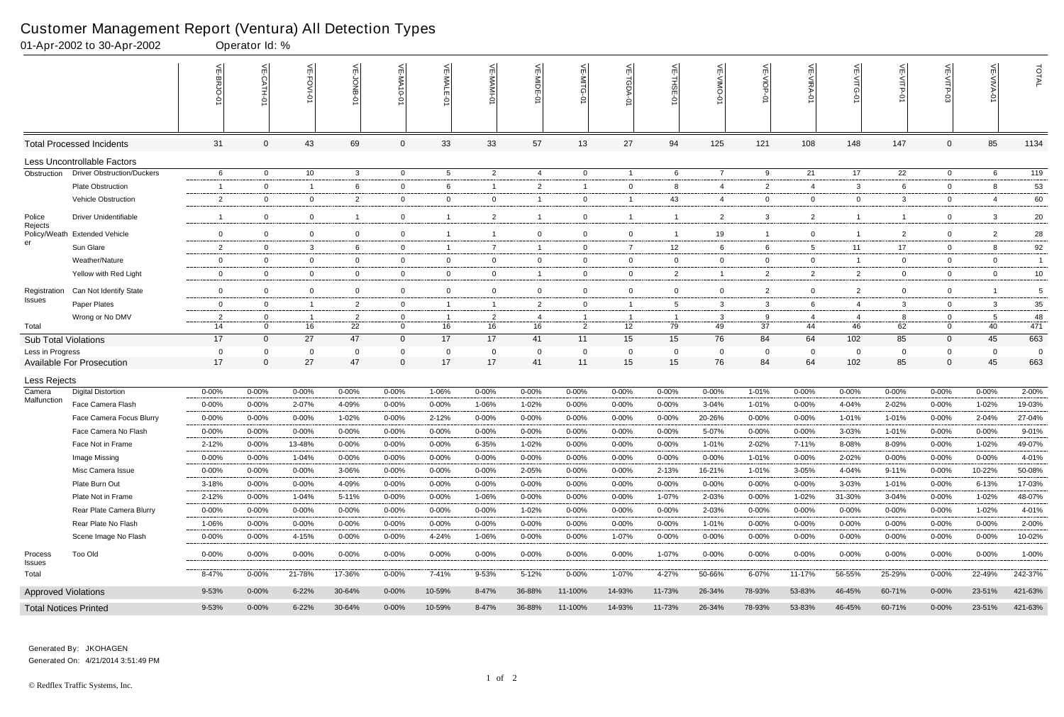# Customer Management Report (Ventura) All Detection Types<br>01-Apr-2002 to 30-Apr-2002<br>00erator Id: %

|                             | 01-Apr-2002 to 30-Apr-2002        |                      | Operator Id: %                 |                      |                      |                             |                 |                         |                |                |                         |                      |                |                |                |                      |                |                |                |                |
|-----------------------------|-----------------------------------|----------------------|--------------------------------|----------------------|----------------------|-----------------------------|-----------------|-------------------------|----------------|----------------|-------------------------|----------------------|----------------|----------------|----------------|----------------------|----------------|----------------|----------------|----------------|
|                             |                                   | VE-BRJO-             |                                | <b>VE-FOVI-0</b>     | VE-JONB-01           | VE-MA10-0                   | VE-MALE<br>ò    | VE-MAMI                 | VE-MIDE-0      | VE-MITG<br>ò   | ے<br>-TGDA-             | VE-THSE-01           | VE-VIMO-0      | VE-VIOP-0      | VE-VIRA-01     | 늦                    | VE-VITP.<br>ò  | VE-VITP-       | VE-VIVA-0      | TOTAL          |
|                             | <b>Total Processed Incidents</b>  | 31                   | 0                              | 43                   | 69                   | $\mathbf{0}$                | 33              | 33                      | 57             | 13             | 27                      | 94                   | 125            | 121            | 108            | 148                  | 147            | $\mathbf 0$    | 85             | 1134           |
|                             | Less Uncontrollable Factors       |                      |                                |                      |                      |                             |                 |                         |                |                |                         |                      |                |                |                |                      |                |                |                |                |
| Obstruction                 | <b>Driver Obstruction/Duckers</b> | 6                    | $\overline{0}$                 | 10 <sup>°</sup>      | $\mathbf{3}$         | $\overline{0}$              | $5\overline{5}$ | $\overline{2}$          | $\overline{4}$ | $\overline{0}$ | $\overline{1}$          | 6                    | $\overline{7}$ | 9              | 21             | 17                   | 22             | $\overline{0}$ | 6              | 119            |
|                             | Plate Obstruction                 |                      | $\mathbf 0$                    | $\overline{1}$       | 6                    | $\mathbf 0$                 | 6               |                         | 2              | $\overline{1}$ | 0                       | 8                    | 4              | $\overline{2}$ | 4              | 3                    | 6              | $\Omega$       | 8              | 53             |
|                             | Vehicle Obstruction               | $\overline{2}$       | $\overline{0}$                 | $\overline{0}$       | $\overline{2}$       | $\overline{0}$              | $\overline{0}$  | $\mathbf 0$             |                | $\overline{0}$ | $\overline{1}$          | 43                   | 4              | $\overline{0}$ | $\overline{0}$ | $\mathbf{0}$         | $\mathbf{3}$   | $\mathbf{0}$   | -4             | 60             |
| Police<br>Rejects           | <b>Driver Unidentifiable</b>      | - 1                  | $\overline{0}$                 | $\mathbf 0$          | -1                   | $\mathbf{0}$                |                 | $\overline{2}$          |                | $\mathbf 0$    | $\overline{\mathbf{1}}$ | -1                   | $\overline{2}$ | $\mathbf{3}$   | $\overline{2}$ |                      | $\overline{1}$ | $\mathbf 0$    | 3              | 20             |
|                             | Policy/Weath Extended Vehicle     | $\overline{0}$       | $\overline{0}$                 | $\overline{0}$       | $\mathbf 0$          | $\overline{0}$              |                 | $\overline{\mathbf{1}}$ | $\overline{0}$ | $\overline{0}$ | $\overline{0}$          |                      | 19             |                | $\mathbf 0$    |                      | 2              | $\Omega$       | $\overline{2}$ | 28             |
| er                          | Sun Glare                         | $\overline{2}$       | $\overline{0}$                 | 3                    | 6                    | 0                           | $\overline{1}$  | $\overline{7}$          |                | $\overline{0}$ | $\overline{7}$          | 12                   | 6              | 6              | 5              | 11                   | 17             | $\mathbf 0$    | 8              | 92             |
|                             | Weather/Nature                    | $\overline{0}$       | $\overline{0}$                 | $\overline{0}$       | $\mathbf 0$          | $\overline{0}$              | $\overline{0}$  | $\mathbf 0$             | $\overline{0}$ | $\mathbf 0$    | $\overline{0}$          | $\mathbf 0$          | $\mathbf{0}$   | $\mathbf 0$    | $\overline{0}$ |                      | $\overline{0}$ | $\mathbf 0$    | $\overline{0}$ | $\overline{1}$ |
|                             | Yellow with Red Light             | $\overline{0}$       | $\overline{0}$                 | $\overline{0}$       | $\overline{0}$       | $\overline{0}$              | $\overline{0}$  | $\mathbf 0$             |                | $\mathbf 0$    | $\overline{0}$          | 2                    | $\mathbf{1}$   | $\overline{2}$ | $\overline{2}$ | $\overline{2}$       | $\overline{0}$ | $\mathbf 0$    | $\overline{0}$ | 10             |
| Registration                | Can Not Identify State            | $\overline{0}$       | $\mathbf 0$                    | $\mathbf 0$          | $\mathbf 0$          | $\mathbf 0$                 | $\mathbf{0}$    | $\mathbf 0$             | $\overline{0}$ | $\mathbf 0$    | $\overline{0}$          | $\mathbf 0$          | $\mathbf 0$    | $\overline{2}$ | $\mathbf 0$    | 2                    | $\mathbf 0$    | $\mathbf 0$    |                | 5              |
| Issues                      | Paper Plates                      | $\mathbf{0}$         | $\overline{0}$                 | $\overline{1}$       | $\overline{2}$       | $\overline{0}$              | -1              | $\overline{1}$          | $\overline{2}$ | $\mathbf 0$    | $\overline{1}$          | 5                    | 3              | $\mathbf{3}$   | 6              | 4                    | $\mathbf{3}$   | $\mathbf 0$    | 3              | 35             |
| Total                       | Wrong or No DMV                   | $\overline{2}$<br>14 | $\mathbf{0}$<br>$\overline{0}$ | $\overline{1}$<br>16 | $\overline{2}$<br>22 | $\mathbf 0$<br>$\mathbf{0}$ | 16              | $\overline{2}$<br>16    | 4<br>16        | $\overline{2}$ | - 1<br>12               | $\overline{1}$<br>79 | 3<br>49        | 9<br>37        | -4<br>44       | $\overline{4}$<br>46 | 8<br>62        | 0<br>$\Omega$  | -5<br>40       | 48<br>471      |
| <b>Sub Total Violations</b> |                                   | 17                   | $\overline{0}$                 | 27                   | 47                   | $\overline{0}$              | 17              | 17                      | 41             | 11             | 15                      | 15                   | 76             | 84             | 64             | 102                  | 85             | $\overline{0}$ | 45             | 663            |
| Less in Progress            |                                   | $\overline{0}$       | 0                              | 0                    | $\mathbf 0$          | 0                           | 0               | $\mathbf{0}$            | - 0            | $\Omega$       | $\overline{0}$          | 0                    | $\mathbf 0$    | $\mathbf{0}$   | - 0            | $\Omega$             | 0              | 0              | - 0            | $\overline{0}$ |
|                             | <b>Available For Prosecution</b>  | 17                   | $\mathbf{0}$                   | 27                   | 47                   | $\overline{0}$              | 17              | 17                      | 41             | 11             | 15                      | 15                   | 76             | 84             | 64             | 102                  | 85             | $\mathbf{0}$   | 45             | 663            |
| Less Rejects                |                                   |                      |                                |                      |                      |                             |                 |                         |                |                |                         |                      |                |                |                |                      |                |                |                |                |
| Camera                      | <b>Digital Distortion</b>         | $0 - 00%$            | 0-00%                          | $0 - 00%$            | $0 - 00\%$           | $0 - 00%$                   | 1-06%           | $0 - 00%$               | 0-00%          | $0 - 00%$      | 0-00%                   | 0-00%                | $0 - 00%$      | 1-01%          | $0 - 00%$      | 0-00%                | $0 - 00%$      | 0-00%          | $0 - 00%$      | 2-00%          |
| Malfunction                 | Face Camera Flash                 | $0 - 00%$            | $0 - 00%$                      | 2-07%                | 4-09%                | $0 - 00%$                   | $0 - 00%$       | 1-06%                   | 1-02%          | $0 - 00%$      | $0 - 00%$               | $0 - 00%$            | 3-04%          | 1-01%          | $0 - 00%$      | 4-04%                | 2-02%          | 0-00%          | 1-02%          | 19-03%         |
|                             | Face Camera Focus Blurry          | $0 - 00%$            | $0 - 00%$                      | $0 - 00%$            | 1-02%                | $0 - 00%$                   | $2 - 12%$       | $0 - 00%$               | 0-00%          | $0 - 00%$      | $0 - 00%$               | $0 - 00%$            | 20-26%         | $0 - 00\%$     | $0 - 00%$      | 1-01%                | 1-01%          | $0 - 00%$      | 2-04%          | 27-04%         |
|                             | Face Camera No Flash              | $0 - 00%$            | $0 - 00%$                      | 0-00%                | $0 - 00%$            | $0 - 00%$                   | 0-00%           | 0-00%                   | $0 - 00%$      | $0 - 00%$      | $0 - 00%$               | $0 - 00%$            | 5-07%          | $0 - 00%$      | $0 - 00%$      | 3-03%                | 1-01%          | $0 - 00%$      | $0 - 00%$      | 9-01%          |
|                             | Face Not in Frame                 | $2 - 12%$            | $0 - 00\%$                     | 13-48%               | $0 - 00\%$           | $0 - 00\%$                  | $0 - 00\%$      | 6-35%                   | 1-02%          | $0 - 00\%$     | $0 - 00\%$              | $0 - 00\%$           | 1-01%          | 2-02%          | 7-11%          | 8-08%                | 8-09%          | $0 - 00\%$     | 1-02%          | 49-07%         |
|                             | Image Missing                     | $0 - 00%$            | $0 - 00%$                      | 1-04%                | $0 - 00%$            | $0 - 00%$                   | $0 - 00%$       | $0 - 00%$               | $0 - 00\%$     | $0 - 00%$      | $0 - 00%$               | $0 - 00%$            | $0 - 00%$      | 1-01%          | $0 - 00%$      | 2-02%                | $0 - 00%$      | $0 - 00\%$     | $0 - 00%$      | 4-01%          |
|                             | Misc Camera Issue                 | $0 - 00%$            | $0 - 00%$                      | $0 - 00\%$           | 3-06%                | $0 - 00%$                   | $0 - 00%$       | $0 - 00%$               | 2-05%          | $0 - 00%$      | $0 - 00%$               | 2-13%                | 16-21%         | 1-01%          | 3-05%          | 4-04%                | $9 - 11%$      | $0 - 00\%$     | 10-22%         | 50-08%         |
|                             | Plate Burn Out                    | 3-18%                | $0 - 00%$                      | $0 - 00\%$           | 4-09%                | 0-00%                       | $0 - 00%$       | $0 - 00%$               | $0 - 00\%$     | $0 - 00\%$     | $0 - 00%$               | 0-00%                | $0 - 00%$      | $0 - 00\%$     | $0 - 00%$      | 3-03%                | 1-01%          | $0 - 00\%$     | 6-13%          | 17-03%         |
|                             | Plate Not in Frame                | $2 - 12%$            | $0 - 00%$                      | 1-04%                | 5-11%                | $0 - 00%$                   | $0 - 00%$       | 1-06%                   | 0-00%          | $0 - 00%$      | $0 - 00%$               | 1-07%                | 2-03%          | 0-00%          | 1-02%          | 31-30%               | 3-04%          | $0 - 00\%$     | 1-02%          | 48-07%         |
|                             | Rear Plate Camera Blurry          | $0 - 00%$            | $0 - 00%$                      | $0 - 00\%$           | $0 - 00\%$           | $0 - 00%$                   | $0 - 00%$       | $0 - 00\%$              | 1-02%          | $0 - 00%$      | $0 - 00%$               | $0 - 00%$            | 2-03%          | 0-00%          | $0 - 00%$      | $0 - 00%$            | $0 - 00%$      | $0 - 00\%$     | 1-02%          | 4-01%          |
|                             | Rear Plate No Flash               | 1-06%                | $0 - 00%$                      | $0 - 00\%$           | $0 - 00\%$           | $0 - 00%$                   | $0 - 00%$       | $0 - 00%$               | $0 - 00\%$     | $0 - 00%$      | $0 - 00%$               | 0-00%                | 1-01%          | $0 - 00\%$     | $0 - 00%$      | 0-00%                | $0 - 00%$      | $0 - 00\%$     | $0 - 00\%$     | 2-00%          |
|                             | Scene Image No Flash              | $0 - 00%$            | $0 - 00%$                      | 4-15%                | $0 - 00\%$           | $0 - 00%$                   | 4-24%           | 1-06%                   | $0 - 00\%$     | $0 - 00\%$     | 1-07%                   | $0 - 00%$            | $0 - 00%$      | 0-00%          | $0 - 00%$      | $0 - 00%$            | 0-00%          | $0 - 00%$      | $0 - 00%$      | 10-02%         |
| Process<br><b>Issues</b>    | Too Old                           | $0 - 00\%$           | $0 - 00\%$                     | $0 - 00\%$           | $0 - 00%$            | $0 - 00\%$                  | $0 - 00\%$      | $0 - 00\%$              | 0-00%          | $0 - 00\%$     | $0 - 00\%$              | 1-07%                | 0-00%          | $0 - 00\%$     | $0 - 00%$      | $0 - 00%$            | $0 - 00\%$     | $0 - 00\%$     | $0 - 00\%$     | 1-00%          |
| Total                       |                                   | 8-47%                | $0 - 00\%$                     | 21-78%               | 17-36%               | $0 - 00\%$                  | 7-41%           | 9-53%                   | $5 - 12%$      | $0 - 00\%$     | 1-07%                   | 4-27%                | 50-66%         | 6-07%          | 11-17%         | 56-55%               | 25-29%         | $0 - 00\%$     | 22-49%         | 242-37%        |
| <b>Approved Violations</b>  |                                   | 9-53%                | $0 - 00\%$                     | $6 - 22%$            | 30-64%               | $0 - 00\%$                  | 10-59%          | 8-47%                   | 36-88%         | 11-100%        | 14-93%                  | 11-73%               | 26-34%         | 78-93%         | 53-83%         | 46-45%               | 60-71%         | $0 - 00\%$     | 23-51%         | 421-63%        |
|                             | <b>Total Notices Printed</b>      | 9-53%                | $0 - 00\%$                     | $6 - 22%$            | 30-64%               | $0 - 00\%$                  | 10-59%          | 8-47%                   | 36-88%         | 11-100%        | 14-93%                  | 11-73%               | 26-34%         | 78-93%         | 53-83%         | 46-45%               | 60-71%         | $0 - 00%$      | 23-51%         | 421-63%        |

Generated On: 4/21/2014 3:51:49 PM Generated By: JKOHAGEN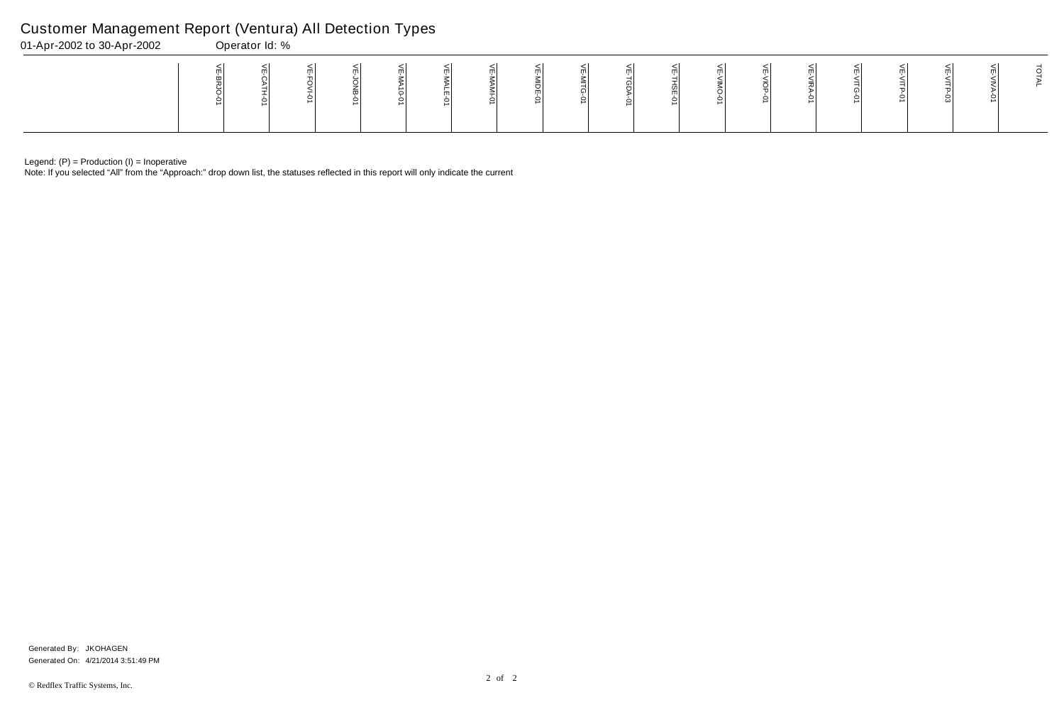Note: If you selected "All" from the "Approach:" drop down list, the statuses reflected in this report will only indicate the current

# Customer Management Report (Ventura) All Detection Types

| 01-Apr-2002 to 30-Apr-2002 | Operator Id: % |  |  |   |  |  |  |  |  |  |
|----------------------------|----------------|--|--|---|--|--|--|--|--|--|
|                            |                |  |  | ∸ |  |  |  |  |  |  |

Generated On: 4/21/2014 3:51:49 PM Generated By: JKOHAGEN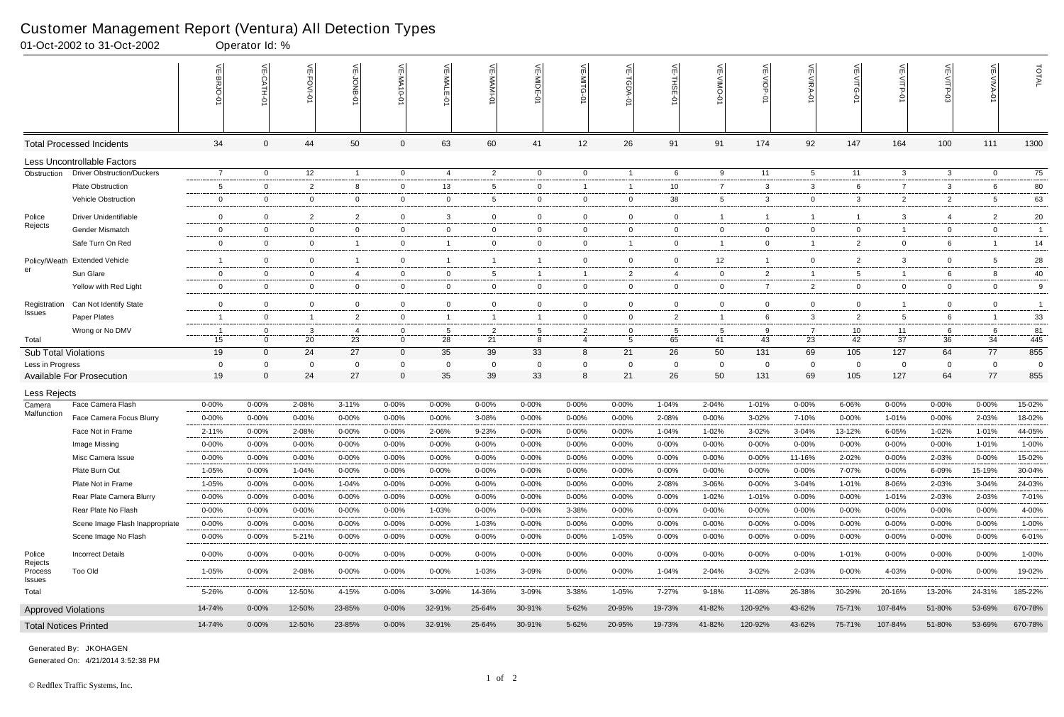|                             | 01-Oct-2002 to 31-Oct-2002        |                 | Operator Id: %            |                |                      |                |                |                   |                         |                |                   |                  |                |                    |                                  |                 |                    |                   |                |                       |
|-----------------------------|-----------------------------------|-----------------|---------------------------|----------------|----------------------|----------------|----------------|-------------------|-------------------------|----------------|-------------------|------------------|----------------|--------------------|----------------------------------|-----------------|--------------------|-------------------|----------------|-----------------------|
|                             |                                   |                 | $\widetilde{E}$<br>CATH-0 | 늰<br>FOVI-01   | ਜ                    | VE-MA10-01     | VE-MAL         | 닞                 | VE-MIDE-0               | $\leq$         | $\frac{2}{11}$    | 븻<br><b>THSE</b> | 닞              | VE-VIOP<br>Q       | $\widetilde{\mathbb{F}}$<br>ミアイー | 늰<br><b>NTG</b> | 닞<br>VITP-01       |                   | VE-VIVA-0      | TOTAL                 |
|                             | <b>Total Processed Incidents</b>  | 34              | $\Omega$                  | 44             | 50                   | 0              | 63             | 60                | 41                      | 12             | 26                | 91               | 91             | 174                | 92                               | 147             | 164                | 100               | 111            | 1300                  |
|                             | Less Uncontrollable Factors       |                 |                           |                |                      |                |                |                   |                         |                |                   |                  |                |                    |                                  |                 |                    |                   |                |                       |
| Obstruction                 | <b>Driver Obstruction/Duckers</b> | $\overline{7}$  | $\overline{0}$            | 12             | $\overline{1}$       | $\overline{0}$ | 4              | $\overline{2}$    | $\overline{0}$          | $\overline{0}$ | $\overline{1}$    | 6                | 9              | 11                 | 5                                | 11              | $\mathbf{3}$       | 3                 | $\mathbf{0}$   | 75                    |
|                             | <b>Plate Obstruction</b>          | $5\overline{)}$ | $\Omega$                  | $\overline{2}$ | 8                    | 0              | 13             | $5\phantom{.0}$   | 0                       | -1             | $\overline{1}$    | 10               | $\overline{7}$ | 3                  | 3                                | 6               | $\overline{7}$     | 3                 |                | 80                    |
|                             | Vehicle Obstruction               | 0               | 0                         | $\overline{0}$ | $\mathbf{0}$         | 0              | $\overline{0}$ | $5\overline{)}$   | - 0                     | 0              | $\overline{0}$    | 38               | 5              | 3                  | 0                                | 3               | $\overline{2}$     | $\overline{2}$    | -5             | 63                    |
| Police                      | <b>Driver Unidentifiable</b>      | $\mathsf{O}$    | $\Omega$                  | $\overline{2}$ | $\overline{2}$       | $\overline{0}$ | 3              | $\overline{0}$    | $\overline{0}$          | $\mathbf 0$    | $\overline{0}$    | $\mathbf 0$      |                | $\overline{1}$     | -1                               |                 | $\mathbf{3}$       | $\overline{4}$    | $\overline{2}$ | 20                    |
| Rejects                     | Gender Mismatch                   | $\mathbf 0$     | $\mathbf 0$               | $\overline{0}$ | 0                    | 0              | $\mathbf 0$    | $\overline{0}$    | $\overline{0}$          | $\mathbf 0$    | $\overline{0}$    | $\mathbf 0$      | 0              | $\overline{0}$     | $\mathbf 0$                      | $\mathbf{0}$    | $\overline{1}$     | $\mathbf 0$       | $\mathbf{0}$   | $\overline{1}$        |
|                             | Safe Turn On Red                  | 0               | $\Omega$                  | $\overline{0}$ | $\overline{1}$       | 0              | -1             | $\mathbf 0$       | 0                       | 0              | $\overline{1}$    | $\mathbf 0$      |                | $\overline{0}$     | -1                               | $\overline{2}$  | $\mathbf 0$        | 6                 |                | 14                    |
| Policy/Weath                | <b>Extended Vehicle</b>           | $\mathbf{1}$    | $\Omega$                  | $\overline{0}$ | -1                   | $\overline{0}$ | -1             | $\overline{1}$    |                         | $\mathbf 0$    | $\overline{0}$    | $\mathbf 0$      | 12             | $\overline{1}$     | $\Omega$                         | $\overline{2}$  | $\mathbf{3}$       | $\mathbf 0$       | -5             | $28\,$                |
| er                          | Sun Glare                         | $\mathbf 0$     | $\mathbf 0$               | $\overline{0}$ | 4                    | 0              | $\mathbf 0$    | $5\overline{)}$   | -1                      | -1             | $\overline{2}$    | $\overline{4}$   | 0              | $\overline{2}$     | -1                               | 5               | $\overline{1}$     | 6                 | 8              | 40                    |
|                             | Yellow with Red Light             | 0               | $\Omega$                  | $\mathbf 0$    | $\mathbf{0}$         | 0              | $\overline{0}$ | $\overline{0}$    | $\overline{\mathbf{0}}$ | $\mathbf 0$    | $\overline{0}$    | $\mathbf 0$      | 0              | $\overline{7}$     | $\overline{2}$                   | $\mathbf{0}$    | $\overline{0}$     | $\mathbf 0$       | $\mathbf{0}$   | 9                     |
| Registration                | Can Not Identify State            | $\mathsf{O}$    | $\Omega$                  | $\overline{0}$ | $\mathbf 0$          | $\overline{0}$ | $\overline{0}$ | $\overline{0}$    | $\Omega$                | $\mathbf 0$    | $\mathbf 0$       | $\mathbf 0$      | 0              | $\overline{0}$     | $\Omega$                         | $\overline{0}$  | $\overline{1}$     | $\mathbf 0$       | $\overline{0}$ | $\overline{1}$        |
| Issues                      | Paper Plates                      | -1              | $\mathbf 0$               | $\overline{1}$ | $\overline{2}$       | 0              | $\mathbf{1}$   | $\overline{1}$    | -1                      | 0              | $\overline{0}$    | $\overline{2}$   |                | 6                  | 3                                | $\overline{2}$  | $5\overline{)}$    | 6                 |                | 33                    |
|                             | Wrong or No DMV                   | - 1             | $\mathbf 0$               | 3              | 4                    | 0              | -5             | $\overline{2}$    | -5                      | 2              | $\mathbf 0$       | -5               | 5              | 9                  | -7                               | 10              | 11                 | 6                 | - 6            | 81                    |
| Total                       |                                   | 15              | $\Omega$                  | 20             | 23                   | $\mathbf 0$    | 28             | 21                | 8                       | 4              | 5                 | 65               | 41             | 43                 | 23                               | 42              | 37                 | 36                | 34             | 445                   |
| <b>Sub Total Violations</b> |                                   | 19              | $\mathbf{0}$              | 24             | 27                   | $\mathbf 0$    | 35             | 39                | 33                      | 8              | 21                | 26               | 50             | 131                | 69                               | 105             | 127                | 64                | 77             | 855                   |
| Less in Progress            | <b>Available For Prosecution</b>  | 0<br>19         | $\Omega$<br>$\Omega$      | $\Omega$<br>24 | $\overline{0}$<br>27 | 0<br>$\Omega$  | $\Omega$<br>35 | $\mathbf 0$<br>39 | - 0<br>33               | 0<br>8         | $\mathbf 0$<br>21 | - 0<br>26        | 0<br>50        | $\mathbf 0$<br>131 | $\Omega$<br>69                   | 0<br>105        | $\mathbf 0$<br>127 | $\mathbf 0$<br>64 | $\Omega$<br>77 | $\overline{0}$<br>855 |
|                             |                                   |                 |                           |                |                      |                |                |                   |                         |                |                   |                  |                |                    |                                  |                 |                    |                   |                |                       |
| Less Rejects<br>Camera      | Face Camera Flash                 | $0 - 00%$       | 0-00%                     | 2-08%          | $3 - 11%$            | $0 - 00%$      | $0 - 00\%$     | $0 - 00%$         | 0-00%                   | 0-00%          | $0 - 00%$         | 1-04%            | 2-04%          | 1-01%              | $0 - 00%$                        | 6-06%           | $0 - 00\%$         | 0-00%             | $0 - 00%$      | 15-02%                |
| Malfunction                 | Face Camera Focus Blurry          | $0 - 00%$       | 0-00%                     | 0-00%          | $0 - 00%$            | $0 - 00%$      | $0 - 00%$      | 3-08%             | 0-00%                   | 0-00%          | $0 - 00%$         | 2-08%            | 0-00%          | 3-02%              | 7-10%                            | $0 - 00%$       | 1-01%              | $0 - 00%$         | 2-03%          | 18-02%                |
|                             | Face Not in Frame                 | $2 - 11%$       | $0 - 00%$                 | 2-08%          | $0 - 00%$            | $0 - 00%$      | 2-06%          | 9-23%             | $0 - 00%$               | 0-00%          | $0 - 00%$         | $1 - 04%$        | 1-02%          | $3 - 02%$          | 3-04%                            | 13-12%          | 6-05%              | 1-02%             | 1-01%          | 44-05%                |
|                             | Image Missing                     | $0 - 00%$       | 0-00%                     | $0 - 00%$      | $0 - 00%$            | 0-00%          | $0 - 00%$      | $0 - 00%$         | 0-00%                   | $0 - 00%$      | $0 - 00%$         | $0 - 00%$        | $0 - 00%$      | $0 - 00%$          | 0-00%                            | 0-00%           | $0 - 00%$          | $0 - 00%$         | $1 - 01%$      | 1-00%                 |
|                             | Misc Camera Issue                 | $0 - 00%$       | 0-00%                     | $0 - 00\%$     | 0-00%                | $0 - 00%$      | $0 - 00\%$     | $0 - 00%$         | 0-00%                   | $0 - 00%$      | $0 - 00%$         | $0 - 00%$        | 0-00%          | $0 - 00%$          | 11-16%                           | 2-02%           | $0 - 00%$          | 2-03%             | 0-00%          | 15-02%                |
|                             | Plate Burn Out                    | 1-05%           | $0 - 00%$                 | 1-04%          | 0-00%                | $0 - 00%$      | $0 - 00\%$     | $0 - 00%$         | $0 - 00%$               | 0-00%          | $0 - 00\%$        | $0 - 00%$        | 0-00%          | $0 - 00\%$         | $0 - 00\%$                       | 7-07%           | $0 - 00\%$         | 6-09%             | 15-19%         | 30-04%                |
|                             | Plate Not in Frame                | 1-05%           | $0 - 00%$                 | $0 - 00%$      | 1-04%                | $0 - 00%$      | $0 - 00\%$     | $0 - 00\%$        | $0 - 00%$               | $0 - 00%$      | $0 - 00\%$        | 2-08%            | 3-06%          | $0 - 00%$          | 3-04%                            | 1-01%           | 8-06%              | 2-03%             | 3-04%          | 24-03%                |
|                             | Rear Plate Camera Blurry          | $0 - 00%$       | $0 - 00%$                 | $0 - 00%$      | 0-00%                | $0 - 00%$      | $0 - 00\%$     | $0 - 00%$         | 0-00%                   | $0 - 00\%$     | $0 - 00\%$        | $0 - 00\%$       | 1-02%          | 1-01%              | $0 - 00%$                        | 0-00%           | 1-01%              | 2-03%             | 2-03%          | 7-01%                 |
|                             | Rear Plate No Flash               | $0 - 00%$       | $0 - 00%$                 | $0 - 00\%$     | $0 - 00%$            | $0 - 00%$      | 1-03%          | $0 - 00\%$        | $0 - 00%$               | 3-38%          | $0 - 00\%$        | $0 - 00%$        | $0 - 00%$      | $0 - 00\%$         | 0-00%                            | $0 - 00%$       | $0 - 00%$          | 0-00%             | $0 - 00%$      | 4-00%                 |
|                             | Scene Image Flash Inappropriate   | $0 - 00%$       | $0 - 00\%$                | $0 - 00%$      | 0-00%                | $0 - 00%$      | $0 - 00%$      | 1-03%             | $0 - 00%$               | 0-00%          | 0-00%             | $0 - 00%$        | 0-00%          | 0-00%              | $0 - 00\%$                       | $0 - 00%$       | $0 - 00%$          | $0 - 00%$         | $0 - 00\%$     | 1-00%                 |
|                             | Scene Image No Flash              | $0 - 00%$       | $0 - 00\%$                | 5-21%          | $0 - 00%$            | $0 - 00%$      | $0 - 00\%$     | $0 - 00%$         | 0-00%                   | $0 - 00%$      | 1-05%             | $0 - 00%$        | 0-00%          | $0 - 00\%$         | $0 - 00\%$                       | $0 - 00%$       | $0 - 00\%$         | 0-00%             | $0 - 00%$      | 6-01%                 |
| Police                      | <b>Incorrect Details</b>          | $0 - 00%$       | $0 - 00\%$                | $0 - 00%$      | $0 - 00\%$           | $0 - 00\%$     | $0 - 00\%$     | $0 - 00%$         | $0 - 00%$               | $0 - 00\%$     | $0 - 00\%$        | $0 - 00%$        | $0 - 00%$      | $0 - 00\%$         | $0 - 00\%$                       | 1-01%           | $0 - 00\%$         | 0-00%             | $0 - 00\%$     | $1 - 00%$             |
| Rejects<br>Process          | <b>Too Old</b>                    | 1-05%           | $0 - 00\%$                | 2-08%          | $0 - 00\%$           | $0 - 00\%$     | $0 - 00\%$     | 1-03%             | 3-09%                   | $0 - 00\%$     | $0 - 00\%$        | 1-04%            | 2-04%          | 3-02%              | 2-03%                            | $0 - 00%$       | 4-03%              | 0-00%             | $0 - 00\%$     | 19-02%                |
| Issues                      |                                   |                 |                           |                |                      |                |                |                   |                         |                |                   |                  |                |                    |                                  |                 |                    |                   |                |                       |
| Total                       |                                   | 5-26%           | $0 - 00\%$                | 12-50%         | 4-15%                | $0 - 00%$      | 3-09%          | 14-36%            | 3-09%                   | 3-38%          | 1-05%             | 7-27%            | 9-18%          | 11-08%             | 26-38%                           | 30-29%          | 20-16%             | 13-20%            | 24-31%         | 185-22%               |
| <b>Approved Violations</b>  |                                   | 14-74%          | $0 - 00\%$                | 12-50%         | 23-85%               | $0 - 00%$      | 32-91%         | 25-64%            | 30-91%                  | 5-62%          | 20-95%            | 19-73%           | 41-82%         | 120-92%            | 43-62%                           | 75-71%          | 107-84%            | 51-80%            | 53-69%         | 670-78%               |
|                             | <b>Total Notices Printed</b>      | 14-74%          | $0 - 00\%$                | 12-50%         | 23-85%               | $0 - 00\%$     | 32-91%         | 25-64%            | 30-91%                  | 5-62%          | 20-95%            | 19-73%           | 41-82%         | 120-92%            | 43-62%                           | 75-71%          | 107-84%            | 51-80%            | 53-69%         | 670-78%               |

Generated On: 4/21/2014 3:52:38 PM Generated By: JKOHAGEN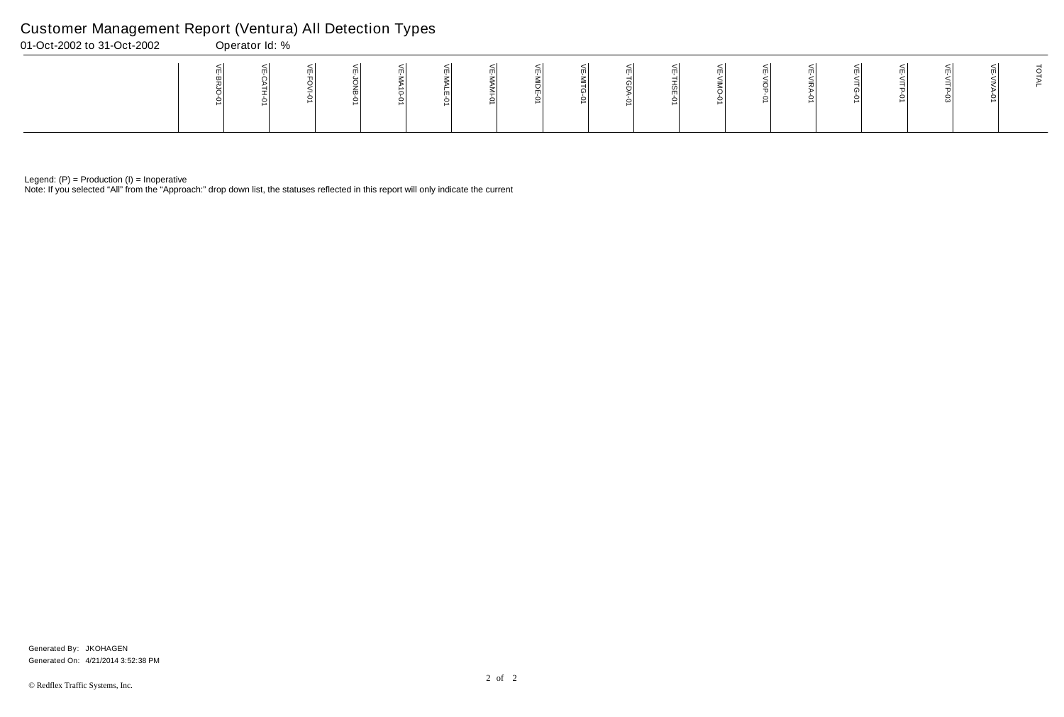Note: If you selected "All" from the "Approach:" drop down list, the statuses reflected in this report will only indicate the current

# Customer Management Report (Ventura) All Detection Types

| 01-Oct-2002 to 31-Oct-2002 | Operator Id: % |  |  |   |  |  |  |  |  |  |
|----------------------------|----------------|--|--|---|--|--|--|--|--|--|
|                            |                |  |  | ∸ |  |  |  |  |  |  |

Generated On: 4/21/2014 3:52:38 PM Generated By: JKOHAGEN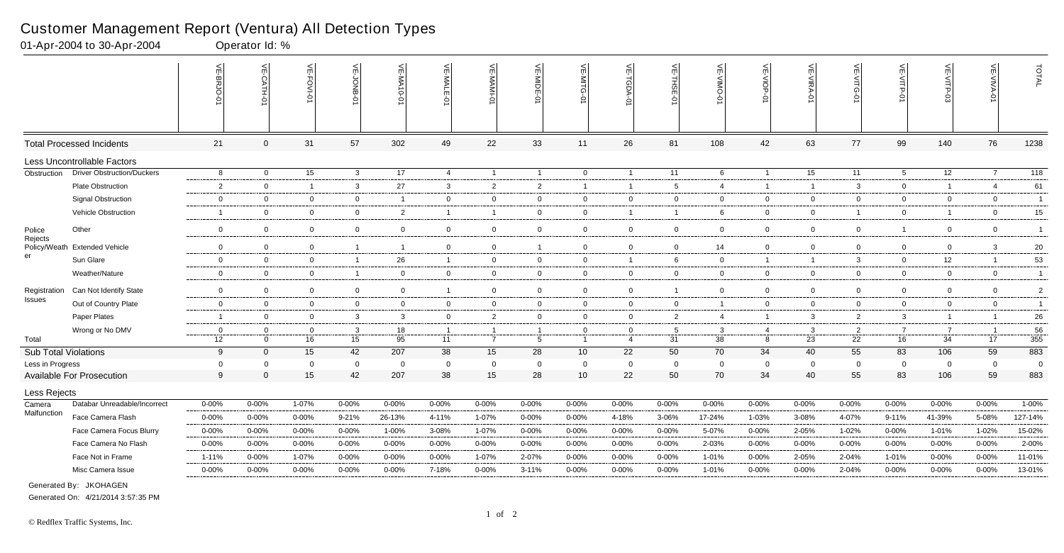|                         |                                   | ۴<br><b>BRJO-</b> | VE-CATH-01     | $\frac{1}{2}$<br>.O-IVO | <b>NE-JONB</b> | VE-MA10-01              | VE-MALE        | VE-MAMI-0        | VE-MIDE-01     | VE-MITG-<br>ė   | VE-TGDA-0      | VE-THSE-01      | ے<br>OWIN-<br>Ò | $\overline{VE-NIOP}$<br>ò | VE-VIRA-01     | VE-VITG-01     | VE-VITP-01      | VE-VITP-03     | <b>VE-VIVA-0</b> | TOTAL            |
|-------------------------|-----------------------------------|-------------------|----------------|-------------------------|----------------|-------------------------|----------------|------------------|----------------|-----------------|----------------|-----------------|-----------------|---------------------------|----------------|----------------|-----------------|----------------|------------------|------------------|
|                         | <b>Total Processed Incidents</b>  | 21                | $\mathbf{0}$   | 31                      | 57             | 302                     | 49             | 22               | 33             | 11              | 26             | 81              | 108             | 42                        | 63             | 77             | 99              | 140            | 76               | 1238             |
|                         | Less Uncontrollable Factors       |                   |                |                         |                |                         |                |                  |                |                 |                |                 |                 |                           |                |                |                 |                |                  |                  |
| Obstruction             | <b>Driver Obstruction/Duckers</b> | 8                 | $\overline{0}$ | 15                      | $\mathbf{3}$   | 17                      | $\overline{4}$ | $\overline{1}$   | $\overline{1}$ | $\overline{0}$  | $\overline{1}$ | 11              | 6               | $\overline{1}$            | 15             | 11             | $5\overline{)}$ | 12             | $\overline{7}$   | $\overline{118}$ |
|                         | <b>Plate Obstruction</b>          | 2                 | $\mathbf 0$    | $\overline{1}$          | $\mathbf{3}$   | 27                      | $\mathbf{3}$   | 2                | $\overline{2}$ | $\overline{1}$  | $\overline{1}$ | 5               | $\overline{4}$  | $\mathbf{1}$              | $\overline{1}$ | 3              | $\mathbf 0$     | $\overline{1}$ | $\overline{4}$   | 61               |
|                         | <b>Signal Obstruction</b>         | $\overline{0}$    | $\Omega$       | $\mathbf 0$             | $\overline{0}$ | - 1                     | $\overline{0}$ | $\overline{0}$   | $\overline{0}$ | $\mathbf 0$     | $\overline{0}$ | $\mathbf 0$     | $\Omega$        | $\overline{0}$            | $\mathbf 0$    | $\overline{0}$ | $\overline{0}$  | $\mathbf 0$    | $\mathbf 0$      | $\overline{1}$   |
|                         | Vehicle Obstruction               | $\mathbf{1}$      | $\mathbf 0$    | $\overline{0}$          | $\overline{0}$ | $\overline{2}$          | $\overline{1}$ | $\overline{1}$   | $\overline{0}$ | $\overline{0}$  | $\overline{1}$ | $\overline{1}$  | 6               | $\overline{0}$            | $\overline{0}$ | $\mathbf{1}$   | $\overline{0}$  | $\overline{1}$ | $\overline{0}$   | 15               |
| Police                  | Other                             | $\mathbf 0$       | $\mathbf 0$    | $\mathbf 0$             | $\mathbf 0$    | $\mathbf 0$             | $\mathbf 0$    | $\mathbf 0$      | $\overline{0}$ | $\mathbf 0$     | $\overline{0}$ | $\mathbf 0$     | $\mathbf 0$     | $\overline{0}$            | $\overline{0}$ | $\mathbf 0$    | $\mathbf{1}$    | $\mathbf 0$    | $\mathbf 0$      | $\overline{1}$   |
| Rejects<br>Policy/Weath | <b>Extended Vehicle</b>           | $\mathbf 0$       | $\mathbf 0$    | $\overline{0}$          | $\overline{1}$ | $\overline{\mathbf{1}}$ | $\mathbf 0$    | 0                | $\overline{1}$ | $\mathbf 0$     | $\overline{0}$ | $\mathbf 0$     | 14              | $\overline{0}$            | $\mathbf 0$    | $\mathbf 0$    | $\overline{0}$  | 0              | $\mathbf{3}$     | 20               |
| er                      | Sun Glare                         | $\overline{0}$    | $\mathbf 0$    | $\overline{0}$          | $\overline{1}$ | 26                      | $\overline{1}$ | $\overline{0}$   | $\overline{0}$ | $\overline{0}$  | $\overline{1}$ | 6               | $\overline{0}$  | $\overline{1}$            | $\overline{1}$ | $\mathbf{3}$   | $\overline{0}$  | 12             | $\overline{1}$   | 53               |
|                         | Weather/Nature                    | $\mathbf 0$       | $\Omega$       | $\mathbf 0$             | $\overline{1}$ | $\mathbf 0$             | $\mathbf 0$    | $\overline{0}$   | $\overline{0}$ | $\mathbf 0$     | $\overline{0}$ | $\mathbf 0$     | $\mathbf 0$     | $\overline{0}$            | $\mathbf 0$    | $\mathbf 0$    | $\mathbf 0$     | $\mathbf 0$    | $\mathbf 0$      | $\overline{1}$   |
| Registration            | Can Not Identify State            | $\overline{0}$    | $\mathbf 0$    | $\overline{0}$          | $\overline{0}$ | $\mathbf 0$             | $\overline{1}$ | 0                | $\overline{0}$ | $\overline{0}$  | $\mathbf 0$    | $\overline{1}$  | $\Omega$        | $\mathbf 0$               | $\mathbf 0$    | $\mathbf 0$    | $\mathbf 0$     | 0              | $\overline{0}$   | $\overline{2}$   |
| <b>Issues</b>           | Out of Country Plate              | $\boldsymbol{0}$  | $\Omega$       | $\mathbf 0$             | $\overline{0}$ | $\mathbf 0$             | $\overline{0}$ | $\boldsymbol{0}$ | $\overline{0}$ | $\mathbf 0$     | $\overline{0}$ | $\mathbf 0$     | $\overline{1}$  | $\overline{0}$            | $\mathbf 0$    | $\overline{0}$ | $\overline{0}$  | $\mathbf 0$    | $\mathbf 0$      | $\overline{1}$   |
|                         | Paper Plates                      | $\overline{1}$    | $\mathbf 0$    | $\mathbf 0$             | $\mathbf{3}$   | $\mathbf{3}$            | $\mathbf 0$    | $\overline{2}$   | $\overline{0}$ | $\overline{0}$  | $\overline{0}$ | $\overline{2}$  | 4               | $\overline{1}$            | $\mathbf{3}$   | $\overline{2}$ | $\mathbf{3}$    | $\overline{1}$ | -1               | 26               |
|                         | Wrong or No DMV                   | $\overline{0}$    | $\overline{0}$ | $\overline{0}$          | $\mathbf{3}$   | 18                      | $\overline{1}$ | $\overline{1}$   | $\overline{1}$ | $\overline{0}$  | $\mathbf 0$    | $5\overline{5}$ | $\mathbf{3}$    | 4                         | $\mathbf{3}$   | 2              | $\overline{7}$  | $\overline{7}$ | $\overline{1}$   | 56               |
| Total                   |                                   | 12                | $\Omega$       | 16                      | 15             | 95                      | 11             | $\overline{7}$   | 5              | $\mathbf{1}$    | 4              | 31              | 38              | 8                         | 23             | 22             | 16              | 34             | 17               | $\frac{1}{355}$  |
| Sub Total Violations    |                                   | 9                 | $\Omega$       | 15                      | 42             | 207                     | 38             | 15               | 28             | 10 <sup>1</sup> | 22             | 50              | 70              | 34                        | 40             | 55             | 83              | 106            | 59               | 883              |
| Less in Progress        |                                   | $\overline{0}$    | $\mathbf 0$    | $\mathbf 0$             | $\mathbf 0$    | $\overline{0}$          | 0              | $\mathbf 0$      | $\overline{0}$ | $\mathbf 0$     | $\mathbf 0$    | $\overline{0}$  | 0               | $\mathbf 0$               | $\Omega$       | $\mathbf 0$    | $\overline{0}$  | $\mathbf 0$    | $\mathbf 0$      | $\overline{0}$   |
|                         | Available For Prosecution         | 9                 | $\Omega$       | 15                      | 42             | 207                     | 38             | 15               | 28             | 10 <sup>1</sup> | 22             | 50              | 70              | 34                        | 40             | 55             | 83              | 106            | 59               | 883              |
| Less Rejects            |                                   |                   |                |                         |                |                         |                |                  |                |                 |                |                 |                 |                           |                |                |                 |                |                  |                  |
| Camera                  | Databar Unreadable/Incorrect      | 0-00%             | 0-00%          | 1-07%                   | $0 - 00%$      | $0 - 00%$               | $0 - 00%$      | 0-00%            | $0 - 00%$      | $0 - 00%$       | $0 - 00\%$     | $0 - 00%$       | 0-00%           | $0 - 00%$                 | $0 - 00%$      | 0-00%          | $0 - 00%$       | $0 - 00%$      | $0 - 00%$        | 1-00%            |
| Malfunction             | Face Camera Flash                 | $0 - 00%$         | $0 - 00%$      | $0 - 00%$               | 9-21%          | 26-13%                  | 4-11%          | 1-07%            | $0 - 00%$      | $0 - 00%$       | 4-18%          | 3-06%           | 17-24%          | 1-03%                     | 3-08%          | 4-07%          | $9 - 11%$       | 41-39%         | 5-08%            | 127-14%          |
|                         | Face Camera Focus Blurry          | $0 - 00%$         | $0 - 00%$      | $0 - 00%$               | $0 - 00%$      | 1-00%                   | 3-08%          | 1-07%            | $0 - 00%$      | $0 - 00%$       | $0 - 00%$      | $0 - 00%$       | 5-07%           | $0 - 00%$                 | 2-05%          | 1-02%          | $0 - 00%$       | 1-01%          | 1-02%            | 15-02%           |
|                         | Face Camera No Flash              | 0-00%             | $0 - 00%$      | $0 - 00\%$              | $0 - 00%$      | $0 - 00%$               | $0 - 00%$      | 0-00%            | $0 - 00%$      | 0-00%           | $0 - 00\%$     | $0 - 00%$       | 2-03%           | $0 - 00%$                 | $0 - 00%$      | 0-00%          | $0 - 00%$       | $0 - 00%$      | $0 - 00%$        | 2-00%            |
|                         | Face Not in Frame                 | $1 - 11%$         | $0 - 00%$      | 1-07%                   | $0 - 00\%$     | $0 - 00%$               | $0 - 00%$      | 1-07%            | 2-07%          | 0-00%           | $0 - 00%$      | $0 - 00%$       | 1-01%           | $0 - 00%$                 | 2-05%          | 2-04%          | 1-01%           | $0 - 00%$      | 0-00%            | 11-01%           |
|                         | Misc Camera Issue                 | 0-00%             | 0-00%          | $0 - 00%$               | $0 - 00%$      | 0-00%                   | 7-18%          | 0-00%            | $3 - 11%$      | $0 - 00%$       | $0 - 00%$      | $0 - 00%$       | 1-01%           | $0 - 00%$                 | $0 - 00\%$     | 2-04%          | $0 - 00%$       | $0 - 00%$      | $0 - 00%$        | 13-01%           |
|                         | Generated By: JKOHAGEN            |                   |                |                         |                |                         |                |                  |                |                 |                |                 |                 |                           |                |                |                 |                |                  |                  |

01-Apr-2004 to 30-Apr-2004 Operator Id: %

Generated On: 4/21/2014 3:57:35 PM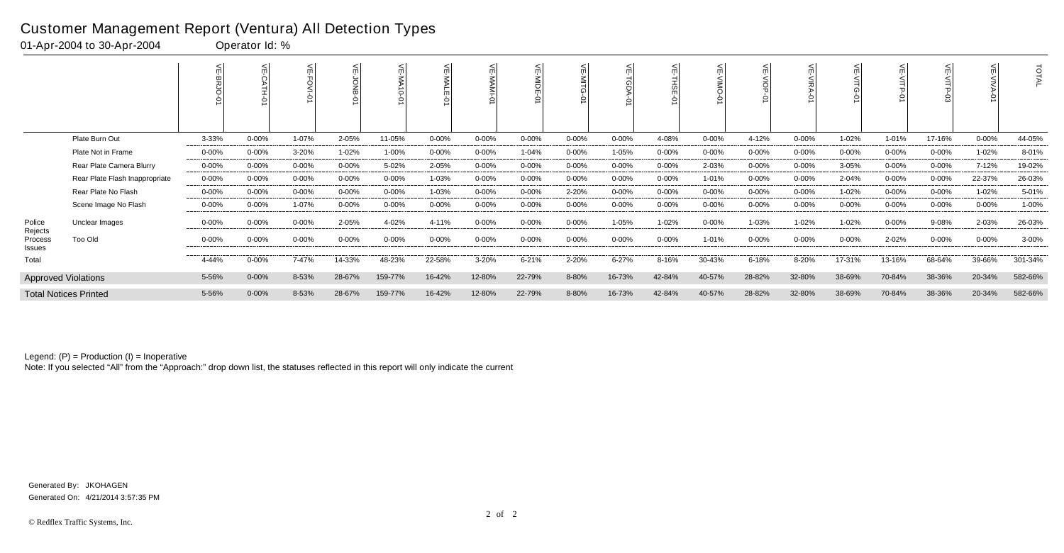|                              |                                | 뷔<br>였     |            |            | <b>DNB</b><br>$\mathcal{L}$ |            |            | 븻<br><b>D-INVM</b> |            |            | 븻<br>TGDA<br>Ò |            |            | 븻<br>$rac{1}{9}$<br>$\circ$ |            |            | F<br>Š.    |           | $\circ$    | TOTAL   |
|------------------------------|--------------------------------|------------|------------|------------|-----------------------------|------------|------------|--------------------|------------|------------|----------------|------------|------------|-----------------------------|------------|------------|------------|-----------|------------|---------|
|                              |                                |            |            |            |                             |            |            |                    |            |            |                |            |            |                             |            |            |            |           |            |         |
|                              | Plate Burn Out                 | 3-33%      | $0 - 00\%$ | $1 - 07%$  | 2-05%                       | 11-05%     | $0 - 00\%$ | $0 - 00%$          | $0 - 00\%$ | $0 - 00\%$ | $0 - 00\%$     | 4-08%      | $0 - 00\%$ | 4-12%                       | $0 - 00\%$ | $1 - 02%$  | 1-01%      | 17-16%    | $0 - 00\%$ | 44-05%  |
|                              | Plate Not in Frame             | $0 - 00\%$ | $0 - 00\%$ | 3-20%      | 1-02%                       | 1-00%      | $0 - 00\%$ | $0 - 00%$          | 1-04%      | $0 - 00\%$ | 1-05%          | 0-00%      | $0 - 00\%$ | $0 - 00\%$                  | $0 - 00\%$ | $0 - 00\%$ | $0 - 00\%$ | 0-00%     | 1-02%      | 8-01%   |
|                              | Rear Plate Camera Blurry       | $0 - 00\%$ | $0 - 00%$  | $0 - 00\%$ | $0 - 00%$                   | 5-02%      | 2-05%      | $0 - 00%$          | $0 - 00%$  | $0 - 00\%$ | $0 - 00\%$     | $0 - 00%$  | 2-03%      | $0 - 00\%$                  | $0 - 00\%$ | 3-05%      | $0 - 00\%$ | $0 - 00%$ | 7-12%      | 19-02%  |
|                              | Rear Plate Flash Inappropriate | $0 - 00\%$ | $0 - 00%$  | $0 - 00\%$ | $0 - 00%$                   | $0 - 00\%$ | 1-03%      | $0 - 00%$          | $0 - 00\%$ | $0 - 00\%$ | $0 - 00\%$     | $0 - 00\%$ | 1-01%      | $0 - 00\%$                  | $0 - 00\%$ | 2-04%      | $0 - 00\%$ | $0 - 00%$ | 22-37%     | 26-03%  |
|                              | Rear Plate No Flash            | $0 - 00\%$ | $0 - 00%$  | $0 - 00\%$ | $0 - 00%$                   | $0 - 00%$  | 1-03%      | $0 - 00%$          | $0 - 00%$  | 2-20%      | $0 - 00\%$     | $0 - 00%$  | $0 - 00\%$ | $0 - 00\%$                  | $0 - 00%$  | 1-02%      | $0 - 00\%$ | $0 - 00%$ | $1 - 02%$  | 5-01%   |
|                              | Scene Image No Flash           | $0 - 00\%$ | $0 - 00%$  | 1-07%      | $0 - 00%$                   | $0 - 00%$  | $0 - 00\%$ | $0 - 00%$          | $0 - 00\%$ | $0 - 00\%$ | $0 - 00\%$     | $0 - 00%$  | 0-00%      | $0 - 00\%$                  | $0 - 00%$  | $0 - 00\%$ | $0 - 00\%$ | $0 - 00%$ | $0 - 00\%$ | 1-00%   |
| Police                       | Unclear Images                 | $0 - 00%$  | $0 - 00%$  | $0 - 00\%$ | 2-05%                       | 4-02%      | 4-11%      | $0 - 00%$          | $0 - 00\%$ | $0 - 00\%$ | 1-05%          | $1 - 02%$  | $0 - 00\%$ | 1-03%                       | $1 - 02%$  | 1-02%      | $0 - 00\%$ | 9-08%     | 2-03%      | 26-03%  |
| Rejects<br>Process<br>Issues | Too Old                        | $0 - 00%$  | $0 - 00%$  | $0 - 00%$  | 0-00%                       | 0-00%      | $0 - 00\%$ | 0-00%              | 0-00%      | $0 - 00\%$ | 0-00%          | $0 - 00%$  | $1 - 01%$  | 0-00%                       | $0 - 00%$  | $0 - 00%$  | 2-02%      | $0 - 00%$ | $0 - 00\%$ | 3-00%   |
| Total                        |                                | 4-44%      | 0-00%      | 7-47%      | 14-33%                      | 48-23%     | 22-58%     | 3-20%              | $6 - 21%$  | 2-20%      | $6 - 27%$      | 8-16%      | 30-43%     | $6 - 18%$                   | 8-20%      | 17-31%     | 13-16%     | 68-64%    | 39-66%     | 301-34% |
|                              | <b>Approved Violations</b>     | 5-56%      | $0 - 00%$  | 8-53%      | 28-67%                      | 159-77%    | 16-42%     | 12-80%             | 22-79%     | 8-80%      | 16-73%         | 42-84%     | 40-57%     | 28-82%                      | 32-80%     | 38-69%     | 70-84%     | 38-36%    | 20-34%     | 582-66% |
|                              | <b>Total Notices Printed</b>   | 5-56%      | $0 - 00\%$ | 8-53%      | 28-67%                      | 159-77%    | 16-42%     | 12-80%             | 22-79%     | 8-80%      | 16-73%         | 42-84%     | 40-57%     | 28-82%                      | 32-80%     | 38-69%     | 70-84%     | 38-36%    | 20-34%     | 582-66% |

Note: If you selected "All" from the "Approach:" drop down list, the statuses reflected in this report will only indicate the current

#### Customer Management Report (Ventura) All Detection Types

01-Apr-2004 to 30-Apr-2004 Operator Id: %

Generated On: 4/21/2014 3:57:35 PM Generated By: JKOHAGEN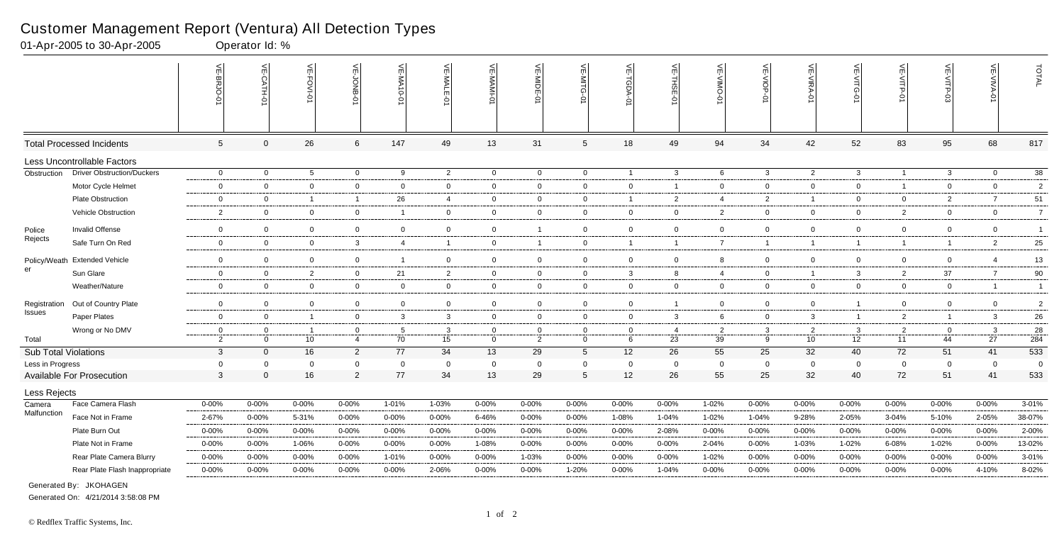|                             |                                   | VE-BRJO-       | VE-CATH-01     | VE-FOVI-01      | ⊭<br>DNB       | VE-MA10-01              | VE-MALE<br>ò   | 늦<br><b>MAM-</b> | VE-MIDE-01     | 늰               | VE-TGDA-0      | VE-THSE-01     | VE-VIMO-0      | VE-VIOP-01     | VE-VIRA-01     | VE-VITG-<br>Ċ  | VE-VITP-01     | VE-VITP-03     | VE-VIVA-<br>ò  | TOTAL          |
|-----------------------------|-----------------------------------|----------------|----------------|-----------------|----------------|-------------------------|----------------|------------------|----------------|-----------------|----------------|----------------|----------------|----------------|----------------|----------------|----------------|----------------|----------------|----------------|
|                             | <b>Total Processed Incidents</b>  | 5 <sup>5</sup> | $\Omega$       | 26              | 6              | 147                     | 49             | 13               | 31             | $5\phantom{.0}$ | 18             | 49             | 94             | 34             | 42             | 52             | 83             | 95             | 68             | 817            |
|                             | Less Uncontrollable Factors       |                |                |                 |                |                         |                |                  |                |                 |                |                |                |                |                |                |                |                |                |                |
| Obstruction                 | <b>Driver Obstruction/Duckers</b> | $\mathbf 0$    | $\mathbf 0$    | $5\overline{5}$ | $\overline{0}$ | 9                       | $\overline{2}$ | $\mathbf 0$      | $\mathbf 0$    | $\overline{0}$  | $\overline{1}$ | $\mathbf{3}$   | 6              | $\mathbf{3}$   | $\overline{2}$ | $\mathbf{3}$   | $\mathbf{1}$   | $\mathbf{3}$   | $\mathbf 0$    | $38\,$         |
|                             | Motor Cycle Helmet                | $\overline{0}$ | $\overline{0}$ | $\overline{0}$  | $\overline{0}$ | $\Omega$                | $\overline{0}$ | $\overline{0}$   | $\overline{0}$ | $\mathbf{0}$    | $\mathbf 0$    | - 1            | $\mathbf{0}$   | $\overline{0}$ | $\overline{0}$ | $\overline{0}$ | $\mathbf{1}$   | $\mathbf{0}$   | $\overline{0}$ | 2              |
|                             | <b>Plate Obstruction</b>          | $\mathbf 0$    | $\overline{0}$ | $\overline{1}$  | $\overline{1}$ | 26                      | $\overline{4}$ | $\mathbf 0$      | $\overline{0}$ | $\overline{0}$  | $\overline{1}$ | $\overline{2}$ | $\overline{4}$ | $\overline{2}$ | $\overline{1}$ | $\mathbf 0$    | $\mathbf 0$    | 2              | $\overline{7}$ | 51             |
|                             | Vehicle Obstruction               | $\overline{2}$ | $\overline{0}$ | $\mathbf 0$     | $\overline{0}$ | $\overline{\mathbf{1}}$ | $\mathbf 0$    | $\overline{0}$   | $\mathbf 0$    | $\overline{0}$  | $\mathbf{0}$   | $\mathbf 0$    | $\overline{2}$ | $\overline{0}$ | $\mathbf 0$    | $\mathbf 0$    | $\overline{2}$ | $\mathbf 0$    | $\mathbf 0$    | $\overline{7}$ |
| Police                      | Invalid Offense                   | $\mathbf 0$    | $\overline{0}$ | $\mathbf 0$     | $\mathbf 0$    | $\mathbf 0$             | $\Omega$       | $\overline{0}$   |                | $\mathbf 0$     | $\mathbf 0$    | $\overline{0}$ | $\overline{0}$ | $\mathbf 0$    | $\overline{0}$ | $\Omega$       | $\overline{0}$ | $\mathbf 0$    | $\mathbf 0$    | $\overline{1}$ |
| Rejects                     | Safe Turn On Red                  | $\mathbf 0$    | $\overline{0}$ | $\mathbf 0$     | $\mathbf{3}$   | $\overline{4}$          | $\mathbf{1}$   | $\overline{0}$   | - 1            | $\overline{0}$  | $\overline{1}$ | $\overline{1}$ | $\overline{7}$ | $\mathbf{1}$   | $\overline{1}$ | $\mathbf{1}$   | $\mathbf{1}$   | $\overline{1}$ | $\overline{2}$ | 25             |
| Policy/Weath                | <b>Extended Vehicle</b>           | $\mathbf 0$    | $\overline{0}$ | $\mathbf 0$     | $\overline{0}$ | $\overline{1}$          | $\overline{0}$ | $\overline{0}$   | $\mathbf 0$    | $\overline{0}$  | $\mathbf 0$    | $\overline{0}$ | 8              | $\mathbf 0$    | $\overline{0}$ | $\overline{0}$ | $\mathbf 0$    | $\mathbf 0$    | $\overline{4}$ | 13             |
| er                          | Sun Glare                         | $\mathbf 0$    | $\mathbf 0$    | $\overline{2}$  | $\overline{0}$ | 21                      | 2              | $\overline{0}$   | $\mathbf 0$    | $\overline{0}$  | 3              | 8              | $\overline{4}$ | $\overline{0}$ | $\overline{1}$ | 3              | $\overline{2}$ | 37             | $\overline{7}$ | 90             |
|                             | Weather/Nature                    | $\overline{0}$ | $\overline{0}$ | $\overline{0}$  | $\overline{0}$ | $\Omega$                | $\overline{0}$ | $\overline{0}$   | $\overline{0}$ | $\Omega$        | $\mathbf 0$    | $\overline{0}$ | $\mathbf{0}$   | $\overline{0}$ | $\overline{0}$ | $\overline{0}$ | $\overline{0}$ | $\mathbf 0$    | $\overline{1}$ | $\overline{1}$ |
| Registration                | Out of Country Plate              | $\mathbf 0$    | $\overline{0}$ | $\mathbf 0$     | $\mathbf 0$    | $\mathbf 0$             | $\mathbf 0$    | $\overline{0}$   | $\overline{0}$ | $\mathbf 0$     | $\mathbf 0$    |                | $\mathbf 0$    | $\overline{0}$ | $\mathbf 0$    |                | $\mathbf 0$    | $\mathbf 0$    | $\mathbf 0$    | $\overline{2}$ |
| Issues                      | Paper Plates                      | $\mathbf{0}$   | $\overline{0}$ | $\overline{1}$  | $\overline{0}$ | 3                       | 3              | $\overline{0}$   | $\overline{0}$ | $\overline{0}$  | $\overline{0}$ | $\mathbf{3}$   | 6              | $\overline{0}$ | 3              | $\overline{1}$ | $\overline{2}$ | $\overline{1}$ | $\mathbf{3}$   | 26             |
|                             | Wrong or No DMV                   | $\mathbf{0}$   | $\overline{0}$ | $\overline{1}$  | $\overline{0}$ | $5\overline{5}$         | 3              | $\overline{0}$   | $\mathbf 0$    | $\overline{0}$  | $\mathbf 0$    | $\overline{4}$ | $\overline{2}$ | $\mathbf{3}$   | 2              | $\mathbf{3}$   | $\overline{2}$ | $\mathbf 0$    | $\mathbf{3}$   | 28             |
| Total                       |                                   | $\overline{2}$ | $\Omega$       | 10              | $\overline{4}$ | 70                      | 15             | $\overline{0}$   | 2              | $\overline{0}$  | 6              | 23             | 39             | 9              | 10             | 12             | 11             | 44             | 27             | 284            |
| <b>Sub Total Violations</b> |                                   | $\mathbf{3}$   | $\mathbf{0}$   | 16              | $\overline{2}$ | 77                      | 34             | 13               | 29             | $5\overline{)}$ | 12             | 26             | 55             | 25             | 32             | 40             | 72             | 51             | 41             | 533            |
| Less in Progress            |                                   | $\mathbf 0$    | $\Omega$       | $\overline{0}$  | $\mathbf 0$    | $\mathbf 0$             | $\Omega$       | $\mathbf 0$      | $\overline{0}$ | $\mathbf 0$     | $\mathbf 0$    | $\mathbf 0$    | $\mathbf 0$    | $\mathbf 0$    | $\Omega$       | $\mathbf 0$    | $\mathbf 0$    | $\mathbf 0$    | $\overline{0}$ | $\overline{0}$ |
|                             | <b>Available For Prosecution</b>  | $\mathbf{3}$   | $\Omega$       | 16              | $\overline{2}$ | 77                      | 34             | 13               | 29             | 5               | 12             | 26             | 55             | 25             | 32             | 40             | 72             | 51             | 41             | 533            |
| Less Rejects                |                                   |                |                |                 |                |                         |                |                  |                |                 |                |                |                |                |                |                |                |                |                |                |
| Camera                      | Face Camera Flash                 | $0 - 00%$      | $0 - 00%$      | $0 - 00%$       | 0-00%          | 1-01%                   | 1-03%          | 0-00%            | 0-00%          | $0 - 00%$       | $0 - 00%$      | $0 - 00%$      | 1-02%          | 0-00%          | 0-00%          | 0-00%          | 0-00%          | 0-00%          | 0-00%          | 3-01%          |
| Malfunction                 | Face Not in Frame                 | 2-67%          | $0 - 00%$      | 5-31%           | $0 - 00%$      | $0 - 00%$               | $0 - 00\%$     | 6-46%            | $0 - 00%$      | $0 - 00%$       | 1-08%          | 1-04%          | 1-02%          | 1-04%          | 9-28%          | 2-05%          | 3-04%          | 5-10%          | 2-05%          | 38-07%         |
|                             | Plate Burn Out                    | $0 - 00%$      | $0 - 00%$      | $0 - 00\%$      | 0-00%          | $0 - 00%$               | $0 - 00\%$     | $0 - 00%$        | 0-00%          | $0 - 00%$       | $0 - 00\%$     | 2-08%          | 0-00%          | $0 - 00%$      | $0 - 00%$      | $0 - 00%$      | $0 - 00%$      | 0-00%          | $0 - 00%$      | 2-00%          |
|                             | Plate Not in Frame                | $0 - 00%$      | $0 - 00%$      | 1-06%           | 0-00%          | 0-00%                   | $0 - 00%$      | 1-08%            | 0-00%          | $0 - 00%$       | $0 - 00\%$     | $0 - 00%$      | 2-04%          | $0 - 00%$      | 1-03%          | 1-02%          | 6-08%          | 1-02%          | $0 - 00%$      | 13-02%         |
|                             | Rear Plate Camera Blurry          | $0 - 00%$      | $0 - 00%$      | $0 - 00%$       | 0-00%          | 1-01%                   | $0 - 00\%$     | $0 - 00%$        | 1-03%          | 0-00%           | $0 - 00\%$     | $0 - 00%$      | 1-02%          | $0 - 00%$      | $0 - 00%$      | 0-00%          | 0-00%          | 0-00%          | 0-00%          | 3-01%          |
|                             | Rear Plate Flash Inappropriate    | $0 - 00%$      | $0 - 00%$      | $0 - 00%$       | 0-00%          | $0 - 00%$               | 2-06%          | $0 - 00%$        | 0-00%          | 1-20%           | $0 - 00\%$     | $1 - 04%$      | 0-00%          | $0 - 00%$      | $0 - 00\%$     | 0-00%          | 0-00%          | $0 - 00%$      | 4-10%          | 8-02%          |
|                             |                                   |                |                |                 |                |                         |                |                  |                |                 |                |                |                |                |                |                |                |                |                |                |

01-Apr-2005 to 30-Apr-2005 Operator Id: %

Scene Image Flash Inappropriate 0-00% 0-00% 0-00% 0-00% 0-00% 0-00% 0-00% 0-00% 0-00% 0-00% 0-00% 0-00% 0-00% 3-09% 0-00% 0-00% 0-00% 0-00% 3-01% Generated By: JKOHAGEN

Generated On: 4/21/2014 3:58:08 PM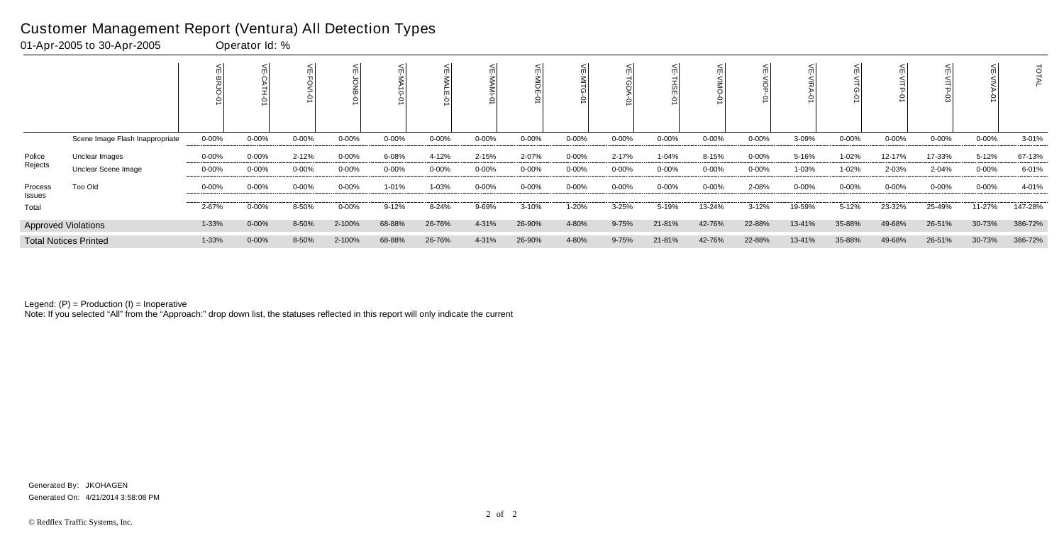|                   |                                 |            |            |            |           |           |        |           | Ò         |            |            |           |            |            |            |           |            |           |            | ਰ         |
|-------------------|---------------------------------|------------|------------|------------|-----------|-----------|--------|-----------|-----------|------------|------------|-----------|------------|------------|------------|-----------|------------|-----------|------------|-----------|
|                   | Scene Image Flash Inappropriate | $0 - 00\%$ | $0 - 00%$  | $0 - 00\%$ | $0 - 00%$ | $0 - 00%$ | 0-00%  | $0 - 00%$ | $0 - 00%$ | $0 - 00\%$ | $0 - 00\%$ | $0 - 00%$ | $0 - 00%$  | $0 - 00\%$ | 3-09%      | $0 - 00%$ | $0 - 00\%$ | $0 - 00%$ | $0 - 00\%$ | $3 - 01%$ |
| Police            | Unclear Images                  | 0-00%      | $0 - 00\%$ | $2 - 12%$  | $0 - 00%$ | 6-08%     | 4-12%  | 2-15%     | 2-07%     | $0 - 00\%$ | 2-17%      | $1 - 04%$ | 8-15%      | 0-00%      | 5-16%      | 1-02%     | 12-17%     | 17-33%    | 5-12%      | 67-13%    |
| Rejects           | Unclear Scene Image             | $0 - 00\%$ | $0 - 00%$  | $0 - 00\%$ | 0-00%     | $0 - 00%$ | 0-00%  | $0 - 00%$ | $0 - 00%$ | $0 - 00\%$ | $0 - 00\%$ | $0 - 00%$ | $0 - 00\%$ | $0 - 00\%$ | 1-03%      | 1-02%     | 2-03%      | 2-04%     | $0 - 00\%$ | 6-01%     |
| Process<br>Issues | Too Old                         | $0 - 00\%$ | $0 - 00%$  | $0 - 00\%$ | $0 - 00%$ | 1-01%     | 1-03%  | $0 - 00%$ | $0 - 00%$ | $0 - 00\%$ | $0 - 00\%$ | $0 - 00%$ | $0 - 00%$  | 2-08%      | $0 - 00\%$ | $0 - 00%$ | $0 - 00\%$ | 0-00%     | $0 - 00\%$ | 4-01%     |
| Total             |                                 | 2-67%      | 0-00%      | 8-50%      | $0 - 00%$ | $9 - 12%$ | 8-24%  | 9-69%     | 3-10%     | 1-20%      | $3 - 25%$  | 5-19%     | 13-24%     | $3 - 12%$  | 19-59%     | $5 - 12%$ | 23-32%     | 25-49%    | 11-27%     | 147-28%   |
|                   | <b>Approved Violations</b>      | 1-33%      | $0 - 00%$  | 8-50%      | 2-100%    | 68-88%    | 26-76% | 4-31%     | 26-90%    | 4-80%      | 9-75%      | 21-81%    | 42-76%     | 22-88%     | 13-41%     | 35-88%    | 49-68%     | 26-51%    | 30-73%     | 386-72%   |
|                   | <b>Total Notices Printed</b>    | 1-33%      | $0 - 00\%$ | 8-50%      | 2-100%    | 68-88%    | 26-76% | 4-31%     | 26-90%    | 4-80%      | $9 - 75%$  | 21-81%    | 42-76%     | 22-88%     | 13-41%     | 35-88%    | 49-68%     | 26-51%    | 30-73%     | 386-72%   |

Note: If you selected "All" from the "Approach:" drop down list, the statuses reflected in this report will only indicate the current

#### Customer Management Report (Ventura) All Detection Types

01-Apr-2005 to 30-Apr-2005 Operator Id: %

Generated On: 4/21/2014 3:58:08 PM Generated By: JKOHAGEN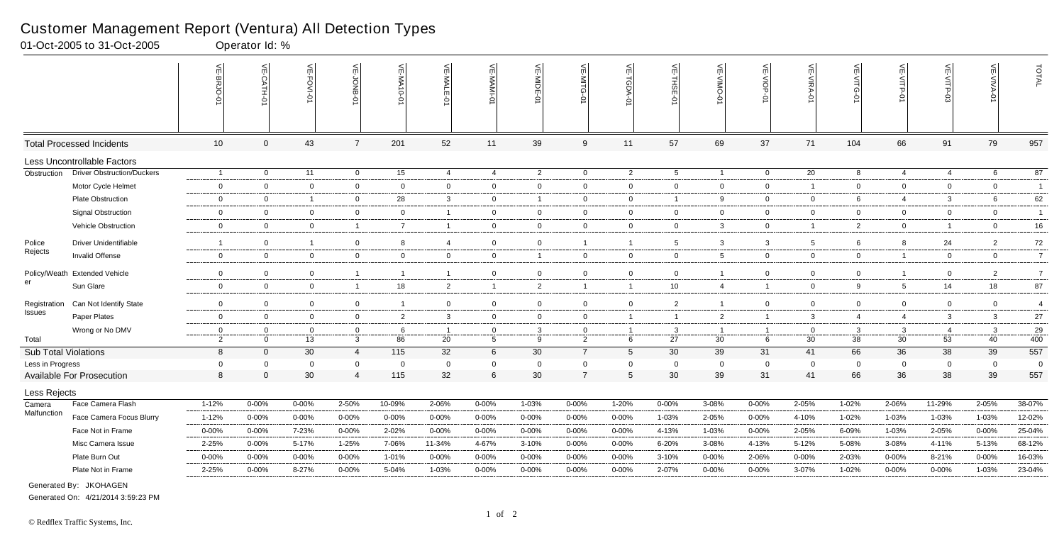|                      |                                            | $\frac{2}{\pi}$<br>Ċ<br>ä<br>ō | 븻<br>-CATH-<br>ò     | VE-FOVI-01     | VE-JONB                       | VE-MA10-01         | VE-MALE-01        | VE-MAMI-0                      | VE-MIDE-01                       | 븽<br>₿<br>ධ         | VE-TGDA-0        | VE-THSE-01      | $\leq$<br>OWIN-<br>Ò | VE-VIOP-<br>ò                 | VE-VIRA-01     | VE-VITG-01        | VE-VITP-01        | VE-VITP-03        | VE-VIVA-0            | TOTAL                 |
|----------------------|--------------------------------------------|--------------------------------|----------------------|----------------|-------------------------------|--------------------|-------------------|--------------------------------|----------------------------------|---------------------|------------------|-----------------|----------------------|-------------------------------|----------------|-------------------|-------------------|-------------------|----------------------|-----------------------|
|                      | <b>Total Processed Incidents</b>           | 10                             | $\mathbf{0}$         | 43             | $\overline{7}$                | 201                | 52                | 11                             | 39                               | 9                   | 11               | 57              | 69                   | 37                            | 71             | 104               | 66                | 91                | 79                   | 957                   |
|                      | Less Uncontrollable Factors                |                                |                      |                |                               |                    |                   |                                |                                  |                     |                  |                 |                      |                               |                |                   |                   |                   |                      |                       |
| Obstruction          | <b>Driver Obstruction/Duckers</b>          | $\overline{1}$                 | $\overline{0}$       | 11             | $\overline{0}$                | 15                 | $\overline{4}$    | $\overline{4}$                 | $\overline{2}$                   | $\overline{0}$      | $\overline{2}$   | 5               | $\overline{1}$       | $\overline{0}$                | 20             | 8                 | $\overline{4}$    | $\overline{4}$    | 6                    | 87                    |
|                      | Motor Cycle Helmet                         | $\mathbf 0$                    | $\overline{0}$       | $\mathbf 0$    | $\mathbf 0$                   | $\mathbf 0$        | $\mathbf 0$       | $\mathbf 0$                    | $\overline{0}$                   | $\overline{0}$      | $\overline{0}$   | $\mathbf 0$     | $\mathbf{0}$         | $\overline{0}$                | $\overline{1}$ | $\overline{0}$    | $\overline{0}$    | $\overline{0}$    | $\overline{0}$       | $\overline{1}$        |
|                      | Plate Obstruction                          | $\mathbf 0$                    | $\overline{0}$       | $\overline{1}$ | $\overline{0}$                | 28                 | $\mathbf{3}$      | $\overline{0}$                 | $\overline{1}$                   | $\mathbf 0$         | $\overline{0}$   | $\overline{1}$  | 9                    | $\overline{0}$                | $\overline{0}$ | 6                 | $\overline{4}$    | 3                 | 6                    | 62                    |
|                      | <b>Signal Obstruction</b>                  | $\mathbf 0$                    | $\overline{0}$       | $\overline{0}$ | $\overline{0}$                | $\overline{0}$     | $\mathbf{1}$      | $\mathbf 0$                    | $\overline{0}$                   | $\overline{0}$      | $\overline{0}$   | $\mathbf 0$     | $\mathbf{0}$         | $\overline{0}$                | $\overline{0}$ | $\overline{0}$    | $\overline{0}$    | 0                 | $\overline{0}$       | $\overline{1}$        |
|                      | Vehicle Obstruction                        | $\mathbf 0$                    | $\overline{0}$       | $\overline{0}$ | $\overline{1}$                | $\overline{7}$     | $\mathbf{1}$      | $\mathbf 0$                    | $\overline{0}$                   | $\mathbf 0$         | $\mathbf 0$      | $\mathbf 0$     | 3                    | $\mathbf 0$                   | $\overline{1}$ | $\overline{2}$    | $\overline{0}$    | $\overline{1}$    | $\mathbf 0$          | 16                    |
| Police               | Driver Unidentifiable                      | $\overline{1}$                 | $\overline{0}$       | $\overline{1}$ | $\mathbf 0$                   | 8                  | $\overline{4}$    | $\mathbf 0$                    | $\overline{0}$                   | $\overline{1}$      | $\overline{1}$   | $5\phantom{.0}$ | 3                    | $\mathbf{3}$                  | 5              | 6                 | 8                 | 24                | $\overline{2}$       | $72\,$                |
| Rejects              | Invalid Offense                            | $\mathbf 0$                    | $\overline{0}$       | $\mathbf 0$    | $\overline{0}$                | $\mathbf 0$        | $\mathbf 0$       | $\mathbf 0$                    | $\overline{\mathbf{1}}$          | $\mathbf 0$         | $\mathbf 0$      | $\overline{0}$  | 5                    | $\mathbf 0$                   | $\mathbf 0$    | $\mathbf 0$       | $\overline{1}$    | 0                 | $\mathbf 0$          | $\overline{7}$        |
|                      |                                            |                                |                      |                |                               |                    |                   |                                |                                  |                     |                  |                 |                      |                               |                |                   |                   |                   |                      |                       |
| er                   | Policy/Weath Extended Vehicle<br>Sun Glare | $\mathbf 0$<br>$\mathbf 0$     | $\Omega$             | $\mathbf 0$    | $\overline{1}$                |                    | $\mathbf{1}$      | $\mathbf 0$                    | $\overline{0}$<br>$\overline{2}$ | $\mathbf 0$         | $\mathbf 0$      | $\mathbf 0$     |                      | $\mathbf 0$<br>$\overline{1}$ | $\Omega$       | $\overline{0}$    | $\overline{1}$    | 0                 | $\overline{2}$<br>18 | $\overline{7}$<br>87  |
|                      |                                            |                                | $\mathbf 0$          | $\mathbf 0$    | $\overline{1}$                | 18                 | $\overline{2}$    | $\overline{1}$                 |                                  | $\overline{1}$      | $\overline{1}$   | 10              | 4                    |                               | $\mathbf 0$    | 9                 | $5\phantom{.0}$   | 14                |                      |                       |
| Registration         | Can Not Identify State                     | $\overline{0}$                 | $\mathbf 0$          | $\mathbf 0$    | $\mathbf 0$                   | -1                 | $\overline{0}$    | $\mathbf 0$                    | $\overline{\mathbf{0}}$          | $\mathbf 0$         | $\mathbf 0$      | $\overline{2}$  | -1                   | $\mathbf 0$                   | $\mathbf 0$    | $\mathbf 0$       | $\mathbf 0$       | $\mathbf 0$       | $\mathbf 0$          | $\overline{4}$        |
| Issues               | Paper Plates                               | $\mathbf 0$                    | $\overline{0}$       | $\mathbf 0$    | $\overline{0}$                | $\overline{2}$     | $\mathbf{3}$      | $\mathbf 0$                    | $\overline{0}$                   | $\mathbf 0$         | $\overline{1}$   | $\overline{1}$  | $\overline{2}$       | $\mathbf{1}$                  | $\mathbf{3}$   | $\overline{4}$    | $\overline{4}$    | 3                 | $\mathbf{3}$         | 27                    |
|                      | Wrong or No DMV                            | $\mathbf 0$                    | $\Omega$             | $\mathbf 0$    | $\overline{0}$                | 6                  | $\mathbf{1}$      | $\mathbf 0$                    | -3                               | $\overline{0}$      | $\overline{1}$   | $\mathbf{3}$    | $\overline{1}$       | $\overline{1}$                | $\Omega$       | $\mathbf{3}$      | $\mathbf{3}$      | $\overline{4}$    | $\mathbf{3}$         | 29                    |
| Total                |                                            | $\overline{2}$                 | $\overline{0}$       | 13             | $\mathbf{3}$                  | 86                 | 20                | 5                              | 9                                | $\overline{2}$      | 6                | 27              | 30                   | 6                             | 30             | 38                | 30                | 53                | 40                   | 400                   |
| Sub Total Violations |                                            | 8                              | $\Omega$             | 30             | $\overline{4}$                | 115                | 32                | 6                              | 30                               | $\overline{7}$      | $5\overline{)}$  | 30              | 39                   | 31                            | 41             | 66                | 36                | 38                | 39                   | 557                   |
| Less in Progress     |                                            | $\mathbf 0$<br>8               | $\Omega$<br>$\Omega$ | $\Omega$<br>30 | $\mathbf 0$<br>$\overline{4}$ | $\mathbf 0$<br>115 | $\mathbf 0$<br>32 | $\mathbf 0$<br>$6\phantom{.}6$ | $\overline{0}$<br>30             | 0<br>$\overline{7}$ | $\mathbf 0$<br>5 | - 0<br>30       | 0<br>39              | $\mathbf 0$                   | $\Omega$<br>41 | $\mathbf 0$<br>66 | $\mathbf 0$<br>36 | $\mathbf 0$<br>38 | $\overline{0}$<br>39 | $\overline{0}$<br>557 |
|                      | <b>Available For Prosecution</b>           |                                |                      |                |                               |                    |                   |                                |                                  |                     |                  |                 |                      | 31                            |                |                   |                   |                   |                      |                       |
| Less Rejects         |                                            |                                |                      |                |                               |                    |                   |                                |                                  |                     |                  |                 |                      |                               |                |                   |                   |                   |                      |                       |
| Camera               | Face Camera Flash                          | $1 - 12%$                      | $0 - 00%$            | 0-00%          | 2-50%                         | 10-09%             | 2-06%             | $0 - 00%$                      | 1-03%                            | 0-00%               | 1-20%            | $0 - 00%$       | 3-08%                | $0 - 00%$                     | 2-05%          | 1-02%             | 2-06%             | 11-29%            | 2-05%                | 38-07%                |
| Malfunction          | Face Camera Focus Blurry                   | 1-12%                          | 0-00%                | $0 - 00\%$     | $0 - 00%$                     | 0-00%              | $0 - 00%$         | $0 - 00%$                      | $0 - 00%$                        | 0-00%               | $0 - 00\%$       | 1-03%           | 2-05%                | $0 - 00%$                     | 4-10%          | 1-02%             | 1-03%             | 1-03%             | 1-03%                | 12-02%                |
|                      | Face Not in Frame                          | $0 - 00%$                      | $0 - 00%$            | 7-23%          | $0 - 00%$                     | 2-02%              | 0-00%             | $0 - 00%$                      | $0 - 00%$                        | $0 - 00%$           | $0 - 00\%$       | 4-13%           | 1-03%                | $0 - 00%$                     | 2-05%          | 6-09%             | 1-03%             | 2-05%             | $0 - 00%$            | 25-04%                |
|                      | Misc Camera Issue                          | 2-25%                          | $0 - 00%$            | 5-17%          | 1-25%                         | 7-06%              | 11-34%            | 4-67%                          | $3 - 10%$                        | 0-00%               | $0 - 00\%$       | 6-20%           | 3-08%                | 4-13%                         | $5 - 12%$      | 5-08%             | 3-08%             | 4-11%             | 5-13%                | 68-12%                |
|                      | Plate Burn Out                             | 0-00%                          | $0 - 00%$            | $0 - 00%$      | $0 - 00%$                     | $1 - 01%$          | 0-00%             | 0-00%                          | $0 - 00%$                        | 0-00%               | $0 - 00%$        | $3 - 10%$       | 0-00%                | 2-06%                         | $0 - 00%$      | 2-03%             | $0 - 00%$         | 8-21%             | $0 - 00%$            | 16-03%                |
|                      | Plate Not in Frame                         | 2-25%                          | 0-00%                | 8-27%          | $0 - 00%$                     | 5-04%              | 1-03%             | $0 - 00%$                      | 0-00%                            | 0-00%               | $0 - 00%$        | 2-07%           | 0-00%                | $0 - 00%$                     | $3 - 07%$      | 1-02%             | $0 - 00%$         | $0 - 00%$         | 1-03%                | 23-04%                |
|                      | Generated By: JKOHAGEN                     |                                |                      |                |                               |                    |                   |                                |                                  |                     |                  |                 |                      |                               |                |                   |                   |                   |                      |                       |

01-Oct-2005 to 31-Oct-2005

Generated On: 4/21/2014 3:59:23 PM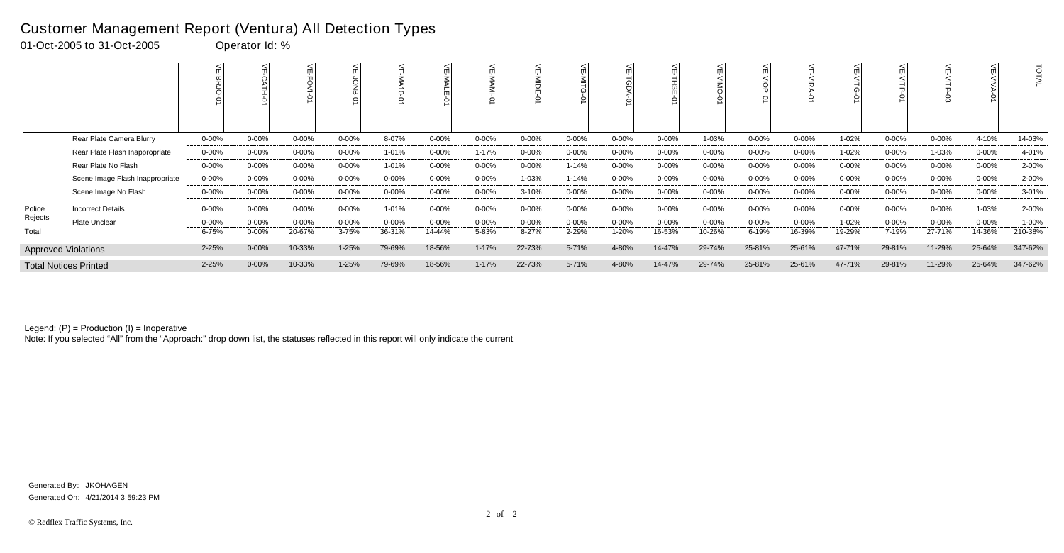|         |                                 |            |            |            |           |            |            |            | <b>NIDE</b> |            |            | 으         |            |            |            |           |            |            |            | $\vec{o}$ |
|---------|---------------------------------|------------|------------|------------|-----------|------------|------------|------------|-------------|------------|------------|-----------|------------|------------|------------|-----------|------------|------------|------------|-----------|
|         | Rear Plate Camera Blurry        | $0 - 00\%$ | $0 - 00%$  | $0 - 00%$  | 0-00%     | 8-07%      | 0-00%      | $0 - 00\%$ | 0-00%       | $0 - 00\%$ | $0 - 00\%$ | $0 - 00%$ | 1-03%      | $0 - 00\%$ | $0 - 00\%$ | 1-02%     | $0 - 00\%$ | $0 - 00%$  | 4-10%      | 14-03%    |
|         | Rear Plate Flash Inappropriate  | 0-00%      | $0 - 00\%$ | $0 - 00\%$ | $0 - 00%$ | 1-01%      | $0 - 00\%$ | $1 - 17%$  | $0 - 00\%$  | $0 - 00\%$ | $0 - 00\%$ | $0 - 00%$ | $0 - 00\%$ | $0 - 00\%$ | $0 - 00\%$ | 1-02%     | 0-00%      | 1-03%      | $0 - 00\%$ | 4-01%     |
|         | Rear Plate No Flash             | $0 - 00\%$ | $0 - 00%$  | $0 - 00\%$ | $0 - 00%$ | 1-01%      | 0-00%      | $0 - 00%$  | $0 - 00%$   | $1 - 14%$  | $0 - 00%$  | $0 - 00%$ | $0 - 00%$  | $0 - 00\%$ | $0 - 00%$  | 0-00%     | $0 - 00%$  | 0-00%      | $0 - 00\%$ | 2-00%     |
|         | Scene Image Flash Inappropriate | $0 - 00\%$ | $0 - 00%$  | $0 - 00%$  | $0 - 00%$ | $0 - 00%$  | $0 - 00\%$ | $0 - 00\%$ | 1-03%       | 1-14%      | $0 - 00\%$ | $0 - 00%$ | $0 - 00%$  | $0 - 00\%$ | $0 - 00%$  | $0 - 00%$ | $0 - 00\%$ | $0 - 00%$  | $0 - 00\%$ | 2-00%     |
|         | Scene Image No Flash            | $0 - 00\%$ | $0 - 00\%$ | $0 - 00\%$ | $0 - 00%$ | $0 - 00\%$ | 0-00%      | $0 - 00%$  | $3 - 10%$   | $0 - 00\%$ | $0 - 00\%$ | $0 - 00%$ | $0 - 00%$  | $0 - 00\%$ | $0 - 00\%$ | $0 - 00%$ | $0 - 00\%$ | $0 - 00%$  | $0 - 00\%$ | $3 - 01%$ |
| Police  | <b>Incorrect Details</b>        | $0 - 00\%$ | $0 - 00\%$ | 0-00%      | $0 - 00%$ | 1-01%      | $0 - 00\%$ | $0 - 00%$  | 0-00%       | $0 - 00\%$ | $0 - 00\%$ | $0 - 00%$ | $0 - 00\%$ | $0 - 00\%$ | $0 - 00\%$ | $0 - 00%$ | $0 - 00\%$ | $0 - 00\%$ | 1-03%      | 2-00%     |
| Rejects | <b>Plate Unclear</b>            | $0 - 00\%$ | $0 - 00%$  | $0 - 00\%$ | $0 - 00%$ | $0 - 00%$  | $0 - 00\%$ | $0 - 00%$  | 0-00%       | $0 - 00\%$ | $0 - 00\%$ | $0 - 00%$ | $0 - 00\%$ | $0 - 00\%$ | $0 - 00\%$ | 1-02%     | $0 - 00\%$ | 0-00%      | $0 - 00\%$ | 1-00%     |
| Total   |                                 | 6-75%      | 0-00%      | 20-67%     | 3-75%     | 36-31%     | 14-44%     | 5-83%      | 8-27%       | 2-29%      | 1-20%      | 16-53%    | 10-26%     | 6-19%      | 16-39%     | 19-29%    | 7-19%      | 27-71%     | 14-36%     | 210-38%   |
|         | <b>Approved Violations</b>      | 2-25%      | $0 - 00%$  | 10-33%     | 1-25%     | 79-69%     | 18-56%     | $1 - 17%$  | 22-73%      | 5-71%      | 4-80%      | 14-47%    | 29-74%     | 25-81%     | 25-61%     | 47-71%    | 29-81%     | 11-29%     | 25-64%     | 347-62%   |
|         | <b>Total Notices Printed</b>    | 2-25%      | $0 - 00\%$ | 10-33%     | 1-25%     | 79-69%     | 18-56%     | $1 - 17%$  | 22-73%      | 5-71%      | 4-80%      | 14-47%    | 29-74%     | 25-81%     | 25-61%     | 47-71%    | 29-81%     | 11-29%     | 25-64%     | 347-62%   |

Note: If you selected "All" from the "Approach:" drop down list, the statuses reflected in this report will only indicate the current

#### Customer Management Report (Ventura) All Detection Types

01-Oct-2005 to 31-Oct-2005 Operator Id: %

Generated On: 4/21/2014 3:59:23 PM Generated By: JKOHAGEN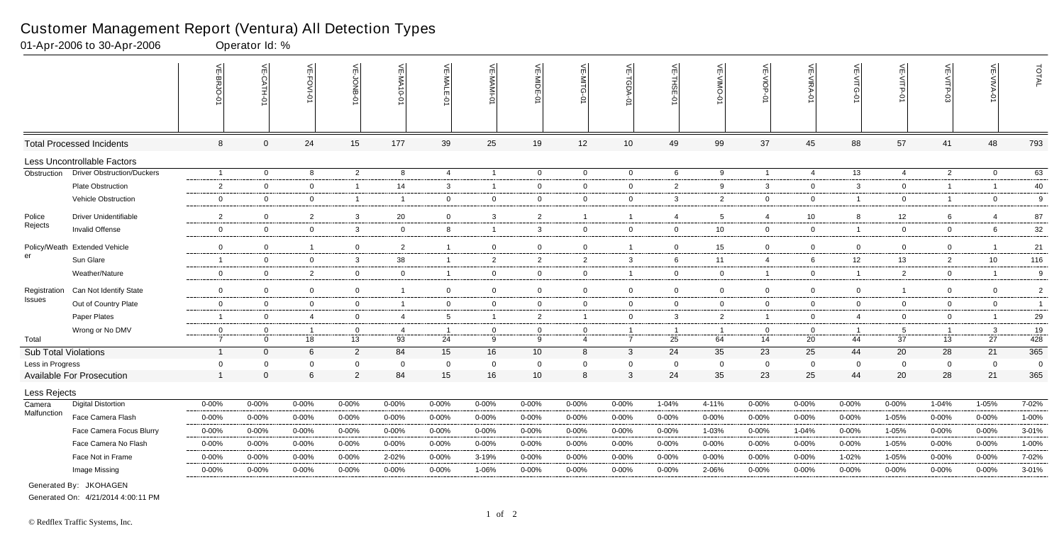|                             |                                   | $\leq$<br>-BRJO- | VE-CATH-0      | VE-FOVI-01     | VE-JONB-       | VE-MA10-01              | VE-MALE-01      | VE-MAMI-0      | VE-MIDE-01              | $\leq$<br>่⊴่<br>ධ<br>Ò | VE-TGDA-0       | VE-THSE-01     | ے<br>OMIA-<br>Ò | VE-VIOP-<br>$\dot{\circ}$ | VE-VIRA-01     | VE-VITG-<br>Ò  | VE-VITP-01      | VE-VITP-03     | VE-VIVA-01     | TOTAL          |
|-----------------------------|-----------------------------------|------------------|----------------|----------------|----------------|-------------------------|-----------------|----------------|-------------------------|-------------------------|-----------------|----------------|-----------------|---------------------------|----------------|----------------|-----------------|----------------|----------------|----------------|
|                             | <b>Total Processed Incidents</b>  | 8                | $\mathbf{0}$   | 24             | 15             | 177                     | 39              | 25             | 19                      | 12                      | 10 <sup>1</sup> | 49             | 99              | 37                        | 45             | 88             | 57              | 41             | 48             | 793            |
|                             | Less Uncontrollable Factors       |                  |                |                |                |                         |                 |                |                         |                         |                 |                |                 |                           |                |                |                 |                |                |                |
| Obstruction                 | <b>Driver Obstruction/Duckers</b> | $\overline{1}$   | $\overline{0}$ | 8              | $\overline{2}$ | 8                       | $\overline{4}$  | $\overline{1}$ | $\overline{0}$          | $\overline{0}$          | $\mathbf 0$     | 6              | 9               | $\overline{1}$            | $\overline{4}$ | 13             | $\overline{4}$  | $\overline{2}$ | $\mathbf 0$    | 63             |
|                             | Plate Obstruction                 | 2                | $\overline{0}$ | $\mathbf 0$    | $\overline{1}$ | 14                      | 3               | $\overline{1}$ | $\overline{0}$          | $\overline{0}$          | $\overline{0}$  | $\overline{2}$ | 9               | $\mathbf{3}$              | $\overline{0}$ | $\mathbf{3}$   | $\mathbf 0$     | $\overline{1}$ | $\overline{1}$ | 40             |
|                             | Vehicle Obstruction               | $\mathbf 0$      | $\overline{0}$ | $\overline{0}$ | $\overline{1}$ | $\overline{1}$          | $\overline{0}$  | $\mathbf 0$    | $\overline{0}$          | $\overline{0}$          | $\overline{0}$  | $\mathbf{3}$   | $\overline{2}$  | $\overline{0}$            | $\overline{0}$ | $\overline{1}$ | $\overline{0}$  | $\overline{1}$ | $\overline{0}$ | 9              |
| Police                      | Driver Unidentifiable             | $\overline{2}$   | $\overline{0}$ | $\overline{2}$ | $\mathbf{3}$   | 20                      | $\mathbf{0}$    | $\mathbf{3}$   | $\overline{2}$          | -1                      | $\overline{1}$  | -4             | 5               | 4                         | 10             | 8              | 12              | 6              | $\overline{4}$ | 87             |
| Rejects                     | Invalid Offense                   | $\mathbf 0$      | $\overline{0}$ | $\mathbf 0$    | $\mathbf{3}$   | $\mathbf 0$             | 8               | $\overline{1}$ | $\mathbf{3}$            | $\overline{0}$          | $\overline{0}$  | $\mathbf 0$    | 10              | $\overline{0}$            | $\mathbf 0$    | $\overline{1}$ | $\overline{0}$  | $\mathbf 0$    | 6              | 32             |
| Policy/Weath                | <b>Extended Vehicle</b>           | $\mathbf 0$      | $\overline{0}$ | $\overline{1}$ | $\overline{0}$ | $\overline{2}$          | $\mathbf{1}$    | $\overline{0}$ | $\overline{0}$          | $\overline{0}$          | $\overline{1}$  | $\mathbf 0$    | 15              | $\overline{0}$            | $\overline{0}$ | $\mathbf 0$    | $\overline{0}$  | $\mathbf 0$    |                | 21             |
| er                          | Sun Glare                         | $\overline{1}$   | $\overline{0}$ | $\overline{0}$ | $\mathbf{3}$   | 38                      | $\mathbf{1}$    | $\overline{2}$ | $\overline{c}$          | $\overline{2}$          | 3               | 6              | 11              | $\overline{4}$            | 6              | 12             | 13              | $\overline{2}$ | 10             | 116            |
|                             | Weather/Nature                    | $\mathbf 0$      | $\overline{0}$ | $\overline{2}$ | $\overline{0}$ | 0                       | $\mathbf{1}$    | $\overline{0}$ | $\overline{0}$          | $\mathbf 0$             | $\overline{1}$  | $\mathbf 0$    | $\mathbf 0$     | $\overline{1}$            | $\mathbf 0$    |                | 2               | $\mathbf 0$    |                | 9              |
| Registration                | Can Not Identify State            | $\mathbf 0$      | $\overline{0}$ | $\overline{0}$ | $\overline{0}$ | $\overline{\mathbf{1}}$ | $\mathbf 0$     | $\overline{0}$ | $\overline{0}$          | $\overline{0}$          | $\mathbf 0$     | $\mathbf 0$    | $\Omega$        | $\mathbf 0$               | $\Omega$       | $\mathbf 0$    | $\mathbf{1}$    | $\mathbf 0$    | $\mathbf 0$    | $\overline{2}$ |
| Issues                      | Out of Country Plate              | $\mathbf 0$      | $\mathbf 0$    | $\mathbf 0$    | $\overline{0}$ | $\overline{1}$          | $\overline{0}$  | $\overline{0}$ | $\overline{\mathbf{0}}$ | $\mathbf 0$             | $\mathbf 0$     | $\mathbf 0$    | $\mathbf 0$     | $\overline{0}$            | $\mathbf 0$    | $\overline{0}$ | $\overline{0}$  | $\mathbf 0$    | $\mathbf 0$    | $\overline{1}$ |
|                             | Paper Plates                      | -1               | $\overline{0}$ | $\overline{4}$ | $\overline{0}$ | $\overline{4}$          | $5\overline{)}$ | $\overline{1}$ | $\overline{2}$          | $\mathbf{1}$            | $\mathbf 0$     | $\mathbf{3}$   | $\overline{2}$  | $\overline{1}$            | $\overline{0}$ | $\overline{4}$ | $\overline{0}$  | $\mathbf 0$    |                | 29             |
|                             | Wrong or No DMV                   | 0                | $\Omega$       | $\overline{1}$ | $\mathbf 0$    | $\overline{4}$          | $\overline{1}$  | $\mathbf 0$    | $\overline{0}$          | $\overline{0}$          | $\overline{1}$  | $\overline{1}$ | $\overline{1}$  | $\mathbf 0$               | $\overline{0}$ | $\overline{1}$ | $5\overline{)}$ | $\overline{1}$ | $\mathbf{3}$   | 19             |
| Total                       |                                   | $\overline{7}$   | $\Omega$       | 18             | 13             | 93                      | 24              | 9              | 9                       | $\overline{4}$          | $\overline{7}$  | 25             | 64              | 14                        | 20             | 44             | 37              | 13             | 27             | 428            |
| <b>Sub Total Violations</b> |                                   | $\overline{1}$   | $\Omega$       | 6              | $\overline{2}$ | 84                      | 15              | 16             | 10                      | 8                       | $\mathbf{3}$    | 24             | 35              | 23                        | 25             | 44             | 20              | 28             | 21             | 365            |
| Less in Progress            |                                   | $\mathbf 0$      | $\Omega$       | $\Omega$       | $\mathbf 0$    | $\mathbf 0$             | $\mathbf 0$     | $\mathbf 0$    | $\overline{0}$          | $\Omega$                | $\mathbf 0$     | 0              | 0               | $\mathbf 0$               | $\mathbf 0$    | $\mathbf 0$    | $\mathbf 0$     | $\mathbf 0$    | $\mathbf 0$    | $\mathbf 0$    |
|                             | <b>Available For Prosecution</b>  | $\overline{1}$   | $\Omega$       | 6              | $\overline{2}$ | 84                      | 15              | 16             | 10                      | 8                       | $\mathbf{3}$    | 24             | 35              | 23                        | 25             | 44             | 20              | 28             | 21             | 365            |
| Less Rejects                |                                   |                  |                |                |                |                         |                 |                |                         |                         |                 |                |                 |                           |                |                |                 |                |                |                |
| Camera                      | <b>Digital Distortion</b>         | $0 - 00%$        | 0-00%          | $0 - 00\%$     | $0 - 00%$      | 0-00%                   | $0 - 00\%$      | $0 - 00%$      | $0 - 00%$               | 0-00%                   | $0 - 00\%$      | 1-04%          | 4-11%           | $0 - 00%$                 | $0 - 00%$      | 0-00%          | $0 - 00%$       | 1-04%          | 1-05%          | 7-02%          |
| Malfunction                 | Face Camera Flash                 | $0 - 00%$        | 0-00%          | $0 - 00%$      | $0 - 00%$      | 0-00%                   | 0-00%           | $0 - 00%$      | $0 - 00%$               | 0-00%                   | $0 - 00\%$      | $0 - 00%$      | 0-00%           | $0 - 00%$                 | $0 - 00%$      | $0 - 00%$      | 1-05%           | 0-00%          | $0 - 00%$      | 1-00%          |
|                             | Face Camera Focus Blurry          | $0 - 00%$        | $0 - 00%$      | 0-00%          | $0 - 00%$      | $0 - 00%$               | $0 - 00%$       | $0 - 00\%$     | $0 - 00%$               | $0 - 00%$               | $0 - 00\%$      | $0 - 00%$      | 1-03%           | $0 - 00%$                 | 1-04%          | $0 - 00\%$     | 1-05%           | $0 - 00%$      | $0 - 00\%$     | 3-01%          |
|                             | Face Camera No Flash              | $0 - 00\%$       | $0 - 00%$      | $0 - 00\%$     | $0 - 00%$      | $0 - 00%$               | $0 - 00%$       | $0 - 00\%$     | $0 - 00%$               | 0-00%                   | $0 - 00\%$      | $0 - 00%$      | 0-00%           | $0 - 00\%$                | $0 - 00\%$     | $0 - 00%$      | 1-05%           | $0 - 00%$      | $0 - 00%$      | 1-00%          |
|                             | Face Not in Frame                 | $0 - 00%$        | $0 - 00%$      | $0 - 00%$      | $0 - 00%$      | 2-02%                   | 0-00%           | 3-19%          | $0 - 00%$               | 0-00%                   | $0 - 00%$       | $0 - 00%$      | 0-00%           | $0 - 00%$                 | $0 - 00\%$     | 1-02%          | 1-05%           | 0-00%          | $0 - 00\%$     | 7-02%          |
|                             | Image Missing                     | $0 - 00%$        | $0 - 00%$      | $0 - 00%$      | $0 - 00%$      | 0-00%                   | $0 - 00%$       | 1-06%          | 0-00%                   | 0-00%                   | $0 - 00%$       | $0 - 00%$      | 2-06%           | $0 - 00%$                 | $0 - 00%$      | $0 - 00%$      | $0 - 00%$       | $0 - 00%$      | $0 - 00%$      | 3-01%          |
|                             | Generated By: JKOHAGEN            |                  |                |                |                |                         |                 |                |                         |                         |                 |                |                 |                           |                |                |                 |                |                |                |

01-Apr-2006 to 30-Apr-2006 Operator Id: %

Generated On: 4/21/2014 4:00:11 PM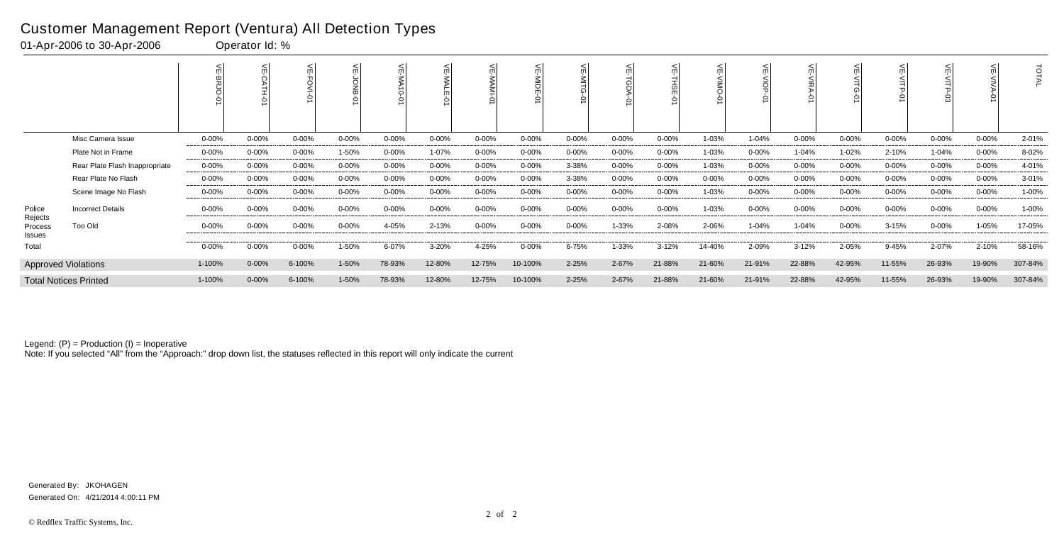|                              |                                |            |            |            |            |           | <b>NAL</b> |            | 늰<br>$rac{1}{2}$<br>5 |            |            | ш<br>$\mathcal{Q}$ |            |            |            |            |            |            |            | ਰ<br>FAL  |
|------------------------------|--------------------------------|------------|------------|------------|------------|-----------|------------|------------|-----------------------|------------|------------|--------------------|------------|------------|------------|------------|------------|------------|------------|-----------|
|                              | Misc Camera Issue              | 0-00%      | $0 - 00%$  | $0 - 00%$  | 0-00%      | $0 - 00%$ | $0 - 00\%$ | $0 - 00%$  | 0-00%                 | $0 - 00\%$ | $0 - 00\%$ | $0 - 00%$          | 1-03%      | 1-04%      | 0-00%      | 0-00%      | $0 - 00%$  | $0 - 00%$  | $0 - 00%$  | 2-01%     |
|                              | Plate Not in Frame             | $0 - 00\%$ | $0 - 00%$  | $0 - 00\%$ | 1-50%      | $0 - 00%$ | 1-07%      | $0 - 00%$  | $0 - 00%$             | $0 - 00\%$ | $0 - 00\%$ | $0 - 00%$          | 1-03%      | $0 - 00\%$ | $1 - 04%$  | 1-02%      | 2-10%      | $1 - 04%$  | $0 - 00\%$ | 8-02%     |
|                              | Rear Plate Flash Inappropriate | $0 - 00\%$ | 0-00%      | 0-00%      | $0 - 00%$  | $0 - 00%$ | $0 - 00\%$ | $0 - 00%$  | $0 - 00%$             | 3-38%      | $0 - 00\%$ | $0 - 00%$          | 1-03%      | $0 - 00\%$ | $0 - 00\%$ | $0 - 00%$  | 0-00%      | $0 - 00%$  | $0 - 00\%$ | 4-01%     |
|                              | Rear Plate No Flash            | $0 - 00\%$ | $0 - 00\%$ | 0-00%      | $0 - 00\%$ | $0 - 00%$ | $0 - 00\%$ | $0 - 00\%$ | 0-00%                 | 3-38%      | $0 - 00\%$ | $0 - 00%$          | $0 - 00\%$ | $0 - 00\%$ | $0 - 00%$  | $0 - 00\%$ | 0-00%      | 0-00%      | $0 - 00\%$ | $3 - 01%$ |
|                              | Scene Image No Flash           | $0 - 00\%$ | $0 - 00%$  | $0 - 00\%$ | $0 - 00%$  | $0 - 00%$ | 0-00%      | $0 - 00%$  | $0 - 00%$             | $0 - 00\%$ | $0 - 00\%$ | $0 - 00%$          | 1-03%      | $0 - 00\%$ | $0 - 00%$  | $0 - 00%$  | $0 - 00%$  | $0 - 00%$  | $0 - 00\%$ | 1-00%     |
| Police                       | <b>Incorrect Details</b>       | $0 - 00\%$ | $0 - 00%$  | $0 - 00%$  | $0 - 00%$  | $0 - 00%$ | 0-00%      | $0 - 00\%$ | $0 - 00%$             | $0 - 00\%$ | $0 - 00\%$ | $0 - 00%$          | 1-03%      | $0 - 00\%$ | $0 - 00\%$ | $0 - 00%$  | $0 - 00\%$ | 0-00%      | $0 - 00\%$ | $1 - 00%$ |
| Rejects<br>Process<br>Issues | Too Old                        | 0-00%      | 0-00%      | $0 - 00\%$ | 0-00%      | 4-05%     | 2-13%      | $0 - 00\%$ | 0-00%                 | $0 - 00\%$ | 1-33%      | 2-08%              | 2-06%      | $1 - 04%$  | 1-04%      | $0 - 00%$  | $3 - 15%$  | $0 - 00\%$ | $1 - 05%$  | 17-05%    |
| Total                        |                                | $0 - 00\%$ | $0 - 00%$  | $0 - 00\%$ | 1-50%      | 6-07%     | 3-20%      | 4-25%      | $0 - 00%$             | 6-75%      | 1-33%      | $3 - 12%$          | 14-40%     | 2-09%      | $3 - 12%$  | 2-05%      | 9-45%      | 2-07%      | 2-10%      | 58-16%    |
|                              | <b>Approved Violations</b>     | 1-100%     | $0 - 00%$  | 6-100%     | 1-50%      | 78-93%    | 12-80%     | 12-75%     | 10-100%               | $2 - 25%$  | 2-67%      | 21-88%             | 21-60%     | 21-91%     | 22-88%     | 42-95%     | 11-55%     | 26-93%     | 19-90%     | 307-84%   |
|                              | <b>Total Notices Printed</b>   | 1-100%     | $0 - 00\%$ | 6-100%     | 1-50%      | 78-93%    | 12-80%     | 12-75%     | 10-100%               | 2-25%      | 2-67%      | 21-88%             | 21-60%     | 21-91%     | 22-88%     | 42-95%     | 11-55%     | 26-93%     | 19-90%     | 307-84%   |

Note: If you selected "All" from the "Approach:" drop down list, the statuses reflected in this report will only indicate the current

#### Customer Management Report (Ventura) All Detection Types

01-Apr-2006 to 30-Apr-2006 Operator Id: %

Generated On: 4/21/2014 4:00:11 PM Generated By: JKOHAGEN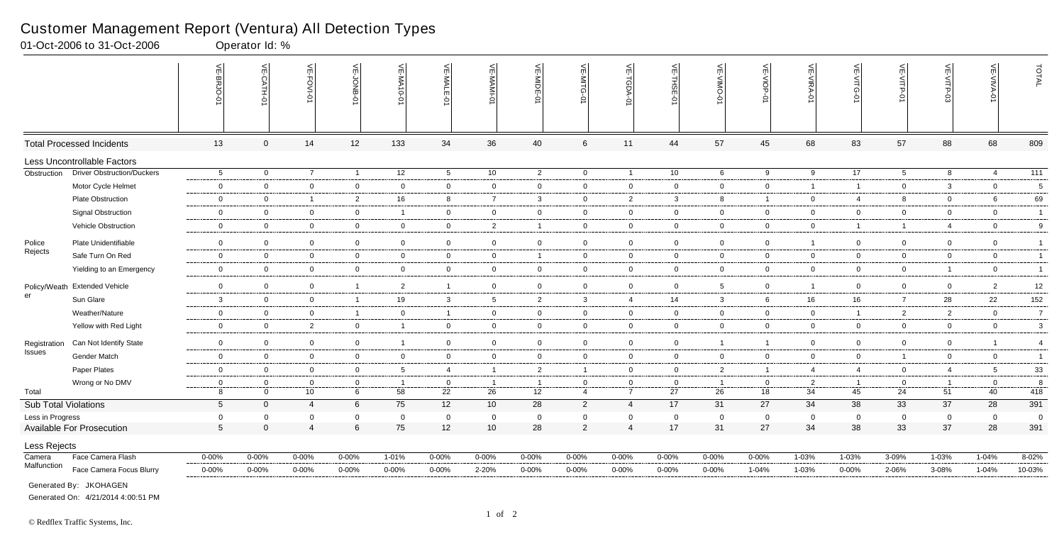|                             |                                   | VE-BRJO-01      | $\leq$         | <b>VE-FOVI-0</b> | VE-JONB-01     | <b>VE-MA10-0</b> | VE-MALE-01      | VE-MAMI-01      | VE-MIDE-01     | VE-MITG<br>ò    | $\leq$<br>ನ<br>ヮ | $\widetilde{\mathbb{F}}$<br>THSE-01 | O-ONIN-3A       | VE-VIOP-<br>ė  | VE-VIRA-01     | VE-VITG-01     | VE-VITP-0       | VE-VITP-03     | $\leq$<br><b>AIVA</b><br>Ò | TOTAL            |
|-----------------------------|-----------------------------------|-----------------|----------------|------------------|----------------|------------------|-----------------|-----------------|----------------|-----------------|------------------|-------------------------------------|-----------------|----------------|----------------|----------------|-----------------|----------------|----------------------------|------------------|
|                             | <b>Total Processed Incidents</b>  | 13              | $\overline{0}$ | 14               | 12             | 133              | 34              | 36              | 40             | $6\phantom{1}6$ | 11               | 44                                  | 57              | 45             | 68             | 83             | 57              | 88             | 68                         | 809              |
|                             | Less Uncontrollable Factors       |                 |                |                  |                |                  |                 |                 |                |                 |                  |                                     |                 |                |                |                |                 |                |                            |                  |
| Obstruction                 | <b>Driver Obstruction/Duckers</b> | $5\overline{)}$ | $\overline{0}$ | $\overline{7}$   | $\overline{1}$ | $\overline{12}$  | $5\overline{)}$ | 10              | $\overline{2}$ | $\mathbf 0$     | $\overline{1}$   | 10                                  | 6               | 9              | 9              | 17             | $5\overline{)}$ | 8              | $\overline{4}$             | $\overline{111}$ |
|                             | Motor Cycle Helmet                | $\mathbf 0$     | $\overline{0}$ | $\mathbf 0$      | $\mathbf 0$    | $\mathbf 0$      | $\mathbf 0$     | $\overline{0}$  | $\mathbf 0$    | $\overline{0}$  | $\overline{0}$   | $\Omega$                            | $\overline{0}$  | $\mathbf 0$    | $\overline{1}$ | 1              | $\overline{0}$  | $\mathbf{3}$   | $\overline{0}$             | 5                |
|                             | <b>Plate Obstruction</b>          | $\mathbf 0$     | $\overline{0}$ | $\overline{1}$   | $\overline{2}$ | 16               | 8               | $\overline{7}$  | $\mathbf{3}$   | $\overline{0}$  | $\overline{2}$   | 3                                   | 8               | $\overline{1}$ | $\overline{0}$ | $\overline{4}$ | 8               | $\overline{0}$ | 6                          | 69               |
|                             | <b>Signal Obstruction</b>         | $\overline{0}$  | $\mathbf 0$    | $\mathbf 0$      | $\overline{0}$ | 1                | $\mathbf 0$     | $\mathbf 0$     | $\mathbf 0$    | $\mathbf 0$     | $\mathbf 0$      | $\mathbf 0$                         | $\mathbf 0$     | $\overline{0}$ | $\overline{0}$ | $\mathbf{0}$   | $\overline{0}$  | $\overline{0}$ | $\overline{0}$             | $\overline{1}$   |
|                             | Vehicle Obstruction               | $\overline{0}$  | $\overline{0}$ | $\overline{0}$   | $\mathbf 0$    | $\overline{0}$   | $\overline{0}$  | $\overline{2}$  | - 1            | $\mathbf 0$     | $\mathbf 0$      | $\overline{0}$                      | $\mathbf 0$     | $\overline{0}$ | $\overline{0}$ | $\mathbf{1}$   | $\mathbf{1}$    | $\overline{4}$ | $\mathbf 0$                | 9                |
| Police                      | Plate Unidentifiable              | $\mathbf 0$     | $\mathbf 0$    | $\mathbf 0$      | $\overline{0}$ | $\mathbf 0$      | $\overline{0}$  | $\mathbf 0$     | $\mathbf 0$    | $\mathbf 0$     | $\mathbf 0$      | $\mathbf 0$                         | $\mathbf 0$     | $\overline{0}$ | $\overline{1}$ | $\overline{0}$ | $\overline{0}$  | $\mathbf 0$    | $\mathbf 0$                | $\overline{1}$   |
| Rejects                     | Safe Turn On Red                  | $\overline{0}$  | $\mathbf 0$    | $\mathbf 0$      | $\overline{0}$ | $\mathbf 0$      | $\mathbf{0}$    | $\overline{0}$  |                | $\overline{0}$  | $\mathbf 0$      | $\mathbf 0$                         | $\mathbf 0$     | $\overline{0}$ | $\overline{0}$ | $\mathbf{0}$   | $\overline{0}$  | $\overline{0}$ | $\overline{0}$             | $\overline{1}$   |
|                             | Yielding to an Emergency          | $\overline{0}$  | $\mathbf 0$    | $\mathbf 0$      | $\mathbf 0$    | $\mathbf 0$      | $\mathbf{0}$    | $\mathbf 0$     | $\mathbf 0$    | $\mathbf 0$     | $\overline{0}$   | $\overline{0}$                      | $\mathbf 0$     | $\overline{0}$ | $\overline{0}$ | $\overline{0}$ | $\overline{0}$  | $\overline{1}$ | $\overline{0}$             | $\overline{1}$   |
|                             |                                   |                 |                |                  |                |                  |                 |                 |                |                 |                  |                                     |                 |                |                |                |                 |                |                            |                  |
| er                          | Policy/Weath Extended Vehicle     | $\mathbf 0$     | $\mathbf 0$    | $\mathbf 0$      | $\overline{1}$ | $\overline{2}$   | $\overline{1}$  | $\mathbf 0$     | $\mathbf 0$    | $\mathbf 0$     | $\mathbf 0$      | $\overline{0}$                      | $5\overline{)}$ | $\mathbf 0$    | $\overline{1}$ | $\mathbf{0}$   | $\overline{0}$  | $\mathbf 0$    | $\overline{2}$             | 12               |
|                             | Sun Glare                         | $\mathbf{3}$    | $\mathbf 0$    | $\mathbf 0$      | $\overline{1}$ | 19               | $\mathbf{3}$    | $5\phantom{.0}$ | 2              | $\mathbf{3}$    | $\overline{4}$   | 14                                  | 3               | 6              | 16             | 16             | $\overline{7}$  | 28             | 22                         | 152              |
|                             | Weather/Nature                    | $\mathbf 0$     | $\mathbf 0$    | $\overline{0}$   | $\overline{1}$ | 0                | $\overline{1}$  | $\mathbf 0$     | $\mathbf 0$    | $\mathbf 0$     | $\overline{0}$   | $\overline{0}$                      | $\mathbf 0$     | $\mathbf 0$    | $\overline{0}$ | $\mathbf{1}$   | 2               | 2              | $\overline{0}$             | $\overline{7}$   |
|                             | Yellow with Red Light             | $\mathbf 0$     | $\mathbf 0$    | 2                | $\mathbf 0$    | $\mathbf{1}$     | $\mathbf{0}$    | $\overline{0}$  | $\overline{0}$ | $\overline{0}$  | $\overline{0}$   | $\mathbf 0$                         | $\overline{0}$  | $\mathsf 0$    | $\overline{0}$ | $\overline{0}$ | $\overline{0}$  | $\overline{0}$ | $\overline{0}$             | 3                |
| Registration                | Can Not Identify State            | $\overline{0}$  | $\mathbf 0$    | $\overline{0}$   | $\mathbf 0$    | -1               | $\mathbf 0$     | $\overline{0}$  | $\mathbf 0$    | $\overline{0}$  | $\pmb{0}$        | $\mathbf 0$                         | -1              | $\overline{1}$ | $\overline{0}$ | $\mathbf 0$    | $\overline{0}$  | $\Omega$       |                            | $\overline{4}$   |
| Issues                      | Gender Match                      | $\overline{0}$  | $\overline{0}$ | $\overline{0}$   | $\mathbf{0}$   | $\overline{0}$   | $\overline{0}$  | $\mathbf 0$     | $\overline{0}$ | $\overline{0}$  | $\overline{0}$   | $\overline{0}$                      | $\overline{0}$  | $\overline{0}$ | $\overline{0}$ | $\overline{0}$ | $\mathbf{1}$    | $\overline{0}$ | $\overline{0}$             | $\mathbf{1}$     |
|                             | Paper Plates                      | $\mathbf 0$     | $\overline{0}$ | $\mathbf 0$      | $\mathbf 0$    | 5                | $\overline{4}$  | $\overline{1}$  | $\overline{2}$ | $\overline{1}$  | $\mathbf 0$      | $\overline{0}$                      | $\overline{2}$  | $\overline{1}$ | $\overline{4}$ | $\overline{4}$ | $\overline{0}$  | $\overline{4}$ | 5                          | 33               |
|                             | Wrong or No DMV                   | $\mathbf 0$     | $\mathbf 0$    | $\mathbf 0$      | $\mathbf 0$    | $\mathbf{1}$     | $\overline{0}$  | $\overline{1}$  |                | $\mathbf 0$     | $\mathbf 0$      | $\mathbf 0$                         | $\overline{1}$  | $\mathbf 0$    | $\overline{2}$ | $\overline{1}$ | $\overline{0}$  | $\overline{1}$ | $\mathbf 0$                | 8                |
| Total                       |                                   | 8               | $\overline{0}$ | 10               | 6              | 58               | 22              | 26              | 12             | $\overline{4}$  | $\overline{7}$   | 27                                  | 26              | 18             | 34             | 45             | 24              | 51             | 40                         | 418              |
| <b>Sub Total Violations</b> |                                   | $5\overline{)}$ | $\overline{0}$ | $\overline{4}$   | 6              | 75               | 12              | 10 <sup>°</sup> | 28             | $\overline{2}$  | $\overline{4}$   | 17                                  | 31              | 27             | 34             | 38             | 33              | 37             | 28                         | $\frac{1}{391}$  |
| Less in Progress            |                                   | $\Omega$        | $\Omega$       | $\Omega$         | $\mathbf 0$    | $\mathbf 0$      | $\mathbf 0$     | $\mathbf 0$     | $\Omega$       | $\Omega$        | $\mathbf 0$      | $\mathbf 0$                         | $\Omega$        | $\mathbf 0$    | $\overline{0}$ | $\Omega$       | $\mathbf 0$     | $\Omega$       | $\mathbf 0$                | $\overline{0}$   |
|                             | <b>Available For Prosecution</b>  | 5               | $\mathbf{0}$   | $\overline{A}$   | 6              | 75               | 12              | 10 <sup>1</sup> | 28             | $\overline{2}$  | $\overline{4}$   | 17                                  | 31              | 27             | 34             | 38             | 33              | 37             | 28                         | 391              |
| Less Rejects                |                                   |                 |                |                  |                |                  |                 |                 |                |                 |                  |                                     |                 |                |                |                |                 |                |                            |                  |
| Camera                      | Face Camera Flash                 | $0 - 00%$       | $0 - 00%$      | $0 - 00%$        | $0 - 00\%$     | 1-01%            | $0 - 00\%$      | $0 - 00%$       | $0 - 00%$      | $0 - 00\%$      | $0 - 00%$        | $0 - 00%$                           | $0 - 00%$       | $0 - 00\%$     | 1-03%          | $1 - 03%$      | 3-09%           | $1 - 03%$      | 1-04%                      | 8-02%            |
| Malfunction                 | Face Camera Focus Blurry          | $0 - 00\%$      | $0 - 00%$      | $0 - 00%$        | $0 - 00%$      | $0 - 00%$        | $0 - 00%$       | 2-20%           | 0-00%          | $0 - 00\%$      | $0 - 00%$        | 0-00%                               | $0 - 00\%$      | 1-04%          | 1-03%          | 0-00%          | 2-06%           | 3-08%          | 1-04%                      | 10-03%           |
|                             | Generated By: JKOHAGEN            |                 |                |                  |                |                  |                 |                 |                |                 |                  |                                     |                 |                |                |                |                 |                |                            |                  |

01-Oct-2006 to 31-Oct-2006 Operator Id: %

Generated On: 4/21/2014 4:00:51 PM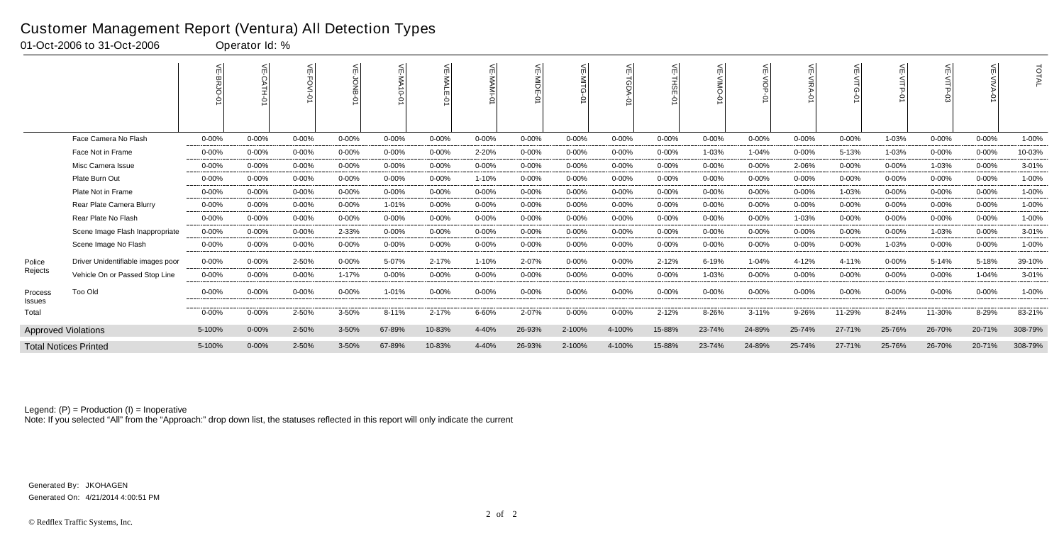|                   |                                   |           | $\leq$<br><b>PH-0</b> | ≲         |           | $\leq$<br>◠ | ≲          |           | VE-MIDE-<br>$\overline{5}$ | m          | 븻<br>TGDA  | ¥<br>THSE<br>ò | $\mathbf{r}$ | $\leq$<br>$rac{5}{5}$ | ₹          | ш         | $\leq$    | <<br>m    |           | TOTAL   |
|-------------------|-----------------------------------|-----------|-----------------------|-----------|-----------|-------------|------------|-----------|----------------------------|------------|------------|----------------|--------------|-----------------------|------------|-----------|-----------|-----------|-----------|---------|
|                   | Face Camera No Flash              | $0 - 00%$ | $0 - 00%$             | $0 - 00%$ | 0-00%     | $0 - 00%$   | $0 - 00\%$ | $0 - 00%$ | $0 - 00%$                  | $0 - 00\%$ | 0-00%      | $0 - 00%$      | $0 - 00%$    | $0 - 00%$             | $0 - 00%$  | $0 - 00%$ | 1-03%     | $0 - 00%$ | $0 - 00%$ | 1-00%   |
|                   | Face Not in Frame                 | $0 - 00%$ | $0 - 00%$             | $0 - 00%$ | $0 - 00%$ | $0 - 00%$   | 0-00%      | 2-20%     | $0 - 00%$                  | 0-00%      | $0 - 00\%$ | $0 - 00%$      | 1-03%        | 1-04%                 | $0 - 00%$  | 5-13%     | 1-03%     | $0 - 00%$ | $0 - 00%$ | 10-03%  |
|                   | Misc Camera Issue                 | $0 - 00%$ | $0 - 00%$             | $0 - 00%$ | $0 - 00%$ | $0 - 00%$   | $0 - 00%$  | $0 - 00%$ | $0 - 00%$                  | 0-00%      | $0 - 00\%$ | $0 - 00%$      | $0 - 00%$    | $0 - 00\%$            | 2-06%      | $0 - 00%$ | $0 - 00%$ | 1-03%     | $0 - 00%$ | 3-01%   |
|                   | Plate Burn Out                    | $0 - 00%$ | $0 - 00%$             | $0 - 00%$ | $0 - 00%$ | $0 - 00%$   | $0 - 00\%$ | 1-10%     | $0 - 00%$                  | $0 - 00\%$ | $0 - 00%$  | $0 - 00%$      | $0 - 00%$    | $0 - 00%$             | $0 - 00%$  | $0 - 00%$ | $0 - 00%$ | $0 - 00%$ | $0 - 00%$ | 1-00%   |
|                   | Plate Not in Frame                | $0 - 00%$ | $0 - 00%$             | $0 - 00%$ | $0 - 00%$ | $0 - 00%$   | 0-00%      | 0-00%     | $0 - 00%$                  | 0-00%      | 0-00%      | $0 - 00%$      | $0 - 00%$    | $0 - 00\%$            | $0 - 00%$  | 1-03%     | $0 - 00%$ | $0 - 00%$ | $0 - 00%$ | 1-00%   |
|                   | Rear Plate Camera Blurry          | $0 - 00%$ | $0 - 00%$             | $0 - 00%$ | $0 - 00%$ | 1-01%       | $0 - 00\%$ | $0 - 00%$ | $0 - 00%$                  | $0 - 00\%$ | $0 - 00\%$ | $0 - 00%$      | $0 - 00%$    | $0 - 00\%$            | $0 - 00%$  | $0 - 00%$ | $0 - 00%$ | $0 - 00%$ | $0 - 00%$ | 1-00%   |
|                   | Rear Plate No Flash               | $0 - 00%$ | $0 - 00%$             | $0 - 00%$ | $0 - 00%$ | $0 - 00%$   | 0-00%      | $0 - 00%$ | $0 - 00%$                  | 0-00%      | $0 - 00\%$ | $0 - 00%$      | $0 - 00%$    | $0 - 00%$             | 1-03%      | $0 - 00%$ | $0 - 00%$ | $0 - 00%$ | $0 - 00%$ | 1-00%   |
|                   | Scene Image Flash Inappropriate   | $0 - 00%$ | $0 - 00%$             | $0 - 00%$ | 2-33%     | $0 - 00%$   | 0-00%      | 0-00%     | $0 - 00%$                  | 0-00%      | $0 - 00\%$ | $0 - 00%$      | $0 - 00%$    | $0 - 00\%$            | $0 - 00\%$ | $0 - 00%$ | $0 - 00%$ | 1-03%     | $0 - 00%$ | 3-01%   |
|                   | Scene Image No Flash              | 0-00%     | $0 - 00%$             | $0 - 00%$ | $0 - 00%$ | $0 - 00%$   | $0 - 00%$  | $0 - 00%$ | $0 - 00%$                  | $0 - 00%$  | $0 - 00\%$ | $0 - 00%$      | $0 - 00%$    | $0 - 00%$             | $0 - 00%$  | $0 - 00%$ | 1-03%     | $0 - 00%$ | $0 - 00%$ | 1-00%   |
| Police            | Driver Unidentifiable images poor | $0 - 00%$ | $0 - 00%$             | 2-50%     | $0 - 00%$ | 5-07%       | 2-17%      | 1-10%     | 2-07%                      | $0 - 00\%$ | $0 - 00%$  | 2-12%          | 6-19%        | 1-04%                 | 4-12%      | 4-11%     | $0 - 00%$ | 5-14%     | 5-18%     | 39-10%  |
| Rejects           | Vehicle On or Passed Stop Line    | $0 - 00%$ | $0 - 00%$             | $0 - 00%$ | 1-17%     | $0 - 00%$   | $0 - 00\%$ | $0 - 00%$ | $0 - 00%$                  | $0 - 00\%$ | $0 - 00\%$ | $0 - 00%$      | 1-03%        | $0 - 00\%$            | $0 - 00%$  | $0 - 00%$ | $0 - 00%$ | 0-00%     | 1-04%     | 3-01%   |
| Process<br>Issues | Too Old                           | $0 - 00%$ | $0 - 00%$             | $0 - 00%$ | 0-00%     | 1-01%       | $0 - 00\%$ | $0 - 00%$ | $0 - 00%$                  | $0 - 00\%$ | $0 - 00\%$ | $0 - 00%$      | $0 - 00%$    | $0 - 00\%$            | $0 - 00%$  | 0-00%     | $0 - 00%$ | $0 - 00%$ | $0 - 00%$ | 1-00%   |
| Total             |                                   | $0 - 00%$ | 0-00%                 | 2-50%     | 3-50%     | 8-11%       | 2-17%      | 6-60%     | 2-07%                      | $0 - 00\%$ | $0 - 00%$  | 2-12%          | 8-26%        | $3 - 11%$             | 9-26%      | 11-29%    | 8-24%     | 11-30%    | 8-29%     | 83-21%  |
|                   | <b>Approved Violations</b>        | 5-100%    | $0 - 00%$             | 2-50%     | 3-50%     | 67-89%      | 10-83%     | 4-40%     | 26-93%                     | 2-100%     | 4-100%     | 15-88%         | 23-74%       | 24-89%                | 25-74%     | 27-71%    | 25-76%    | 26-70%    | 20-71%    | 308-79% |
|                   | <b>Total Notices Printed</b>      | 5-100%    | $0 - 00%$             | 2-50%     | 3-50%     | 67-89%      | 10-83%     | 4-40%     | 26-93%                     | 2-100%     | 4-100%     | 15-88%         | 23-74%       | 24-89%                | 25-74%     | 27-71%    | 25-76%    | 26-70%    | 20-71%    | 308-79% |

Note: If you selected "All" from the "Approach:" drop down list, the statuses reflected in this report will only indicate the current

#### Customer Management Report (Ventura) All Detection Types

01-Oct-2006 to 31-Oct-2006 Operator Id: %

Generated On: 4/21/2014 4:00:51 PM Generated By: JKOHAGEN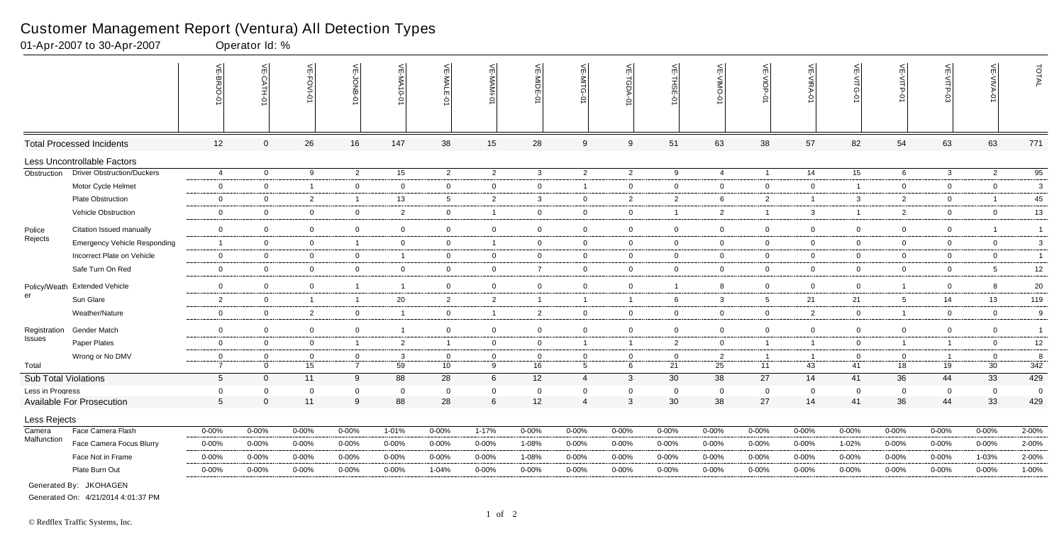|                             |                                     | $\frac{2}{\pi}$<br>$\overline{\omega}$<br>힘 | VE-CATH-0      | VE-FOVI-01     | VE-JONB-         | VE-MA10-01              | VE-MALE-01      | VE-MAMI-0      | VE-MIDE-01     | $\stackrel{\textstyle<}{\scriptstyle\mathrm{m}}$<br>$\leq$<br>Ò | <b>VE-TGDA-0</b> | VE-THSE-01     | VE-VIMO-01     | VE-VIOP-0       | VE-VIRA-01     | Ĕ<br>-VITG-<br>ò | VE-VITP<br>$\dot{\varphi}$ | VE-VITP-03     | VE-VIVA-<br>ò  | TOTAL           |
|-----------------------------|-------------------------------------|---------------------------------------------|----------------|----------------|------------------|-------------------------|-----------------|----------------|----------------|-----------------------------------------------------------------|------------------|----------------|----------------|-----------------|----------------|------------------|----------------------------|----------------|----------------|-----------------|
|                             | <b>Total Processed Incidents</b>    | 12                                          | $\mathbf{0}$   | 26             | 16               | 147                     | 38              | 15             | 28             | 9                                                               | 9                | 51             | 63             | 38              | 57             | 82               | 54                         | 63             | 63             | 771             |
|                             | Less Uncontrollable Factors         |                                             |                |                |                  |                         |                 |                |                |                                                                 |                  |                |                |                 |                |                  |                            |                |                |                 |
| Obstruction                 | <b>Driver Obstruction/Duckers</b>   | $\overline{4}$                              | $\overline{0}$ | 9              | $\overline{2}$   | 15                      | $\overline{2}$  | $\overline{2}$ | $\mathbf{3}$   | $\overline{2}$                                                  | $\overline{2}$   | 9              | $\overline{4}$ | $\overline{1}$  | 14             | $\overline{15}$  | 6                          | $\mathbf{3}$   | $\overline{2}$ | 95              |
|                             | Motor Cycle Helmet                  | $\mathbf 0$                                 | $\overline{0}$ | $\overline{1}$ | $\mathbf 0$      | $\overline{0}$          | $\mathbf 0$     | $\mathbf 0$    | $\overline{0}$ | $\overline{1}$                                                  | $\mathbf 0$      | $\mathbf 0$    | $\mathbf 0$    | $\mathbf 0$     | $\mathbf 0$    | $\overline{1}$   | $\overline{0}$             | $\Omega$       | $\overline{0}$ | $\mathbf{3}$    |
|                             | Plate Obstruction                   | $\mathbf 0$                                 | $\overline{0}$ | $\overline{2}$ | $\overline{1}$   | 13                      | $5\overline{)}$ | $\overline{2}$ | -3             | $\mathbf 0$                                                     | $\overline{2}$   | $\overline{2}$ | 6              | $\overline{2}$  | $\overline{1}$ | 3                | $\overline{2}$             | $\mathbf 0$    |                | 45              |
|                             | Vehicle Obstruction                 | $\mathbf 0$                                 | $\overline{0}$ | $\mathbf 0$    | $\overline{0}$   | $\overline{2}$          | $\overline{0}$  | $\overline{1}$ | $\overline{0}$ | $\overline{0}$                                                  | $\mathbf 0$      | $\overline{1}$ | $\overline{2}$ | $\overline{1}$  | 3              | $\overline{1}$   | $\overline{2}$             | $\mathbf 0$    | $\overline{0}$ | 13              |
| Police                      | Citation Issued manually            | $\mathbf 0$                                 | $\overline{0}$ | $\mathbf 0$    | $\overline{0}$   | 0                       | $\overline{0}$  | $\mathbf 0$    | $\overline{0}$ | $\overline{0}$                                                  | $\mathbf 0$      | $\mathbf 0$    | $\mathbf{0}$   | $\overline{0}$  | $\mathbf 0$    | $\mathbf 0$      | $\overline{0}$             | $\mathbf 0$    |                | $\mathbf{1}$    |
| Rejects                     | <b>Emergency Vehicle Responding</b> | $\overline{1}$                              | $\overline{0}$ | $\overline{0}$ | $\overline{1}$   | $\overline{0}$          | $\overline{0}$  | $\overline{1}$ | $\overline{0}$ | $\mathbf{0}$                                                    | $\overline{0}$   | $\overline{0}$ | $\overline{0}$ | $\overline{0}$  | $\mathbf 0$    | $\mathbf 0$      | $\overline{0}$             | $\mathbf 0$    | $\overline{0}$ | $\mathbf{3}$    |
|                             | Incorrect Plate on Vehicle          | $\mathbf 0$                                 | $\overline{0}$ | $\mathbf 0$    | $\overline{0}$   | -1                      | $\overline{0}$  | $\overline{0}$ | $\mathbf 0$    | $\overline{0}$                                                  | $\mathbf 0$      | $\overline{0}$ | $\mathbf{0}$   | $\overline{0}$  | $\mathbf 0$    | $\mathbf 0$      | $\overline{0}$             | $\mathbf 0$    | $\mathbf 0$    | $\mathbf{1}$    |
|                             | Safe Turn On Red                    | $\overline{0}$                              | $\mathbf 0$    | $\mathbf 0$    | $\overline{0}$   | 0                       | $\mathbf 0$     | $\overline{0}$ | $\overline{7}$ | $\overline{0}$                                                  | $\overline{0}$   | $\overline{0}$ | $\mathbf 0$    | $\overline{0}$  | $\mathbf 0$    | $\mathbf 0$      | $\overline{0}$             | $\mathbf 0$    | 5              | 12              |
|                             | Policy/Weath Extended Vehicle       | $\mathbf 0$                                 | $\overline{0}$ | $\mathbf 0$    | $\overline{1}$   | $\overline{\mathbf{1}}$ | $\mathbf{0}$    | $\overline{0}$ | $\overline{0}$ | $\mathbf 0$                                                     | $\mathbf 0$      | $\overline{1}$ | 8              | $\overline{0}$  | $\mathbf 0$    | $\Omega$         | $\overline{1}$             | $\Omega$       | 8              | 20              |
| er                          | Sun Glare                           | $\overline{2}$                              | $\overline{0}$ | $\overline{1}$ | $\overline{1}$   | 20                      | $\overline{2}$  | $\overline{2}$ | $\overline{1}$ | $\overline{1}$                                                  | $\overline{1}$   | 6              | 3              | $5\overline{)}$ | 21             | 21               | $5\overline{)}$            | 14             | 13             | 119             |
|                             | Weather/Nature                      | $\mathbf 0$                                 | $\overline{0}$ | 2              | $\overline{0}$   | $\overline{1}$          | $\mathbf 0$     | $\overline{1}$ | $\overline{2}$ | $\overline{0}$                                                  | $\overline{0}$   | $\overline{0}$ | $\mathbf 0$    | $\overline{0}$  | 2              | $\mathbf 0$      | $\mathbf{1}$               | $\mathbf 0$    | $\overline{0}$ | 9               |
| Registration                | <b>Gender Match</b>                 | $\mathbf 0$                                 | $\overline{0}$ | $\mathbf 0$    | $\overline{0}$   | $\overline{1}$          | $\mathbf 0$     | $\overline{0}$ | $\Omega$       | $\overline{0}$                                                  | $\mathbf 0$      | $\overline{0}$ | $\mathbf{0}$   | $\overline{0}$  | $\mathbf 0$    | $\overline{0}$   | $\overline{0}$             | $\Omega$       | $\overline{0}$ | $\overline{1}$  |
| Issues                      | Paper Plates                        | $\mathbf 0$                                 | $\mathbf 0$    | $\mathbf 0$    | $\overline{1}$   | $\overline{2}$          | $\mathbf{1}$    | $\mathbf 0$    | $\mathbf 0$    | $\overline{1}$                                                  | $\overline{1}$   | $\overline{2}$ | $\mathbf{0}$   | $\overline{1}$  | $\overline{1}$ | $\mathbf 0$      | $\overline{1}$             | $\overline{1}$ | $\mathbf 0$    | 12              |
|                             | Wrong or No DMV                     | $\Omega$                                    | $\overline{0}$ | $\overline{0}$ | $\overline{0}$   | $\mathbf{3}$            | $\overline{0}$  | $\overline{0}$ | $\overline{0}$ | $\overline{0}$                                                  | $\mathbf 0$      | $\overline{0}$ | $\overline{2}$ | $\overline{1}$  | $\overline{1}$ | $\overline{0}$   | $\overline{0}$             | $\overline{1}$ | $\overline{0}$ | 8               |
| Total                       |                                     | $\overline{7}$                              | $\Omega$       | 15             | $\overline{7}$   | 59                      | 10 <sup>°</sup> | 9              | 16             | 5                                                               | 6                | 21             | 25             | 11              | 43             | 41               | 18                         | 19             | 30             | $\frac{1}{342}$ |
| <b>Sub Total Violations</b> |                                     | $5\phantom{.0}$                             | $\Omega$       | 11             | 9                | 88                      | 28              | $\,6\,$        | 12             | $\overline{4}$                                                  | $\mathbf{3}$     | 30             | 38             | 27              | 14             | 41               | 36                         | 44             | 33             | 429             |
| Less in Progress            |                                     | $\mathbf 0$                                 | $\Omega$       | $\Omega$       | $\boldsymbol{0}$ | $\Omega$                | $\mathbf 0$     | $\mathbf 0$    | $\overline{0}$ | $\Omega$                                                        | $\mathbf 0$      | $\mathbf 0$    | $\Omega$       | $\mathbf 0$     | $\Omega$       | $\Omega$         | $\mathbf 0$                | $\mathbf 0$    | $\mathbf 0$    | $\overline{0}$  |
|                             | <b>Available For Prosecution</b>    | $5\overline{)}$                             | $\Omega$       | 11             | 9                | 88                      | 28              | $\,6\,$        | 12             | $\overline{4}$                                                  | 3                | 30             | 38             | 27              | 14             | 41               | 36                         | 44             | 33             | 429             |
| Less Rejects                |                                     |                                             |                |                |                  |                         |                 |                |                |                                                                 |                  |                |                |                 |                |                  |                            |                |                |                 |
| Camera                      | Face Camera Flash                   | $0 - 00\%$                                  | $0 - 00%$      | $0 - 00\%$     | $0 - 00%$        | 1-01%                   | $0 - 00%$       | 1-17%          | 0-00%          | $0 - 00\%$                                                      | $0 - 00\%$       | $0 - 00%$      | 0-00%          | $0 - 00\%$      | $0 - 00\%$     | 0-00%            | $0 - 00%$                  | $0 - 00%$      | $0 - 00%$      | 2-00%           |
| Malfunction                 | Face Camera Focus Blurry            | $0 - 00\%$                                  | $0 - 00%$      | $0 - 00\%$     | $0 - 00%$        | 0-00%                   | $0 - 00%$       | $0 - 00\%$     | 1-08%          | $0 - 00%$                                                       | $0 - 00\%$       | $0 - 00%$      | 0-00%          | $0 - 00\%$      | $0 - 00\%$     | 1-02%            | 0-00%                      | 0-00%          | $0 - 00%$      | 2-00%           |
|                             | Face Not in Frame                   | $0 - 00%$                                   | $0 - 00%$      | $0 - 00%$      | $0 - 00%$        | $0 - 00%$               | 0-00%           | $0 - 00\%$     | 1-08%          | $0 - 00%$                                                       | $0 - 00\%$       | $0 - 00%$      | 0-00%          | 0-00%           | $0 - 00%$      | $0 - 00%$        | $0 - 00%$                  | $0 - 00%$      | 1-03%          | 2-00%           |
|                             | Plate Burn Out                      | $0 - 00%$                                   | $0 - 00%$      | $0 - 00%$      | $0 - 00%$        | 0-00%                   | 1-04%           | $0 - 00%$      | 0-00%          | $0 - 00%$                                                       | $0 - 00\%$       | $0 - 00%$      | $0 - 00%$      | $0 - 00%$       | $0 - 00\%$     | 0-00%            | 0-00%                      | $0 - 00%$      | $0 - 00\%$     | 1-00%           |
|                             | Generated By: JKOHAGEN              |                                             |                |                |                  |                         |                 |                |                |                                                                 |                  |                |                |                 |                |                  |                            |                |                |                 |

01-Apr-2007 to 30-Apr-2007 Operator Id: %

Generated On: 4/21/2014 4:01:37 PM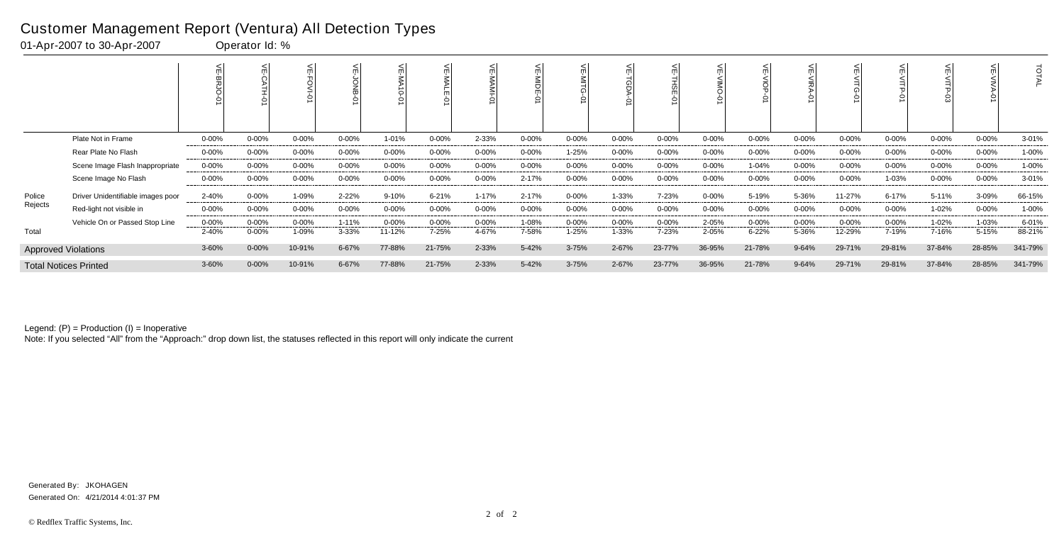|         |                                   |            |            |            |           |           |            |            | 밂<br>ᅌ    |            | 이          |           |           |            |            |           |            |           |            | $\vec{o}$ |
|---------|-----------------------------------|------------|------------|------------|-----------|-----------|------------|------------|-----------|------------|------------|-----------|-----------|------------|------------|-----------|------------|-----------|------------|-----------|
|         | Plate Not in Frame                | $0 - 00%$  | $0 - 00%$  | 0-00%      | $0 - 00%$ | 1-01%     | 0-00%      | 2-33%      | $0 - 00%$ | 0-00%      | $0 - 00\%$ | $0 - 00%$ | $0 - 00%$ | $0 - 00\%$ | $0 - 00%$  | $0 - 00%$ | $0 - 00%$  | 0-00%     | $0 - 00\%$ | $3 - 01%$ |
|         | Rear Plate No Flash               | $0 - 00\%$ | $0 - 00%$  | 0-00%      | $0 - 00%$ | $0 - 00%$ | $0 - 00\%$ | $0 - 00\%$ | $0 - 00%$ | 1-25%      | 0-00%      | $0 - 00%$ | $0 - 00%$ | $0 - 00\%$ | $0 - 00%$  | $0 - 00%$ | $0 - 00\%$ | 0-00%     | $0 - 00\%$ | 1-00%     |
|         | Scene Image Flash Inappropriate   | $0 - 00\%$ | $0 - 00%$  | 0-00%      | $0 - 00%$ | $0 - 00%$ | $0 - 00\%$ | $0 - 00\%$ | $0 - 00%$ | $0 - 00\%$ | $0 - 00\%$ | $0 - 00%$ | $0 - 00%$ | 1-04%      | $0 - 00%$  | $0 - 00%$ | $0 - 00%$  | $0 - 00%$ | $0 - 00\%$ | 1-00%     |
|         | Scene Image No Flash              | $0 - 00%$  | $0 - 00%$  | 0-00%      | $0 - 00%$ | $0 - 00%$ | 0-00%      | $0 - 00\%$ | 2-17%     | 0-00%      | $0 - 00\%$ | 0-00%     | $0 - 00%$ | $0 - 00\%$ | $0 - 00%$  | $0 - 00%$ | 1-03%      | 0-00%     | $0 - 00\%$ | $3 - 01%$ |
| Police  | Driver Unidentifiable images poor | 2-40%      | $0 - 00%$  | 1-09%      | 2-22%     | 9-10%     | $6 - 21%$  | $1 - 17%$  | 2-17%     | 0-00%      | 1-33%      | 7-23%     | $0 - 00%$ | 5-19%      | 5-36%      | 11-27%    | $6 - 17%$  | 5-11%     | 3-09%      | 66-15%    |
| Rejects | Red-light not visible in          | 0-00%      | $0 - 00\%$ | $0 - 00\%$ | $0 - 00%$ | $0 - 00%$ | $0 - 00\%$ | $0 - 00\%$ | $0 - 00%$ | 0-00%      | 0-00%      | $0 - 00%$ | $0 - 00%$ | $0 - 00\%$ | $0 - 00\%$ | $0 - 00%$ | $0 - 00\%$ | 1-02%     | $0 - 00\%$ | 1-00%     |
|         | Vehicle On or Passed Stop Line    | $0 - 00%$  | $0 - 00%$  | $0 - 00\%$ | $1 - 11%$ | $0 - 00%$ | $0 - 00\%$ | 0-00%      | 1-08%     | 0-00%      | 0-00%      | $0 - 00%$ | 2-05%     | $0 - 00\%$ | $0 - 00\%$ | $0 - 00%$ | $0 - 00%$  | 1-02%     | 1-03%      | 6-01%     |
| Total   |                                   | 2-40%      | $0 - 00%$  | 1-09%      | 3-33%     | 11-12%    | 7-25%      | 4-67%      | 7-58%     | $1 - 25%$  | 1-33%      | 7-23%     | 2-05%     | $6 - 22%$  | 5-36%      | 12-29%    | 7-19%      | 7-16%     | 5-15%      | 88-21%    |
|         | <b>Approved Violations</b>        | 3-60%      | $0 - 00%$  | 10-91%     | 6-67%     | 77-88%    | 21-75%     | 2-33%      | 5-42%     | $3 - 75%$  | 2-67%      | 23-77%    | 36-95%    | 21-78%     | $9 - 64%$  | 29-71%    | 29-81%     | 37-84%    | 28-85%     | 341-79%   |
|         | <b>Total Notices Printed</b>      | 3-60%      | 0-00%      | 10-91%     | 6-67%     | 77-88%    | 21-75%     | 2-33%      | 5-42%     | $3 - 75%$  | 2-67%      | 23-77%    | 36-95%    | 21-78%     | 9-64%      | 29-71%    | 29-81%     | 37-84%    | 28-85%     | 341-79%   |

Note: If you selected "All" from the "Approach:" drop down list, the statuses reflected in this report will only indicate the current

#### Customer Management Report (Ventura) All Detection Types

01-Apr-2007 to 30-Apr-2007 Operator Id: %

Generated On: 4/21/2014 4:01:37 PM Generated By: JKOHAGEN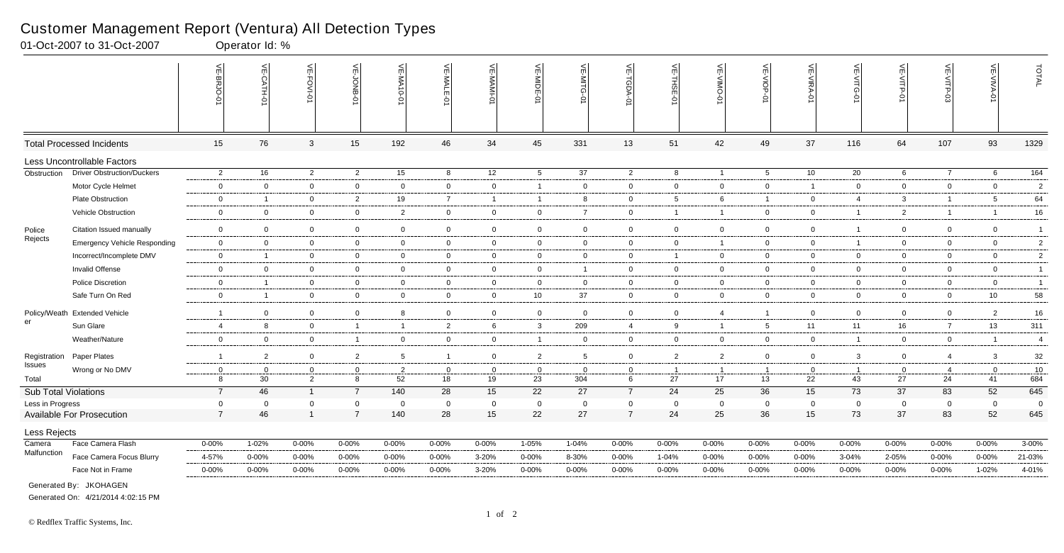|                             |                                     | VE-BRJO-0               | 븻               | VE-FOVI-0      | VE-JONB-01     | <b>VE-MA10-0</b> | VE-MALE-0      | VE-MAMI-0      | VE-MIDE-01               | VE-MITG<br>5    | VE-TGDA        | VE-THSE-01              | VE-VIMO-0      | VE-VIOP-01      | VE-VIRA-01     | $\leq$<br>റ    | VE-VITP<br>ò    | VE-VITP-       | VE-VIVA-01     | TOTAL          |
|-----------------------------|-------------------------------------|-------------------------|-----------------|----------------|----------------|------------------|----------------|----------------|--------------------------|-----------------|----------------|-------------------------|----------------|-----------------|----------------|----------------|-----------------|----------------|----------------|----------------|
|                             | <b>Total Processed Incidents</b>    | 15                      | 76              | 3              | 15             | 192              | 46             | 34             | 45                       | 331             | 13             | 51                      | 42             | 49              | 37             | 116            | 64              | 107            | 93             | 1329           |
|                             | Less Uncontrollable Factors         |                         |                 |                |                |                  |                |                |                          |                 |                |                         |                |                 |                |                |                 |                |                |                |
| Obstruction                 | <b>Driver Obstruction/Duckers</b>   | $\overline{2}$          | 16              | $\overline{2}$ | $\overline{2}$ | 15               | 8              | 12             | $5\overline{)}$          | $\overline{37}$ | $\overline{2}$ | 8                       | $\overline{1}$ | $5\overline{)}$ | 10             | 20             | 6               | $\overline{7}$ | 6              | 164            |
|                             | Motor Cycle Helmet                  | $\overline{0}$          | $\mathbf 0$     | $\overline{0}$ | $\mathbf 0$    | 0                | $\mathbf 0$    | $\overline{0}$ | $\overline{\mathbf{1}}$  | $\overline{0}$  | $\overline{0}$ | $\mathbf 0$             | $\overline{0}$ | $\mathbf 0$     | $\overline{1}$ | $\mathbf 0$    | $\overline{0}$  | $\mathbf 0$    | $\mathbf 0$    | $\overline{2}$ |
|                             | <b>Plate Obstruction</b>            | $\overline{0}$          | $\overline{1}$  | $\overline{0}$ | $\overline{2}$ | 19               | $\overline{7}$ | $\overline{1}$ | $\overline{\phantom{0}}$ | 8               | $\overline{0}$ | 5                       | 6              | $\mathbf{1}$    | $\overline{0}$ | $\overline{4}$ | $\mathbf{3}$    | $\overline{1}$ | 5              | 64             |
|                             | Vehicle Obstruction                 | $\overline{0}$          | $\overline{0}$  | $\mathbf 0$    | $\overline{0}$ | $\overline{2}$   | $\overline{0}$ | $\mathbf 0$    | $\overline{0}$           | $\overline{7}$  | $\overline{0}$ | $\overline{\mathbf{1}}$ | $\mathbf{1}$   | $\overline{0}$  | $\overline{0}$ | $\mathbf 1$    | $\overline{2}$  | $\overline{1}$ | $\overline{1}$ | 16             |
| Police                      | Citation Issued manually            | $\overline{\mathbf{0}}$ | $\overline{0}$  | $\overline{0}$ | $\overline{0}$ | $\mathbf 0$      | $\mathbf 0$    | $\mathbf{0}$   | $\overline{0}$           | $\mathbf 0$     | $\overline{0}$ | $\overline{0}$          | $\overline{0}$ | $\overline{0}$  | $\mathbf 0$    |                | $\overline{0}$  | $\mathbf 0$    | $\mathbf 0$    | $\overline{1}$ |
| Rejects                     | <b>Emergency Vehicle Responding</b> | $\overline{0}$          | $\mathbf 0$     | $\overline{0}$ | $\mathbf 0$    | $\mathbf 0$      | $\overline{0}$ | $\mathbf{0}$   | $\overline{0}$           | $\overline{0}$  | $\overline{0}$ | $\mathbf 0$             | $\mathbf{1}$   | $\mathbf 0$     | $\mathbf 0$    | $\overline{1}$ | $\overline{0}$  | $\overline{0}$ | $\mathbf 0$    | 2              |
|                             | Incorrect/Incomplete DMV            | $\overline{0}$          | $\overline{1}$  | $\mathbf 0$    | $\overline{0}$ | $\mathbf 0$      | $\mathbf 0$    | $\mathbf 0$    | $\overline{0}$           | $\overline{0}$  | $\overline{0}$ | $\overline{1}$          | $\overline{0}$ | $\overline{0}$  | $\overline{0}$ | $\Omega$       | $\overline{0}$  | $\mathbf 0$    | $\overline{0}$ | $\overline{2}$ |
|                             | <b>Invalid Offense</b>              | $\overline{\mathbf{0}}$ | $\mathbf 0$     | $\overline{0}$ | $\overline{0}$ | $\mathbf 0$      | $\mathbf 0$    | $\mathbf 0$    | $\overline{0}$           | $\overline{1}$  | $\overline{0}$ | $\overline{0}$          | $\overline{0}$ | $\overline{0}$  | $\mathbf 0$    | $\overline{0}$ | $\overline{0}$  | $\mathbf 0$    | $\mathbf 0$    | $\mathbf{1}$   |
|                             | <b>Police Discretion</b>            | $\overline{0}$          | $\overline{1}$  | $\mathbf 0$    | $\overline{0}$ | $\mathbf 0$      | $\mathbf 0$    | $\mathbf 0$    | $\overline{0}$           | $\mathbf 0$     | $\overline{0}$ | $\mathbf 0$             | $\mathbf 0$    | $\mathbf 0$     | $\mathbf 0$    | $\mathbf 0$    | $\overline{0}$  | $\mathbf 0$    | $\mathbf 0$    | $\overline{1}$ |
|                             | Safe Turn On Red                    | $\overline{0}$          | $\mathbf{1}$    | $\mathbf 0$    | $\overline{0}$ | $\overline{0}$   | $\overline{0}$ | $\mathbf 0$    | 10                       | 37              | $\overline{0}$ | $\overline{0}$          | $\mathbf 0$    | $\overline{0}$  | $\overline{0}$ | $\overline{0}$ | $\overline{0}$  | $\overline{0}$ | 10             | 58             |
|                             | Policy/Weath Extended Vehicle       | $\overline{1}$          | $\mathbf 0$     | $\overline{0}$ | $\overline{0}$ | 8                | $\overline{0}$ | $\mathbf 0$    | $\overline{0}$           | $\overline{0}$  | $\overline{0}$ | $\mathbf 0$             | $\overline{4}$ | $\overline{1}$  | $\overline{0}$ | $\mathbf 0$    | $\overline{0}$  | $\mathbf 0$    | $\overline{2}$ | 16             |
| er                          | Sun Glare                           | $\overline{4}$          | 8               | $\mathbf 0$    | $\overline{1}$ | $\mathbf{1}$     | $\overline{2}$ | 6              | 3                        | 209             | $\overline{4}$ | 9                       | $\mathbf{1}$   | $5\phantom{.0}$ | 11             | 11             | 16              | $\overline{7}$ | 13             | 311            |
|                             | Weather/Nature                      | $\overline{0}$          | $\mathbf 0$     | $\overline{0}$ | $\overline{1}$ | $\mathbf 0$      | $\mathbf 0$    | $\mathbf 0$    | $\overline{1}$           | $\overline{0}$  | $\overline{0}$ | $\mathbf 0$             | $\overline{0}$ | $\overline{0}$  | $\mathbf 0$    | $\overline{1}$ | $\overline{0}$  | $\mathbf 0$    | $\overline{1}$ | $\overline{4}$ |
|                             | Registration Paper Plates           | $\overline{\mathbf{1}}$ | 2               | $\overline{0}$ | 2              | $5\overline{)}$  | $\overline{1}$ | $\mathbf 0$    | 2                        | 5               | $\overline{0}$ | $\overline{2}$          | 2              | $\overline{0}$  | $\overline{0}$ | $\mathbf{3}$   | $\overline{0}$  | $\overline{4}$ | $\mathbf{3}$   | 32             |
| Issues                      | Wrong or No DMV                     | $\mathbf 0$             | $\overline{0}$  | $\overline{0}$ | $\mathbf 0$    | $\overline{2}$   | $\mathbf 0$    | $\mathbf 0$    | $\Omega$                 | $\mathbf 0$     | $\overline{0}$ | $\overline{1}$          | $\mathbf{1}$   | $\overline{1}$  | $\overline{0}$ | -1             | $\overline{0}$  | 4              | $\overline{0}$ | $10$           |
| Total                       |                                     | 8                       | 30 <sup>°</sup> | 2              | 8              | 52               | 18             | 19             | 23                       | 304             | $6\phantom{.}$ | 27                      | 17             | 13              | 22             | 43             | $\overline{27}$ | 24             | 41             | 684            |
| <b>Sub Total Violations</b> |                                     | $\overline{7}$          | 46              | $\overline{1}$ | $\overline{7}$ | 140              | 28             | 15             | 22                       | 27              | $\overline{7}$ | 24                      | 25             | 36              | 15             | 73             | 37              | 83             | 52             | 645            |
| Less in Progress            |                                     | $\overline{0}$          | $\overline{0}$  | $\overline{0}$ | $\mathbf{0}$   | $\Omega$         | $\mathbf 0$    | $\mathbf 0$    | $\Omega$                 | $\mathbf 0$     | $\mathbf 0$    | $\overline{0}$          | $\overline{0}$ | $\mathbf 0$     | $\overline{0}$ | $\Omega$       | $\mathbf 0$     | $\mathbf 0$    | $\mathbf 0$    | $\overline{0}$ |
|                             | <b>Available For Prosecution</b>    | $\overline{7}$          | 46              | $\mathbf{1}$   | $\overline{7}$ | 140              | 28             | 15             | 22                       | 27              | $\overline{7}$ | 24                      | 25             | 36              | 15             | 73             | 37              | 83             | 52             | 645            |
| Less Rejects                |                                     |                         |                 |                |                |                  |                |                |                          |                 |                |                         |                |                 |                |                |                 |                |                |                |
| Camera                      | Face Camera Flash                   | 0-00%                   | 1-02%           | $0 - 00%$      | $0 - 00%$      | $0 - 00%$        | $0 - 00%$      | $0 - 00%$      | 1-05%                    | 1-04%           | 0-00%          | 0-00%                   | $0 - 00%$      | $0 - 00\%$      | 0-00%          | 0-00%          | $0 - 00%$       | $0 - 00%$      | $0 - 00%$      | $3 - 00\%$     |
| Malfunction                 | Face Camera Focus Blurry            | 4-57%                   | 0-00%           | $0 - 00%$      | $0 - 00\%$     | $0 - 00%$        | $0 - 00%$      | 3-20%          | 0-00%                    | 8-30%           | $0 - 00%$      | 1-04%                   | 0-00%          | $0 - 00\%$      | $0 - 00%$      | 3-04%          | 2-05%           | 0-00%          | $0 - 00%$      | 21-03%         |
|                             | Face Not in Frame                   | $0 - 00%$               | 0-00%           | $0 - 00%$      | $0 - 00\%$     | $0 - 00%$        | $0 - 00%$      | 3-20%          | $0 - 00\%$               | $0 - 00%$       | $0 - 00%$      | 0-00%                   | $0 - 00%$      | $0 - 00\%$      | $0 - 00%$      | 0-00%          | $0 - 00%$       | $0 - 00%$      | 1-02%          | 4-01%          |
|                             | Generated By: JKOHAGEN              |                         |                 |                |                |                  |                |                |                          |                 |                |                         |                |                 |                |                |                 |                |                |                |

01-Oct-2007 to 31-Oct-2007 Operator Id: %

Generated On: 4/21/2014 4:02:15 PM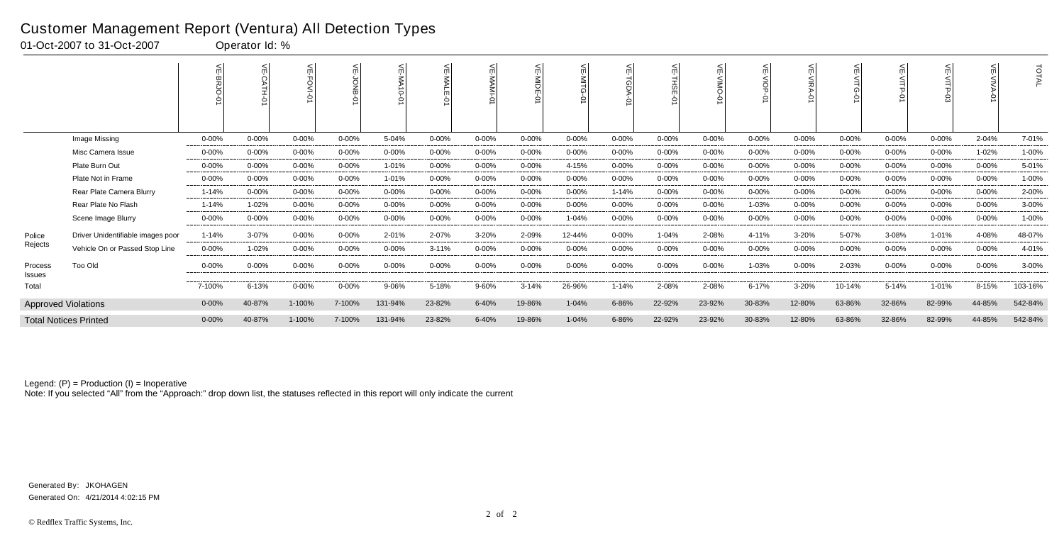|                   |                                   |            | $\leq$    | 씆<br>0     |            | $\stackrel{\textstyle<}{\scriptstyle\mathrm{m}}$<br><b>NA10-01</b> | ₹          | ⋦          | 늦<br>MIDE<br>$\circ$ |            |            | ⊭<br>요<br>₽ | $\leq$     | 븻<br>$rac{6}{9}$ | 늦<br>0     | ш         | $\leq$    |            |            | TOTAL   |
|-------------------|-----------------------------------|------------|-----------|------------|------------|--------------------------------------------------------------------|------------|------------|----------------------|------------|------------|-------------|------------|------------------|------------|-----------|-----------|------------|------------|---------|
|                   | Image Missing                     | $0 - 00\%$ | $0 - 00%$ | 0-00%      | $0 - 00%$  | 5-04%                                                              | 0-00%      | $0 - 00\%$ | 0-00%                | $0 - 00\%$ | $0 - 00\%$ | $0 - 00%$   | $0 - 00\%$ | $0 - 00\%$       | $0 - 00%$  | 0-00%     | $0 - 00%$ | $0 - 00\%$ | 2-04%      | 7-01%   |
|                   | Misc Camera Issue                 | $0 - 00%$  | $0 - 00%$ | 0-00%      | $0 - 00%$  | $0 - 00%$                                                          | $0 - 00\%$ | $0 - 00\%$ | $0 - 00%$            | 0-00%      | $0 - 00\%$ | $0 - 00\%$  | $0 - 00\%$ | $0 - 00\%$       | $0 - 00%$  | $0 - 00%$ | $0 - 00%$ | $0 - 00\%$ | 1-02%      | 1-00%   |
|                   | Plate Burn Out                    | $0 - 00%$  | $0 - 00%$ | 0-00%      | $0 - 00%$  | 1-01%                                                              | $0 - 00\%$ | 0-00%      | $0 - 00%$            | 4-15%      | $0 - 00%$  | $0 - 00%$   | $0 - 00%$  | $0 - 00%$        | $0 - 00%$  | $0 - 00%$ | $0 - 00%$ | $0 - 00%$  | $0 - 00\%$ | 5-01%   |
|                   | Plate Not in Frame                | $0 - 00%$  | $0 - 00%$ | $0 - 00\%$ | $0 - 00%$  | 1-01%                                                              | $0 - 00\%$ | $0 - 00\%$ | $0 - 00%$            | $0 - 00\%$ | $0 - 00\%$ | $0 - 00%$   | $0 - 00%$  | 0-00%            | $0 - 00%$  | $0 - 00%$ | $0 - 00%$ | $0 - 00%$  | $0 - 00\%$ | 1-00%   |
|                   | Rear Plate Camera Blurry          | $1 - 14%$  | $0 - 00%$ | $0 - 00\%$ | $0 - 00\%$ | $0 - 00%$                                                          | $0 - 00\%$ | $0 - 00\%$ | $0 - 00%$            | 0-00%      | 1-14%      | $0 - 00%$   | $0 - 00\%$ | 0-00%            | $0 - 00\%$ | $0 - 00%$ | $0 - 00%$ | 0-00%      | $0 - 00\%$ | 2-00%   |
|                   | Rear Plate No Flash               | $1 - 14%$  | 1-02%     | 0-00%      | $0 - 00%$  | $0 - 00%$                                                          | $0 - 00\%$ | $0 - 00\%$ | $0 - 00%$            | $0 - 00\%$ | $0 - 00\%$ | $0 - 00%$   | 0-00%      | 1-03%            | $0 - 00%$  | $0 - 00%$ | $0 - 00%$ | $0 - 00%$  | $0 - 00\%$ | 3-00%   |
|                   | Scene Image Blurry                | $0 - 00\%$ | $0 - 00%$ | 0-00%      | 0-00%      | $0 - 00%$                                                          | $0 - 00\%$ | 0-00%      | $0 - 00%$            | 1-04%      | 0-00%      | $0 - 00%$   | $0 - 00\%$ | 0-00%            | $0 - 00%$  | $0 - 00%$ | $0 - 00%$ | $0 - 00\%$ | 0-00%      | 1-00%   |
| Police            | Driver Unidentifiable images poor | $1 - 14%$  | $3-07%$   | 0-00%      | $0 - 00%$  | 2-01%                                                              | 2-07%      | 3-20%      | 2-09%                | 12-44%     | $0 - 00\%$ | $1 - 04%$   | 2-08%      | 4-11%            | 3-20%      | 5-07%     | 3-08%     | $1 - 01%$  | 4-08%      | 48-07%  |
| Rejects           | Vehicle On or Passed Stop Line    | $0 - 00%$  | 1-02%     | 0-00%      | $0 - 00%$  | $0 - 00%$                                                          | $3 - 11%$  | $0 - 00\%$ | $0 - 00%$            | $0 - 00\%$ | $0 - 00\%$ | $0 - 00%$   | $0 - 00%$  | $0 - 00\%$       | $0 - 00%$  | $0 - 00%$ | $0 - 00%$ | $0 - 00%$  | $0 - 00\%$ | 4-01%   |
| Process<br>Issues | Too Old                           | $0 - 00%$  | $0 - 00%$ | 0-00%      | $0 - 00%$  | $0 - 00%$                                                          | $0 - 00\%$ | $0 - 00\%$ | $0 - 00%$            | $0 - 00\%$ | $0 - 00\%$ | $0 - 00%$   | $0 - 00\%$ | 1-03%            | $0 - 00%$  | $2 - 03%$ | $0 - 00%$ | $0 - 00%$  | $0 - 00\%$ | 3-00%   |
| Total             |                                   | 7-100%     | 6-13%     | $0 - 00\%$ | 0-00%      | 9-06%                                                              | 5-18%      | 9-60%      | $3 - 14%$            | 26-96%     | 1-14%      | 2-08%       | 2-08%      | 6-17%            | 3-20%      | 10-14%    | 5-14%     | 1-01%      | 8-15%      | 103-16% |
|                   | <b>Approved Violations</b>        | $0 - 00%$  | 40-87%    | 1-100%     | 7-100%     | 131-94%                                                            | 23-82%     | 6-40%      | 19-86%               | $1 - 04%$  | 6-86%      | 22-92%      | 23-92%     | 30-83%           | 12-80%     | 63-86%    | 32-86%    | 82-99%     | 44-85%     | 542-84% |
|                   | <b>Total Notices Printed</b>      | $0 - 00%$  | 40-87%    | 1-100%     | 7-100%     | 131-94%                                                            | 23-82%     | 6-40%      | 19-86%               | $1 - 04%$  | 6-86%      | 22-92%      | 23-92%     | 30-83%           | 12-80%     | 63-86%    | 32-86%    | 82-99%     | 44-85%     | 542-84% |

Note: If you selected "All" from the "Approach:" drop down list, the statuses reflected in this report will only indicate the current

#### Customer Management Report (Ventura) All Detection Types

01-Oct-2007 to 31-Oct-2007 Qperator Id: %

Generated On: 4/21/2014 4:02:15 PM Generated By: JKOHAGEN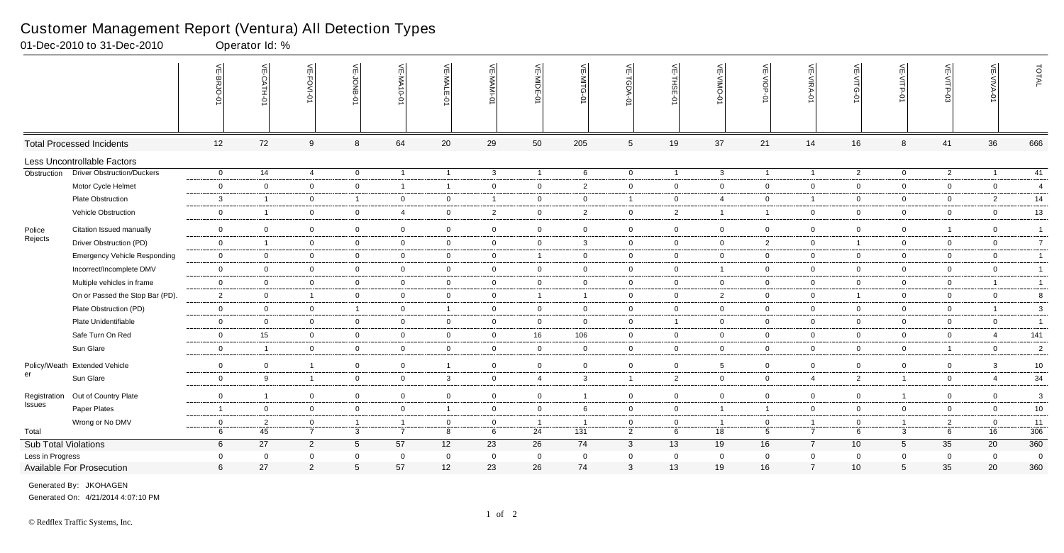|                      |                                     | $\leq$<br>8RJO   | VE-CATH-01              | VE-FOVI-0      | VE-JONB-07      | VE-MA10-01     | 븻<br><b>NALE</b><br>Ģ | <b>VE-MAMI-0</b> | VE-MIDE-01     | $\widetilde{\mathbb{F}}$<br>-MITG | VE-TGDA-0       | VE-THSE-0      | VE-VIMO-0      | VE-VIOP-01     | VE-VIRA-01     | VE-VITG-0      | VE-VITP-0        |                         | VE-VIVA-0                | TOTAL          |
|----------------------|-------------------------------------|------------------|-------------------------|----------------|-----------------|----------------|-----------------------|------------------|----------------|-----------------------------------|-----------------|----------------|----------------|----------------|----------------|----------------|------------------|-------------------------|--------------------------|----------------|
|                      | <b>Total Processed Incidents</b>    | 12               | 72                      | 9              | 8               | 64             | 20                    | 29               | 50             | 205                               | $5\phantom{.0}$ | 19             | 37             | 21             | 14             | 16             | $\boldsymbol{8}$ | 41                      | 36                       | 666            |
|                      | Less Uncontrollable Factors         |                  |                         |                |                 |                |                       |                  |                |                                   |                 |                |                |                |                |                |                  |                         |                          |                |
| Obstruction          | <b>Driver Obstruction/Duckers</b>   | $\overline{0}$   | 14                      | $\overline{4}$ | $\overline{0}$  | $\overline{1}$ | $\overline{1}$        | $\mathbf{3}$     | $\overline{1}$ | 6                                 | $\overline{0}$  | $\overline{1}$ | $\mathbf{3}$   | $\overline{1}$ | $\overline{1}$ | $\overline{2}$ | $\overline{0}$   | $\overline{2}$          | $\overline{\phantom{0}}$ | 41             |
|                      | Motor Cycle Helmet                  | $\overline{0}$   | $\mathbf 0$             | $\mathbf 0$    | $\overline{0}$  | $\overline{1}$ | $\mathbf{1}$          | $\mathbf 0$      | $\overline{0}$ | $\overline{2}$                    | $\mathbf 0$     | $\overline{0}$ | $\mathbf 0$    | $\overline{0}$ | $\overline{0}$ | $\overline{0}$ | $\overline{0}$   | $\overline{0}$          | $\overline{0}$           | $\overline{4}$ |
|                      | <b>Plate Obstruction</b>            | $\mathbf{3}$     | - 1                     | $\mathbf 0$    | $\mathbf{1}$    | $\overline{0}$ | $\mathbf{0}$          | $\overline{1}$   | $\mathbf 0$    | $\mathbf 0$                       | $\overline{1}$  | $\overline{0}$ | $\overline{4}$ | $\mathbf 0$    | $\overline{1}$ | $\overline{0}$ | $\overline{0}$   | $\overline{0}$          | $\overline{2}$           | 14             |
|                      | Vehicle Obstruction                 | $\boldsymbol{0}$ | $\overline{\mathbf{1}}$ | $\overline{0}$ | $\overline{0}$  | $\overline{4}$ | $\mathbf 0$           | $\overline{2}$   | $\overline{0}$ | $\overline{c}$                    | $\mathbf 0$     | $\overline{2}$ | 1              | $\mathbf{1}$   | $\mathbf 0$    | $\mathbf 0$    | $\overline{0}$   | $\overline{0}$          | $\mathbf 0$              | $13$           |
| Police               | Citation Issued manually            | $\mathsf 0$      | $\overline{0}$          | $\overline{0}$ | $\mathbf 0$     | $\overline{0}$ | $\mathbf 0$           | $\overline{0}$   | $\overline{0}$ | $\mathbf 0$                       | $\overline{0}$  | $\mathbf 0$    | $\overline{0}$ | $\mathbf 0$    | $\mathbf 0$    | $\overline{0}$ | $\overline{0}$   | $\overline{\mathbf{1}}$ | $\mathbf 0$              | $\overline{1}$ |
| Rejects              | Driver Obstruction (PD)             | $\overline{0}$   | $\overline{1}$          | $\mathbf 0$    | $\overline{0}$  | $\mathbf 0$    | $\overline{0}$        | $\overline{0}$   | $\mathbf 0$    | $\mathbf{3}$                      | $\overline{0}$  | $\overline{0}$ | $\mathbf 0$    | $\overline{2}$ | $\mathbf 0$    | $\overline{1}$ | $\overline{0}$   | $\mathbf 0$             | $\overline{0}$           | $\overline{7}$ |
|                      | <b>Emergency Vehicle Responding</b> | $\overline{0}$   | $\mathbf 0$             | $\mathbf 0$    | $\overline{0}$  | $\overline{0}$ | $\mathbf{0}$          | $\overline{0}$   | $\overline{1}$ | $\mathbf 0$                       | $\overline{0}$  | $\mathbf 0$    | $\overline{0}$ | $\overline{0}$ | $\mathbf 0$    | $\mathbf 0$    | $\overline{0}$   | $\mathbf 0$             | $\mathbf 0$              | $\overline{1}$ |
|                      | Incorrect/Incomplete DMV            | $\mathsf 0$      | $\Omega$                | $\overline{0}$ | $\overline{0}$  | $\overline{0}$ | $\overline{0}$        | $\overline{0}$   | $\mathbf 0$    | 0                                 | $\overline{0}$  | $\mathbf 0$    |                | $\overline{0}$ | $\mathbf 0$    | $\overline{0}$ | $\mathbf 0$      | $\mathbf 0$             | $\mathbf 0$              | $\overline{1}$ |
|                      | Multiple vehicles in frame          | $\overline{0}$   | $\overline{0}$          | $\mathbf 0$    | $\overline{0}$  | $\mathbf 0$    | $\overline{0}$        | $\overline{0}$   | $\mathbf 0$    | $\overline{0}$                    | $\overline{0}$  | $\mathbf 0$    | $\overline{0}$ | $\overline{0}$ | $\mathbf 0$    | $\mathbf 0$    | $\overline{0}$   | $\overline{0}$          | $\overline{1}$           | $\overline{1}$ |
|                      | On or Passed the Stop Bar (PD).     | $\overline{2}$   | $\overline{0}$          | $\mathbf{1}$   | $\overline{0}$  | $\mathbf 0$    | $\overline{0}$        | $\mathbf 0$      | $\overline{1}$ | $\overline{1}$                    | $\overline{0}$  | $\overline{0}$ | $\overline{2}$ | $\overline{0}$ | $\mathbf 0$    | $\overline{1}$ | $\overline{0}$   | $\mathbf 0$             | $\mathbf 0$              | 8              |
|                      | Plate Obstruction (PD)              | $\overline{0}$   | $\mathbf 0$             | $\mathbf 0$    | $\mathbf{1}$    | $\overline{0}$ | $\mathbf{1}$          | $\overline{0}$   | $\overline{0}$ | $\mathbf 0$                       | $\overline{0}$  | $\overline{0}$ | $\mathbf 0$    | $\overline{0}$ | $\mathbf 0$    | $\mathbf 0$    | $\overline{0}$   | $\mathbf 0$             | $\overline{1}$           | $\mathbf{3}$   |
|                      | Plate Unidentifiable                | $\overline{0}$   | $\overline{0}$          | $\overline{0}$ | $\mathbf{0}$    | $\overline{0}$ | $\overline{0}$        | $\overline{0}$   | $\overline{0}$ | $\overline{0}$                    | $\overline{0}$  | $\overline{1}$ | $\overline{0}$ | $\overline{0}$ | $\overline{0}$ | $\overline{0}$ | $\overline{0}$   | $\overline{0}$          | $\overline{0}$           | $\overline{1}$ |
|                      | Safe Turn On Red                    | $\overline{0}$   | 15                      | $\mathbf 0$    | $\mathbf 0$     | $\overline{0}$ | $\mathbf 0$           | $\overline{0}$   | 16             | 106                               | $\overline{0}$  | $\overline{0}$ | $\overline{0}$ | $\overline{0}$ | $\mathbf 0$    | $\overline{0}$ | $\overline{0}$   | $\mathbf 0$             | $\overline{4}$           | 141            |
|                      | Sun Glare                           | $\mathbf 0$      | - 1                     | $\overline{0}$ | $\overline{0}$  | $\mathbf 0$    | $\mathbf{0}$          | $\mathbf 0$      | $\overline{0}$ | 0                                 | $\overline{0}$  | $\mathbf 0$    | $\mathbf{0}$   | $\overline{0}$ | $\mathbf 0$    | $\mathbf 0$    | $\overline{0}$   | $\overline{1}$          | $\mathbf 0$              | $\overline{2}$ |
|                      | Policy/Weath Extended Vehicle       | $\mathbf 0$      | $\mathbf 0$             | $\mathbf{1}$   | $\mathbf 0$     | $\overline{0}$ | $\mathbf{1}$          | $\mathbf 0$      | $\mathbf 0$    | $\mathbf 0$                       | $\overline{0}$  | $\mathbf 0$    | 5              | $\mathbf 0$    | $\mathbf 0$    | $\mathbf 0$    | $\mathbf 0$      | $\mathbf 0$             | 3                        | $10\,$         |
| er                   | Sun Glare                           | $\overline{0}$   | 9                       | $\mathbf{1}$   | $\overline{0}$  | $\overline{0}$ | $\mathbf{3}$          | $\overline{0}$   | $\overline{4}$ | 3                                 | $\overline{1}$  | $\overline{2}$ | $\overline{0}$ | $\overline{0}$ | $\overline{4}$ | $\overline{2}$ | $\overline{1}$   | $\mathbf 0$             | $\overline{4}$           | 34             |
| Registration         | Out of Country Plate                | $\overline{0}$   |                         | $\overline{0}$ | $\overline{0}$  | $\mathbf 0$    | $\mathbf 0$           | $\overline{0}$   | $\mathsf 0$    |                                   | $\overline{0}$  | $\overline{0}$ | $\overline{0}$ | $\overline{0}$ | $\mathbf 0$    | $\overline{0}$ | $\overline{1}$   | $\mathbf 0$             | $\overline{0}$           | $\mathbf{3}$   |
| Issues               | Paper Plates                        | $\overline{1}$   | $\mathbf 0$             | $\mathbf 0$    | $\mathbf 0$     | $\overline{0}$ | $\overline{1}$        | $\overline{0}$   | $\overline{0}$ | 6                                 | $\overline{0}$  | $\mathbf 0$    | $\overline{1}$ | $\mathbf{1}$   | $\mathbf 0$    | $\overline{0}$ | $\overline{0}$   | $\mathbf 0$             | $\mathbf 0$              | $10\,$         |
|                      | Wrong or No DMV                     | $\overline{0}$   | 2                       | $\overline{0}$ | $\overline{1}$  | $\overline{1}$ | $\mathbf{0}$          | $\overline{0}$   | $\overline{1}$ | -1                                | $\overline{0}$  | $\overline{0}$ | $\overline{1}$ | $\overline{0}$ | $\overline{1}$ | $\overline{0}$ | $\overline{1}$   | $\overline{2}$          | $\overline{0}$           | 11             |
| Total                |                                     | 6                | 45                      | $\overline{7}$ | $\mathbf{3}$    | $\overline{7}$ | 8                     | 6                | 24             | 131                               | $\overline{2}$  | 6              | 18             | $5^{\circ}$    | $\overline{7}$ | 6              | $\mathbf{3}$     | 6                       | 16                       | 306            |
| Sub Total Violations |                                     | $6\overline{6}$  | 27                      | $\overline{2}$ | $5\overline{)}$ | 57             | 12                    | 23               | 26             | 74                                | $\mathbf{3}$    | 13             | 19             | 16             | $\overline{7}$ | 10             | $5\overline{)}$  | 35                      | 20                       | 360            |
| Less in Progress     |                                     | $\overline{0}$   | - 0                     | $\mathbf 0$    | $\mathbf 0$     | $\overline{0}$ | $\mathbf 0$           | $\overline{0}$   | $\mathbf 0$    | $\Omega$                          | $\overline{0}$  | $\overline{0}$ | $\mathbf 0$    | $\mathbf 0$    | $\mathbf 0$    | $\overline{0}$ | $\overline{0}$   | $\overline{0}$          | $\overline{0}$           | $\overline{0}$ |
|                      | Available For Prosecution           | $6\phantom{1}6$  | 27                      | $\overline{2}$ | $5\phantom{.0}$ | 57             | 12                    | 23               | 26             | 74                                | $\mathbf{3}$    | 13             | 19             | 16             | $\overline{7}$ | 10             | $5\phantom{.0}$  | 35                      | 20                       | 360            |

01-Dec-2010 to 31-Dec-2010 Operator Id: %

Generated On: 4/21/2014 4:07:10 PM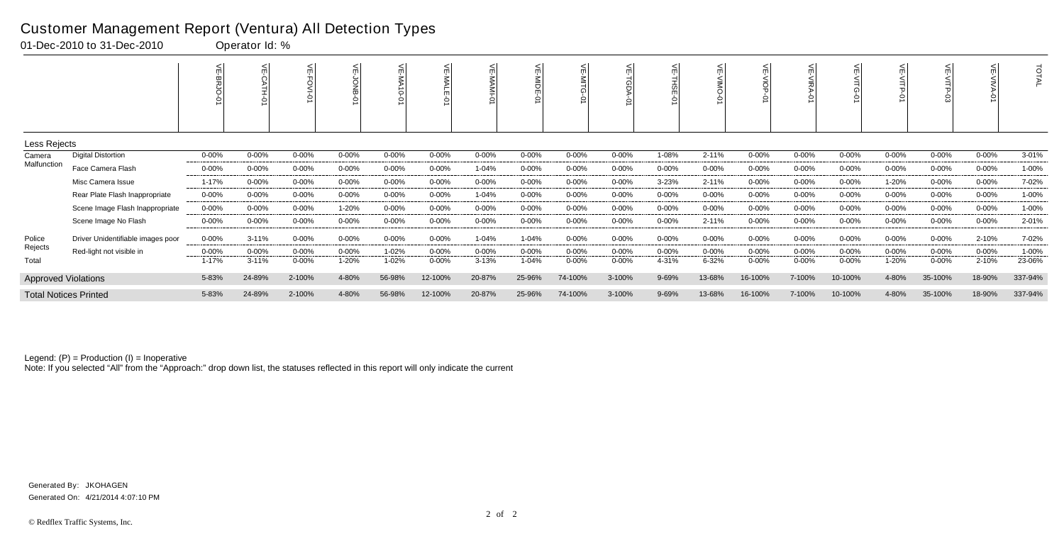|                            |                                   |            |           |            |            | 븻<br>-01A10<br>Ģ |            | 녽          | 늦<br>MIDE |            |            |           |            | 늰          | 븻          |            |            |            |            | <b>DTAL</b> |
|----------------------------|-----------------------------------|------------|-----------|------------|------------|------------------|------------|------------|-----------|------------|------------|-----------|------------|------------|------------|------------|------------|------------|------------|-------------|
| Less Rejects               |                                   |            |           |            |            |                  |            |            |           |            |            |           |            |            |            |            |            |            |            |             |
| Camera                     | <b>Digital Distortion</b>         | $0 - 00%$  | $0 - 00%$ | $0 - 00\%$ | $0 - 00\%$ | $0 - 00%$        | 0-00%      | 0-00%      | $0 - 00%$ | $0 - 00\%$ | $0 - 00\%$ | 1-08%     | $2 - 11%$  | 0-00%      | $0 - 00\%$ | $0 - 00%$  | $0 - 00%$  | $0 - 00\%$ | 0-00%      | 3-01%       |
| Malfunction                | Face Camera Flash                 | $0 - 00%$  | $0 - 00%$ | $0 - 00\%$ | $0 - 00\%$ | $0 - 00%$        | $0 - 00\%$ | 1-04%      | $0 - 00%$ | $0 - 00\%$ | $0 - 00%$  | $0 - 00%$ | $0 - 00\%$ | $0 - 00\%$ | $0 - 00%$  | $0 - 00%$  | $0 - 00%$  | $0 - 00\%$ | $0 - 00\%$ | 1-00%       |
|                            | Misc Camera Issue                 | 1-17%      | $0 - 00%$ | 0-00%      | $0 - 00\%$ | $0 - 00%$        | $0 - 00\%$ | 0-00%      | $0 - 00%$ | $0 - 00\%$ | $0 - 00\%$ | $3 - 23%$ | $2 - 11%$  | $0 - 00\%$ | $0 - 00\%$ | $0 - 00%$  | 1-20%      | 0-00%      | $0 - 00\%$ | 7-02%       |
|                            | Rear Plate Flash Inappropriate    | $0 - 00\%$ | $0 - 00%$ | $0 - 00\%$ | $0 - 00\%$ | $0 - 00%$        | 0-00%      | 1-04%      | $0 - 00%$ | $0 - 00\%$ | $0 - 00\%$ | $0 - 00%$ | $0 - 00\%$ | 0-00%      | $0 - 00\%$ | $0 - 00%$  | $0 - 00%$  | $0 - 00\%$ | $0 - 00\%$ | 1-00%       |
|                            | Scene Image Flash Inappropriate   | $0 - 00\%$ | $0 - 00%$ | $0 - 00\%$ | 1-20%      | $0 - 00%$        | 0-00%      | $0 - 00%$  | $0 - 00%$ | $0 - 00\%$ | $0 - 00\%$ | $0 - 00%$ | 0-00%      | $0 - 00\%$ | $0 - 00%$  | $0 - 00%$  | $0 - 00%$  | $0 - 00%$  | $0 - 00\%$ | 1-00%       |
|                            | Scene Image No Flash              | $0 - 00%$  | $0 - 00%$ | $0 - 00%$  | $0 - 00\%$ | $0 - 00%$        | 0-00%      | $0 - 00%$  | $0 - 00%$ | $0 - 00\%$ | $0 - 00\%$ | $0 - 00%$ | $2 - 11%$  | $0 - 00\%$ | $0 - 00\%$ | $0 - 00%$  | $0 - 00%$  | $0 - 00\%$ | $0 - 00\%$ | 2-01%       |
| Police                     | Driver Unidentifiable images poor | $0 - 00\%$ | $3 - 11%$ | 0-00%      | $0 - 00\%$ | $0 - 00%$        | $0 - 00\%$ | 1-04%      | 1-04%     | $0 - 00\%$ | $0 - 00\%$ | $0 - 00%$ | 0-00%      | $0 - 00\%$ | $0 - 00\%$ | $0 - 00\%$ | $0 - 00\%$ | $0 - 00\%$ | 2-10%      | 7-02%       |
| Rejects                    | Red-light not visible in          | $0 - 00\%$ | $0 - 00%$ | $0 - 00\%$ | $0 - 00\%$ | 1-02%            | $0 - 00\%$ | $0 - 00\%$ | $0 - 00%$ | $0 - 00\%$ | $0 - 00\%$ | $0 - 00%$ | 0-00%      | $0 - 00\%$ | $0 - 00%$  | $0 - 00%$  | $0 - 00%$  | 0-00%      | $0 - 00\%$ | 1-00%       |
| Total                      |                                   | 1-17%      | $3 - 11%$ | $0 - 00\%$ | 1-20%      | 1-02%            | 0-00%      | $3 - 13%$  | 1-04%     | 0-00%      | $0 - 00\%$ | 4-31%     | 6-32%      | $0 - 00%$  | $0 - 00%$  | $0 - 00%$  | 1-20%      | $0 - 00%$  | 2-10%      | 23-06%      |
| <b>Approved Violations</b> |                                   | 5-83%      | 24-89%    | 2-100%     | 4-80%      | 56-98%           | 12-100%    | 20-87%     | 25-96%    | 74-100%    | 3-100%     | 9-69%     | 13-68%     | 16-100%    | 7-100%     | 10-100%    | 4-80%      | 35-100%    | 18-90%     | 337-94%     |
|                            | <b>Total Notices Printed</b>      | 5-83%      | 24-89%    | 2-100%     | 4-80%      | 56-98%           | 12-100%    | 20-87%     | 25-96%    | 74-100%    | 3-100%     | 9-69%     | 13-68%     | 16-100%    | 7-100%     | 10-100%    | 4-80%      | 35-100%    | 18-90%     | 337-94%     |

Note: If you selected "All" from the "Approach:" drop down list, the statuses reflected in this report will only indicate the current

#### Customer Management Report (Ventura) All Detection Types

01-Dec-2010 to 31-Dec-2010 Qperator Id: %

Generated On: 4/21/2014 4:07:10 PM Generated By: JKOHAGEN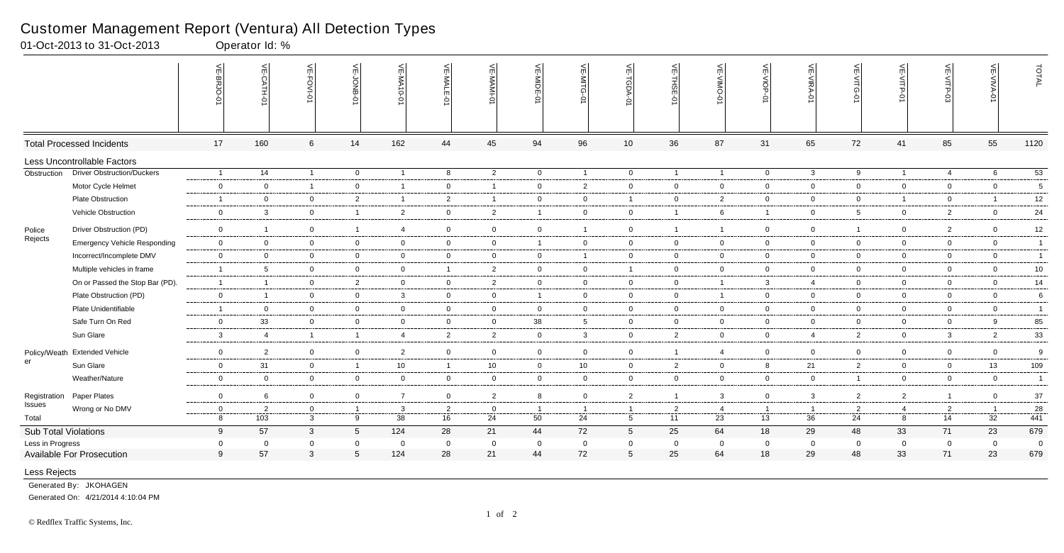|                        |                                     | 븻<br><b>BRJO</b>    | VE-CATH-01            | VE-FOVI-01                  | $\stackrel{\textstyle<}{\scriptstyle\pi}$<br>BNO <sup>--</sup> | VE-MA10-01               | VE-MALE<br>ò         | VE-MAMI              | VE-MIDE-01           | VE-MITG-01           | VE-TGDA-0                         | VE-THSE-01           | $\leq$<br>$\frac{N}{N}$<br>Ģ | VE-VIOP-0            | VE-VIRA-01           | VE-VITG<br>Ò         | VE-VITP<br>ò   | VE-VITP-03     | VE-VIVA-0            | TOTAL           |
|------------------------|-------------------------------------|---------------------|-----------------------|-----------------------------|----------------------------------------------------------------|--------------------------|----------------------|----------------------|----------------------|----------------------|-----------------------------------|----------------------|------------------------------|----------------------|----------------------|----------------------|----------------|----------------|----------------------|-----------------|
|                        | <b>Total Processed Incidents</b>    | 17                  | 160                   | $6\phantom{.}6$             | 14                                                             | 162                      | 44                   | 45                   | 94                   | 96                   | 10                                | 36                   | 87                           | 31                   | 65                   | 72                   | 41             | 85             | 55                   | 1120            |
|                        | Less Uncontrollable Factors         |                     |                       |                             |                                                                |                          |                      |                      |                      |                      |                                   |                      |                              |                      |                      |                      |                |                |                      |                 |
| Obstruction            | <b>Driver Obstruction/Duckers</b>   | $\overline{1}$      | 14                    | $\overline{1}$              | $\overline{0}$                                                 | $\overline{\phantom{0}}$ | 8                    | $\overline{2}$       | $\mathbf 0$          | $\overline{1}$       | $\overline{0}$                    | $\overline{1}$       | $\overline{1}$               | $\mathbf 0$          | $\mathbf{3}$         | 9                    | $\overline{1}$ | $\overline{4}$ | 6                    | $\overline{53}$ |
|                        | Motor Cycle Helmet                  | $\mathbf 0$         | $\mathbf 0$           | $\overline{1}$              | $\overline{0}$                                                 | $\overline{\mathbf{1}}$  | $\mathbf 0$          | $\overline{1}$       | $\mathbf 0$          | $\overline{2}$       | $\overline{0}$                    | $\overline{0}$       | $\mathbf 0$                  | $\mathbf 0$          | $\mathbf 0$          | $\mathbf{0}$         | $\overline{0}$ | $\mathbf 0$    | $\overline{0}$       | $5\phantom{.0}$ |
|                        | Plate Obstruction                   | $\overline{1}$      | $\mathbf 0$           | $\mathbf 0$                 | $\overline{2}$                                                 | $\overline{\phantom{0}}$ | $\overline{2}$       | $\overline{1}$       | $\mathbf 0$          | $\overline{0}$       | $\overline{1}$                    | $\overline{0}$       | $\overline{2}$               | $\mathbf 0$          | $\mathbf 0$          | $\overline{0}$       | $\overline{1}$ | $\mathbf 0$    |                      | 12              |
|                        | Vehicle Obstruction                 | $\mathbf 0$         | $\mathbf{3}$          | $\mathbf 0$                 | $\overline{\mathbf{1}}$                                        | $\overline{2}$           | $\mathbf 0$          | $\overline{2}$       | $\overline{1}$       | $\overline{0}$       | $\overline{0}$                    | $\overline{1}$       | 6                            | $\overline{1}$       | $\mathbf 0$          | $5\overline{)}$      | $\mathbf{0}$   | $\overline{2}$ | $\overline{0}$       | 24              |
| Police                 | Driver Obstruction (PD)             | $\mathbf 0$         | $\mathbf{1}$          | $\mathbf 0$                 | $\overline{1}$                                                 | $\overline{4}$           | $\overline{0}$       | $\overline{0}$       | $\overline{0}$       | $\mathbf{1}$         | $\overline{0}$                    | $\overline{1}$       | $\overline{1}$               | $\overline{0}$       | $\mathbf 0$          | $\mathbf{1}$         | $\overline{0}$ | $\overline{2}$ | $\overline{0}$       | 12              |
| Rejects                | <b>Emergency Vehicle Responding</b> | $\mathbf 0$         | $\overline{0}$        | $\mathbf 0$                 | $\overline{0}$                                                 | $\mathbf 0$              | $\overline{0}$       | $\overline{0}$       | $\overline{1}$       | $\overline{0}$       | $\overline{0}$                    | $\overline{0}$       | $\overline{0}$               | $\mathbf 0$          | $\mathbf 0$          | $\overline{0}$       | $\overline{0}$ | $\mathbf 0$    | $\mathbf 0$          | $\mathbf{1}$    |
|                        | Incorrect/Incomplete DMV            | $\mathbf 0$         | $\mathbf 0$           | $\overline{0}$              | $\mathbf 0$                                                    | $\mathbf 0$              | $\overline{0}$       | $\overline{0}$       | $\mathbf 0$          | $\mathbf{1}$         | $\overline{0}$                    | $\overline{0}$       | $\overline{0}$               | $\mathbf 0$          | $\mathbf 0$          | $\mathbf 0$          | $\mathbf{0}$   | $\mathbf 0$    | $\overline{0}$       | $\mathbf{1}$    |
|                        | Multiple vehicles in frame          | $\overline{1}$      | 5                     | $\overline{0}$              | $\overline{0}$                                                 | $\mathbf 0$              | $\overline{1}$       | $\overline{2}$       | $\mathbf 0$          | $\overline{0}$       | $\overline{1}$                    | $\overline{0}$       | $\mathbf 0$                  | $\overline{0}$       | $\mathbf 0$          | $\mathbf 0$          | $\overline{0}$ | $\overline{0}$ | $\overline{0}$       | $10\,$          |
|                        | On or Passed the Stop Bar (PD).     | $\overline{1}$      | $\overline{1}$        | $\mathbf 0$                 | $\overline{2}$                                                 | $\overline{0}$           | $\overline{0}$       | $\overline{2}$       | $\overline{0}$       | $\overline{0}$       | $\overline{0}$                    | $\overline{0}$       | $\overline{1}$               | $\mathbf{3}$         | $\overline{4}$       | $\mathbf 0$          | $\overline{0}$ | $\mathbf 0$    | $\overline{0}$       | 14              |
|                        | Plate Obstruction (PD)              | $\mathbf 0$         | $\overline{1}$        | $\overline{0}$              | $\mathbf 0$                                                    | $\mathbf{3}$             | $\overline{0}$       | $\overline{0}$       | $\overline{1}$       | $\overline{0}$       | $\overline{0}$                    | $\overline{0}$       | $\overline{1}$               | $\mathbf 0$          | $\mathbf 0$          | $\overline{0}$       | $\mathbf{0}$   | $\mathbf 0$    | $\overline{0}$       | 6               |
|                        | Plate Unidentifiable                | $\overline{1}$      | $\mathbf 0$           | $\mathbf 0$                 | $\overline{0}$                                                 | $\mathbf 0$              | $\overline{0}$       | $\overline{0}$       | $\mathbf 0$          | $\overline{0}$       | $\overline{0}$                    | $\overline{0}$       | $\mathbf 0$                  | $\mathbf 0$          | $\mathbf 0$          | $\mathbf{0}$         | $\overline{0}$ | $\mathbf 0$    | $\overline{0}$       | $\overline{1}$  |
|                        | Safe Turn On Red                    | $\overline{0}$      | 33                    | $\mathbf 0$                 | $\overline{0}$                                                 | $\mathbf 0$              | $\overline{0}$       | $\overline{0}$       | 38                   | $5\overline{5}$      | $\overline{0}$                    | $\overline{0}$       | $\overline{0}$               | $\mathbf 0$          | $\mathbf 0$          | $\overline{0}$       | $\overline{0}$ | $\mathbf 0$    | 9                    | 85              |
|                        | Sun Glare                           | 3                   | 4                     | $\overline{1}$              | $\overline{1}$                                                 | $\overline{4}$           | $\overline{2}$       | $\overline{2}$       | $\mathbf 0$          | $\mathbf{3}$         | $\overline{0}$                    | 2                    | $\overline{0}$               | $\mathbf 0$          | $\overline{4}$       | $\overline{2}$       | $\mathbf{0}$   | $\mathbf{3}$   | $\overline{2}$       | 33              |
|                        | Policy/Weath Extended Vehicle       | $\overline{0}$      | $\overline{2}$        | $\overline{0}$              | $\mathbf 0$                                                    | $\overline{2}$           | $\overline{0}$       | $\overline{0}$       | $\mathbf 0$          | $\overline{0}$       | $\overline{0}$                    | $\overline{1}$       | $\overline{4}$               | $\mathbf 0$          | $\mathbf 0$          | $\mathbf 0$          | $\overline{0}$ | $\mathbf 0$    | $\mathbf 0$          | 9               |
| er                     | Sun Glare                           | $\mathbf 0$         | 31                    | $\mathbf 0$                 | $\overline{1}$                                                 | 10                       | $\mathbf{1}$         | 10                   | $\overline{0}$       | 10                   | $\overline{0}$                    | $\overline{2}$       | $\mathbf 0$                  | 8                    | 21                   | $\overline{2}$       | $\overline{0}$ | $\overline{0}$ | 13                   | 109             |
|                        | Weather/Nature                      | $\mathbf 0$         | $\mathbf 0$           | $\overline{0}$              | $\overline{0}$                                                 | $\mathbf 0$              | $\overline{0}$       | $\overline{0}$       | $\mathbf 0$          | $\overline{0}$       | $\overline{0}$                    | $\overline{0}$       | $\overline{0}$               | $\mathbf 0$          | $\overline{0}$       | $\overline{1}$       | $\mathbf{0}$   | $\mathbf 0$    | $\mathbf 0$          | $\mathbf{1}$    |
|                        |                                     |                     |                       |                             |                                                                |                          |                      |                      |                      |                      |                                   |                      |                              |                      |                      |                      |                |                |                      |                 |
| Registration<br>Issues | Paper Plates                        | $\overline{0}$      | 6                     | $\overline{0}$              | $\overline{0}$                                                 | $\overline{7}$           | $\overline{0}$       | $\overline{2}$       | 8                    | $\overline{0}$       | $\overline{2}$                    | $\overline{1}$       | $\mathbf{3}$                 | $\overline{0}$       | $\mathbf{3}$         | $\overline{2}$       | $\overline{2}$ | $\overline{1}$ | $\overline{0}$       | 37              |
| Total                  | Wrong or No DMV                     | $\overline{0}$<br>8 | $\overline{2}$<br>103 | $\mathbf 0$<br>$\mathbf{3}$ | $\overline{1}$<br>9                                            | $\mathbf{3}$<br>38       | $\overline{2}$<br>16 | $\overline{0}$<br>24 | $\overline{1}$<br>50 | $\overline{1}$<br>24 | $\overline{1}$<br>$5\overline{5}$ | $\overline{2}$<br>11 | 4<br>23                      | $\overline{1}$<br>13 | $\overline{1}$<br>36 | $\overline{2}$<br>24 | 4<br>8         | 2<br>14        | $\overline{1}$<br>32 | 28<br>$-441$    |
| Sub Total Violations   |                                     | 9                   | 57                    | $\mathbf{3}$                | $5\overline{)}$                                                | 124                      | 28                   | 21                   | 44                   | 72                   | $5\phantom{.0}$                   | 25                   | 64                           | 18                   | 29                   | 48                   | 33             | 71             | 23                   | 679             |
| Less in Progress       |                                     | $\mathbf 0$         | $\overline{0}$        | $\mathbf 0$                 | $\mathbf 0$                                                    | $\mathbf 0$              | $\mathbf 0$          | $\overline{0}$       | $\overline{0}$       | $\mathbf 0$          | $\overline{0}$                    | $\overline{0}$       | $\mathbf 0$                  | $\overline{0}$       | $\mathbf 0$          | $\mathbf 0$          | $\mathbf 0$    | $\mathbf 0$    | $\mathbf 0$          | $\overline{0}$  |
|                        | <b>Available For Prosecution</b>    | 9                   | 57                    | 3                           | 5                                                              | 124                      | 28                   | 21                   | 44                   | 72                   | $5\phantom{.0}$                   | 25                   | 64                           | 18                   | 29                   | 48                   | 33             | 71             | 23                   | 679             |
| Less Rejects           |                                     |                     |                       |                             |                                                                |                          |                      |                      |                      |                      |                                   |                      |                              |                      |                      |                      |                |                |                      |                 |

Generated By: JKOHAGEN

Generated On: 4/21/2014 4:10:04 PM

#### Customer Management Report (Ventura) All Detection Types

01-Oct-2013 to 31-Oct-2013 Operator Id: %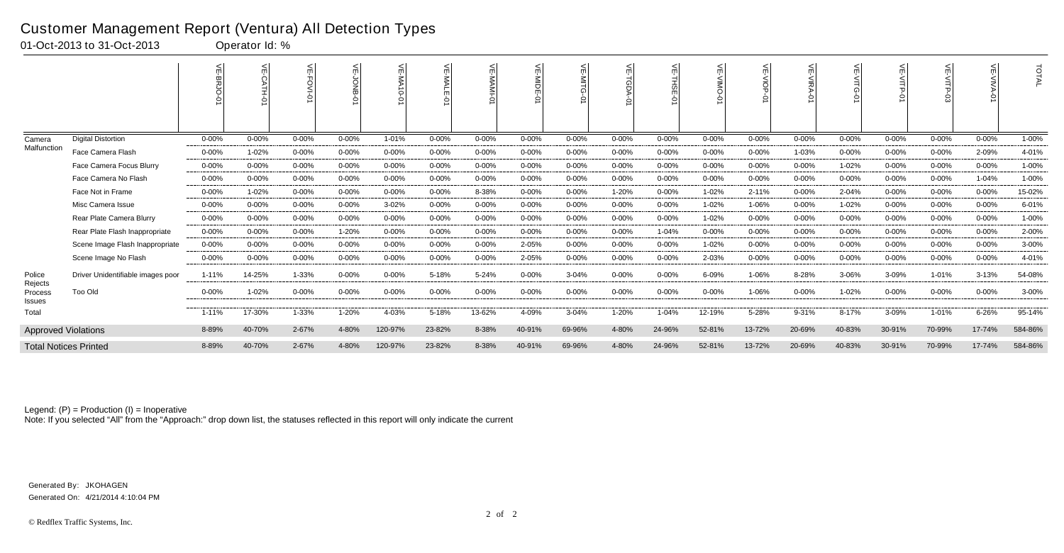|                              |                                   | 늦<br><b>BRJO</b> | 늦<br>CATH-C |            | ≨          | 듰<br>$\overline{5}$<br>Ġ | 듯         | $\leq$     | ۴<br>is<br>Tom<br>Ò | ш         | 늰<br>TGDA  | 븻<br>녧<br>ة | m<br>◠    | $\leq$    | 씆<br>シルマ<br>ᅌ | ¥         | $\leq$<br>$\leq$ |            |            | <b>TOTAL</b> |
|------------------------------|-----------------------------------|------------------|-------------|------------|------------|--------------------------|-----------|------------|---------------------|-----------|------------|-------------|-----------|-----------|---------------|-----------|------------------|------------|------------|--------------|
| Camera                       | <b>Digital Distortion</b>         | $0 - 00%$        | $0 - 00%$   | $0 - 00%$  | $0 - 00%$  | 1-01%                    | $0 - 00%$ | $0 - 00%$  | $0 - 00%$           | $0 - 00%$ | $0 - 00%$  | $0 - 00%$   | $0 - 00%$ | $0 - 00%$ | $0 - 00%$     | $0 - 00%$ | $0 - 00%$        | $0 - 00%$  | $0 - 00\%$ | 1-00%        |
| Malfunction                  | Face Camera Flash                 | $0 - 00%$        | 1-02%       | $0 - 00%$  | $0 - 00%$  | $0 - 00%$                | $0 - 00%$ | $0 - 00%$  | $0 - 00%$           | $0 - 00%$ | $0 - 00%$  | $0 - 00%$   | $0 - 00%$ | $0 - 00%$ | 1-03%         | $0 - 00%$ | $0 - 00%$        | $0 - 00%$  | 2-09%      | 4-01%        |
|                              | Face Camera Focus Blurry          | $0 - 00\%$       | $0 - 00%$   | $0 - 00%$  | $0 - 00%$  | $0 - 00%$                | $0 - 00%$ | $0 - 00\%$ | $0 - 00%$           | $0 - 00%$ | $0 - 00%$  | $0 - 00%$   | $0 - 00%$ | $0 - 00%$ | $0 - 00\%$    | 1-02%     | $0 - 00%$        | $0 - 00%$  | $0 - 00%$  | 1-00%        |
|                              | Face Camera No Flash              | $0 - 00\%$       | $0 - 00%$   | $0 - 00%$  | $0 - 00%$  | $0 - 00%$                | $0 - 00%$ | $0 - 00%$  | $0 - 00%$           | $0 - 00%$ | $0 - 00%$  | $0 - 00%$   | $0 - 00%$ | $0 - 00%$ | $0 - 00%$     | $0 - 00%$ | 0-00%            | $0 - 00%$  | 1-04%      | 1-00%        |
|                              | Face Not in Frame                 | $0 - 00%$        | 1-02%       | $0 - 00%$  | $0 - 00\%$ | $0 - 00%$                | $0 - 00%$ | 8-38%      | $0 - 00%$           | $0 - 00%$ | 1-20%      | $0 - 00%$   | 1-02%     | 2-11%     | $0 - 00%$     | 2-04%     | $0 - 00%$        | $0 - 00%$  | $0 - 00%$  | 15-02%       |
|                              | Misc Camera Issue                 | $0 - 00\%$       | $0 - 00%$   | $0 - 00%$  | $0 - 00%$  | $3 - 02%$                | $0 - 00%$ | $0 - 00%$  | $0 - 00%$           | $0 - 00%$ | 0-00%      | $0 - 00%$   | 1-02%     | 1-06%     | $0 - 00%$     | 1-02%     | 0-00%            | $0 - 00\%$ | $0 - 00%$  | 6-01%        |
|                              | Rear Plate Camera Blurry          | $0 - 00\%$       | 0-00%       | $0 - 00%$  | $0 - 00%$  | $0 - 00%$                | 0-00%     | 0-00%      | $0 - 00%$           | $0 - 00%$ | $0 - 00%$  | $0 - 00%$   | 1-02%     | $0 - 00%$ | $0 - 00%$     | $0 - 00%$ | 0-00%            | $0 - 00%$  | $0 - 00\%$ | 1-00%        |
|                              | Rear Plate Flash Inappropriate    | 0-00%            | $0 - 00%$   | $0 - 00\%$ | 1-20%      | $0 - 00\%$               | $0 - 00%$ | $0 - 00\%$ | $0 - 00%$           | $0 - 00%$ | $0 - 00%$  | 1-04%       | $0 - 00%$ | $0 - 00%$ | $0 - 00%$     | 0-00%     | $0 - 00%$        | $0 - 00\%$ | $0 - 00\%$ | 2-00%        |
|                              | Scene Image Flash Inappropriate   | 0-00%            | $0 - 00%$   | $0 - 00%$  | $0 - 00%$  | $0 - 00%$                | $0 - 00%$ | $0 - 00%$  | 2-05%               | $0 - 00%$ | $0 - 00\%$ | $0 - 00%$   | 1-02%     | $0 - 00%$ | $0 - 00%$     | $0 - 00%$ | $0 - 00%$        | $0 - 00%$  | $0 - 00%$  | 3-00%        |
|                              | Scene Image No Flash              | $0 - 00%$        | 0-00%       | 0-00%      | $0 - 00%$  | $0 - 00%$                | 0-00%     | 0-00%      | 2-05%               | $0 - 00%$ | 0-00%      | $0 - 00%$   | 2-03%     | $0 - 00%$ | $0 - 00%$     | $0 - 00%$ | 0-00%            | $0 - 00%$  | $0 - 00\%$ | 4-01%        |
| Police<br>Rejects            | Driver Unidentifiable images poor | 1-11%            | 14-25%      | 1-33%      | $0 - 00%$  | $0 - 00%$                | 5-18%     | 5-24%      | $0 - 00%$           | 3-04%     | $0 - 00%$  | $0 - 00%$   | 6-09%     | 1-06%     | 8-28%         | 3-06%     | 3-09%            | 1-01%      | 3-13%      | 54-08%       |
| Process<br><b>Issues</b>     | <b>Too Old</b>                    | $0 - 00\%$       | 1-02%       | $0 - 00%$  | $0 - 00\%$ | $0 - 00%$                | $0 - 00%$ | $0 - 00\%$ | $0 - 00%$           | $0 - 00%$ | $0 - 00\%$ | $0 - 00%$   | $0 - 00%$ | 1-06%     | $0 - 00%$     | 1-02%     | 0-00%            | $0 - 00%$  | $0 - 00\%$ | 3-00%        |
| Total                        |                                   | $1 - 11%$        | 17-30%      | 1-33%      | 1-20%      | 4-03%                    | 5-18%     | 13-62%     | 4-09%               | 3-04%     | 1-20%      | 1-04%       | 12-19%    | 5-28%     | 9-31%         | 8-17%     | 3-09%            | 1-01%      | 6-26%      | 95-14%       |
| <b>Approved Violations</b>   |                                   | 8-89%            | 40-70%      | 2-67%      | 4-80%      | 120-97%                  | 23-82%    | 8-38%      | 40-91%              | 69-96%    | 4-80%      | 24-96%      | 52-81%    | 13-72%    | 20-69%        | 40-83%    | 30-91%           | 70-99%     | 17-74%     | 584-86%      |
| <b>Total Notices Printed</b> |                                   | 8-89%            | 40-70%      | 2-67%      | 4-80%      | 120-97%                  | 23-82%    | 8-38%      | 40-91%              | 69-96%    | 4-80%      | 24-96%      | 52-81%    | 13-72%    | 20-69%        | 40-83%    | 30-91%           | 70-99%     | 17-74%     | 584-86%      |

Note: If you selected "All" from the "Approach:" drop down list, the statuses reflected in this report will only indicate the current

#### Customer Management Report (Ventura) All Detection Types

01-Oct-2013 to 31-Oct-2013 Operator Id: %

Generated On: 4/21/2014 4:10:04 PM Generated By: JKOHAGEN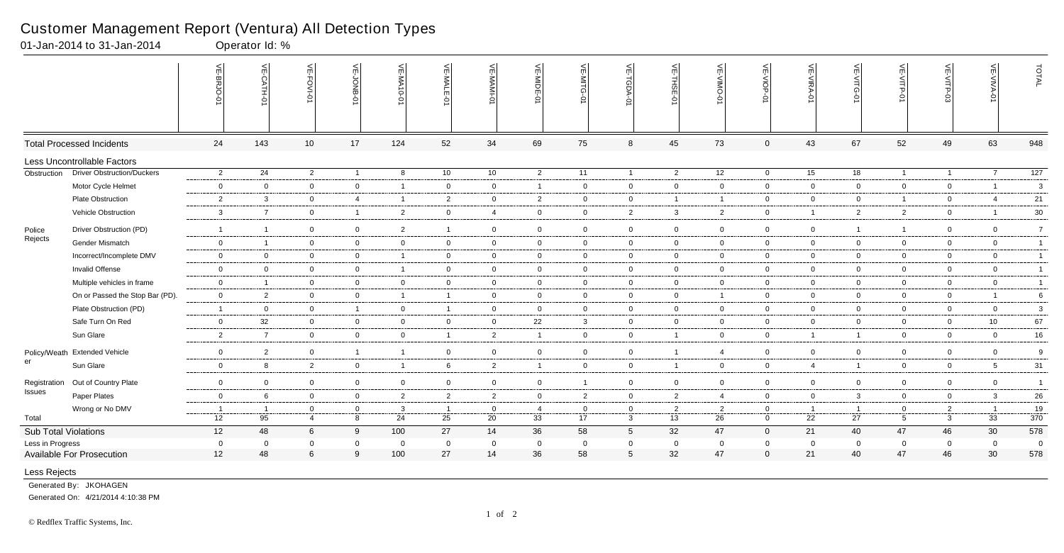|                      |                                   | VE-BRJO        | VE-CATH-01              | VE-FOVI-0       | 늦<br>-BNO <sup>r-3</sup><br>⌒ | VE-MA10-01               | VE-MALE<br>$\frac{1}{2}$ | VE-MAMI-0      | VE-MIDE-01     | VE-MITG-<br>$\overline{5}$ | VE-TGDA-0       | VE-THSE-01     | ے<br>OWIN-<br>Ò | <b>VE-VIOP-0</b> | VE-VIRA-01     | VE-VITG-0      | VE-VITP-01     | VE-VITP-03     | VE-VIVA-0       | TOTAL            |
|----------------------|-----------------------------------|----------------|-------------------------|-----------------|-------------------------------|--------------------------|--------------------------|----------------|----------------|----------------------------|-----------------|----------------|-----------------|------------------|----------------|----------------|----------------|----------------|-----------------|------------------|
|                      | <b>Total Processed Incidents</b>  | 24             | 143                     | 10 <sup>1</sup> | 17                            | 124                      | 52                       | 34             | 69             | 75                         | 8               | 45             | 73              | $\mathbf 0$      | 43             | 67             | 52             | 49             | 63              | 948              |
|                      | Less Uncontrollable Factors       |                |                         |                 |                               |                          |                          |                |                |                            |                 |                |                 |                  |                |                |                |                |                 |                  |
| Obstruction          | <b>Driver Obstruction/Duckers</b> | $\overline{2}$ | 24                      | $\overline{2}$  | $\overline{1}$                | 8                        | 10 <sup>1</sup>          | 10             | $\overline{2}$ | 11                         | $\overline{1}$  | $\overline{2}$ | 12              | $\overline{0}$   | 15             | 18             | $\mathbf{1}$   | $\overline{1}$ | $\overline{7}$  | $\overline{127}$ |
|                      | Motor Cycle Helmet                | $\overline{0}$ | $\overline{0}$          | $\mathbf 0$     | $\overline{0}$                | $\overline{\mathbf{1}}$  | $\mathbf 0$              | $\mathbf 0$    | $\overline{1}$ | $\mathbf 0$                | $\overline{0}$  | $\mathbf 0$    | $\mathbf 0$     | $\overline{0}$   | $\overline{0}$ | $\mathbf 0$    | $\overline{0}$ | $\mathbf 0$    | $\overline{1}$  | 3                |
|                      | Plate Obstruction                 | $\overline{2}$ | 3                       | $\mathbf 0$     | $\overline{4}$                | - 1                      | $\overline{2}$           | $\mathbf 0$    | $\overline{2}$ | $\mathbf 0$                | $\overline{0}$  | $\overline{1}$ | -1              | $\overline{0}$   | $\Omega$       | $\mathbf 0$    | $\mathbf{1}$   | 0              | $\overline{4}$  | 21               |
|                      | Vehicle Obstruction               | $\mathbf{3}$   | $\overline{7}$          | $\overline{0}$  | $\overline{1}$                | 2                        | $\overline{0}$           | $\overline{4}$ | $\overline{0}$ | $\overline{0}$             | $\overline{2}$  | $\mathbf{3}$   | $\overline{2}$  | $\overline{0}$   | $\overline{1}$ | $\overline{2}$ | $\overline{2}$ | $\overline{0}$ | -1              | $30\,$           |
| Police               | Driver Obstruction (PD)           | $\overline{1}$ | $\overline{\mathbf{1}}$ | $\overline{0}$  | $\overline{0}$                | $\overline{2}$           | -1                       | $\overline{0}$ | $\overline{0}$ | $\overline{0}$             | $\overline{0}$  | $\mathbf 0$    | 0               | $\overline{0}$   | $\overline{0}$ |                | $\mathbf{1}$   | $\mathbf 0$    | $\overline{0}$  | $\overline{7}$   |
| Rejects              | Gender Mismatch                   | $\overline{0}$ | $\overline{1}$          | $\mathbf 0$     | $\overline{0}$                | $\mathbf 0$              | $\overline{0}$           | $\mathbf 0$    | $\overline{0}$ | $\overline{0}$             | $\overline{0}$  | $\mathbf 0$    | $\mathbf 0$     | $\overline{0}$   | $\mathbf 0$    | $\mathbf 0$    | $\mathbf 0$    | $\overline{0}$ | $\overline{0}$  | $\overline{1}$   |
|                      | Incorrect/Incomplete DMV          | $\mathbf 0$    | $\mathbf{0}$            | $\overline{0}$  | $\mathbf 0$                   | $\overline{\mathbf{1}}$  | $\overline{0}$           | $\mathbf 0$    | $\overline{0}$ | $\overline{0}$             | $\overline{0}$  | $\overline{0}$ | 0               | $\overline{0}$   | $\overline{0}$ | $\overline{0}$ | $\overline{0}$ | $\mathbf 0$    | $\mathbf 0$     | $\overline{1}$   |
|                      | Invalid Offense                   | $\overline{0}$ | $\mathbf 0$             | $\mathbf 0$     | $\overline{0}$                | $\overline{\phantom{0}}$ | $\overline{0}$           | $\overline{0}$ | $\overline{0}$ | $\mathbf 0$                | $\overline{0}$  | $\mathbf 0$    | $\mathbf 0$     | $\overline{0}$   | $\mathbf 0$    | $\overline{0}$ | $\overline{0}$ | $\overline{0}$ | $\mathbf 0$     | $\overline{1}$   |
|                      | Multiple vehicles in frame        | $\mathbf 0$    | $\overline{1}$          | $\mathbf 0$     | $\overline{0}$                | $\overline{0}$           | $\mathbf 0$              | $\overline{0}$ | $\mathbf 0$    | $\overline{0}$             | $\overline{0}$  | $\mathbf 0$    | $\mathbf 0$     | $\overline{0}$   | $\overline{0}$ | $\mathbf 0$    | $\overline{0}$ | $\mathbf 0$    | $\mathbf 0$     | $\mathbf{1}$     |
|                      | On or Passed the Stop Bar (PD).   | $\overline{0}$ | $\overline{2}$          | $\mathbf 0$     | $\overline{0}$                | $\overline{\mathbf{1}}$  | $\overline{1}$           | $\overline{0}$ | $\overline{0}$ | $\overline{0}$             | $\mathbf 0$     | $\mathbf 0$    | $\overline{1}$  | $\mathbf 0$      | $\mathbf 0$    | $\mathbf 0$    | $\overline{0}$ | $\mathbf 0$    | $\overline{1}$  | 6                |
|                      | Plate Obstruction (PD)            | $\overline{1}$ | $\overline{0}$          | $\overline{0}$  | $\overline{1}$                | $\mathbf 0$              | $\overline{1}$           | $\overline{0}$ | $\mathbf 0$    | $\overline{0}$             | $\overline{0}$  | $\mathbf 0$    | $\Omega$        | $\mathbf 0$      | $\mathbf 0$    | $\overline{0}$ | $\overline{0}$ | $\mathbf 0$    | $\mathbf 0$     | 3                |
|                      | Safe Turn On Red                  | $\mathbf 0$    | 32                      | $\mathbf 0$     | $\mathbf 0$                   | $\mathbf 0$              | $\mathbf 0$              | $\mathbf 0$    | 22             | $\mathbf{3}$               | $\overline{0}$  | $\mathbf 0$    | $\mathbf 0$     | $\overline{0}$   | $\mathbf 0$    | $\mathbf 0$    | $\overline{0}$ | 0              | 10              | 67               |
|                      | Sun Glare                         | $\overline{2}$ | $\overline{7}$          | $\overline{0}$  | $\overline{0}$                | $\mathbf 0$              | $\overline{1}$           | 2              | $\overline{1}$ | $\overline{0}$             | $\mathbf 0$     | $\overline{1}$ | $\mathbf 0$     | $\mathbf 0$      | $\overline{1}$ | $\mathbf{1}$   | $\overline{0}$ | $\mathbf 0$    | $\mathbf 0$     | $16\,$           |
|                      | Policy/Weath Extended Vehicle     | $\overline{0}$ | $\overline{2}$          | $\overline{0}$  | $\overline{1}$                | $\overline{\mathbf{1}}$  | $\mathbf 0$              | $\overline{0}$ | $\overline{0}$ | $\overline{0}$             | $\overline{0}$  | $\overline{1}$ | $\overline{4}$  | $\overline{0}$   | $\overline{0}$ | $\mathbf 0$    | $\overline{0}$ | $\mathbf 0$    | $\overline{0}$  | 9                |
| er                   | Sun Glare                         | $\overline{0}$ | 8                       | $\overline{2}$  | $\overline{0}$                | $\overline{\mathbf{1}}$  | 6                        | $\overline{2}$ | $\overline{1}$ | $\mathbf 0$                | $\mathbf 0$     | $\overline{1}$ | $\mathbf 0$     | $\overline{0}$   | $\overline{4}$ | $\overline{1}$ | $\overline{0}$ | $\mathbf 0$    | $5\overline{5}$ | 31               |
| Registration         | Out of Country Plate              | $\overline{0}$ | $\mathbf 0$             | $\mathbf 0$     | $\overline{0}$                | $\mathbf 0$              | $\overline{0}$           | $\mathbf 0$    | $\overline{0}$ | $\mathbf{1}$               | $\overline{0}$  | $\mathbf 0$    | $\mathbf 0$     | $\overline{0}$   | $\mathbf 0$    | $\overline{0}$ | $\overline{0}$ | $\mathbf 0$    | $\overline{0}$  | $\overline{1}$   |
| Issues               | Paper Plates                      | $\mathbf 0$    | 6                       | $\mathbf 0$     | $\overline{0}$                | $\overline{2}$           | $\overline{2}$           | $\overline{2}$ | $\mathbf 0$    | $\overline{2}$             | $\mathbf 0$     | $\overline{2}$ | 4               | $\mathbf 0$      | $\overline{0}$ | $\mathbf{3}$   | $\overline{0}$ | $\mathbf 0$    | $\mathbf{3}$    | 26               |
|                      | Wrong or No DMV                   | $\overline{1}$ | $\overline{1}$          | $\mathbf 0$     | $\overline{0}$                | $\overline{\mathbf{3}}$  | $\overline{1}$           | $\overline{0}$ | $\overline{4}$ | $\mathbf 0$                | $\overline{0}$  | $\overline{2}$ | $\overline{2}$  | $\mathbf 0$      | $\overline{1}$ | $\overline{1}$ | $\overline{0}$ | $\overline{2}$ | $\overline{1}$  | 19               |
| Total                |                                   | 12             | 95                      | $\overline{4}$  | 8                             | 24                       | 25                       | 20             | 33             | 17                         | $\mathbf{3}$    | 13             | 26              | $\mathbf 0$      | 22             | 27             | $\overline{5}$ | $\mathbf{3}$   | 33              | 370              |
| Sub Total Violations |                                   | 12             | 48                      | 6               | 9                             | 100                      | 27                       | 14             | 36             | 58                         | $5\phantom{.0}$ | 32             | 47              | $\overline{0}$   | 21             | 40             | 47             | 46             | 30              | 578              |
| Less in Progress     |                                   | $\overline{0}$ | $\overline{0}$          | $\mathbf 0$     | $\mathbf 0$                   | $\overline{\mathbf{0}}$  | $\mathbf 0$              | $\overline{0}$ | $\overline{0}$ | $\mathbf 0$                | $\mathbf 0$     | $\mathbf 0$    | $\mathbf 0$     | $\mathbf 0$      | $\mathbf 0$    | $\mathbf 0$    | $\mathbf 0$    | $\mathbf 0$    | $\mathbf 0$     | $\overline{0}$   |
|                      | <b>Available For Prosecution</b>  | 12             | 48                      | 6               | 9                             | 100                      | 27                       | 14             | 36             | 58                         | 5               | 32             | 47              | $\mathbf 0$      | 21             | 40             | 47             | 46             | 30              | 578              |
| Less Rejects         |                                   |                |                         |                 |                               |                          |                          |                |                |                            |                 |                |                 |                  |                |                |                |                |                 |                  |

01-Jan-2014 to 31-Jan-2014 Qperator Id: %

Camera Face Camera Flash 0-00% 0-00% 0-00% 0-00% 1-01% 0-00% 0-00% 0-00% 0-00% 0-00% 0-00% 0-00% 0-00% 0-00% 1-02% 0-00% 0-00% 0-00% 2-00% Generated By: JKOHAGEN

Generated On: 4/21/2014 4:10:38 PM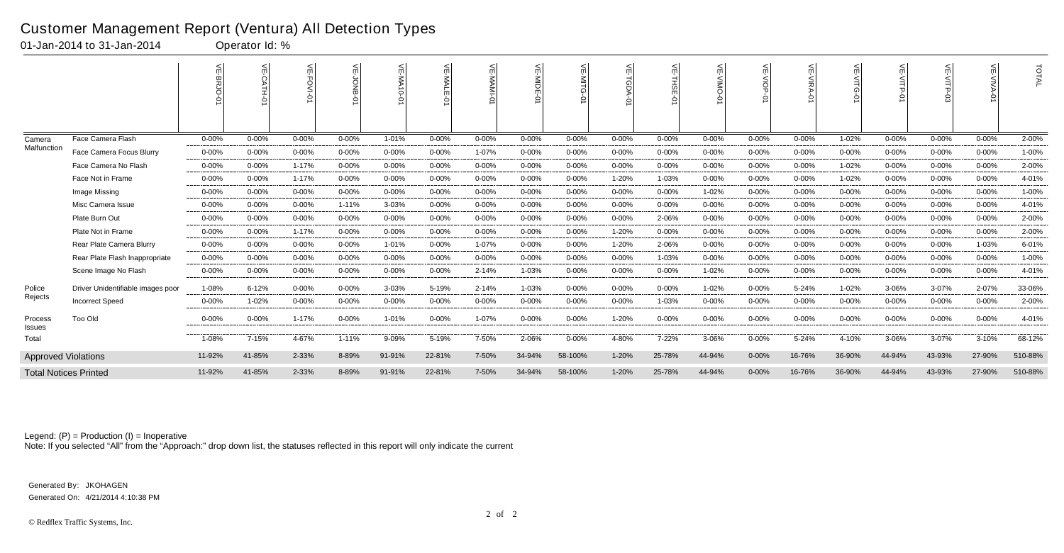|                            |                                   | 늦         | $\leq$<br><b>ATH-0</b> | ⋦         | ⋦         | VE-MA<br>$\overrightarrow{0}$ |            | 븻<br>E-MAMI- | VE-MIDE-0  | $\leq$    | $\widetilde{\exists}$<br>G. | 늦<br>쯞<br>Ğ | ш         | 늦<br>$rac{5}{9}$ | $\leq$<br><b>NIRA</b><br>0 | 슈         | VE-VITP   | ے         | $\leq$<br>$\circ$ | TOTAL   |
|----------------------------|-----------------------------------|-----------|------------------------|-----------|-----------|-------------------------------|------------|--------------|------------|-----------|-----------------------------|-------------|-----------|------------------|----------------------------|-----------|-----------|-----------|-------------------|---------|
| Camera                     | Face Camera Flash                 | $0 - 00%$ | $0 - 00%$              | $0 - 00%$ | $0 - 00%$ | 1-01%                         | 0-00%      | $0 - 00%$    | $0 - 00%$  | $0 - 00%$ | $0 - 00%$                   | $0 - 00%$   | $0 - 00%$ | $0 - 00%$        | $0 - 00\%$                 | 1-02%     | $0 - 00%$ | $0 - 00%$ | $0 - 00%$         | 2-00%   |
| Malfunction                | Face Camera Focus Blurry          | $0 - 00%$ | $0 - 00%$              | $0 - 00%$ | $0 - 00%$ | $0 - 00%$                     | $0 - 00\%$ | 1-07%        | $0 - 00%$  | $0 - 00%$ | $0 - 00%$                   | $0 - 00%$   | 0-00%     | $0 - 00%$        | $0 - 00%$                  | $0 - 00%$ | $0 - 00%$ | $0 - 00%$ | $0 - 00%$         | 1-00%   |
|                            | Face Camera No Flash              | $0 - 00%$ | $0 - 00%$              | 1-17%     | $0 - 00%$ | $0 - 00%$                     | 0-00%      | 0-00%        | $0 - 00\%$ | $0 - 00%$ | $0 - 00%$                   | $0 - 00\%$  | $0 - 00%$ | $0 - 00%$        | $0 - 00\%$                 | 1-02%     | $0 - 00%$ | $0 - 00%$ | $0 - 00%$         | 2-00%   |
|                            | Face Not in Frame                 | $0 - 00%$ | $0 - 00%$              | 1-17%     | $0 - 00%$ | $0 - 00%$                     | $0 - 00%$  | $0 - 00%$    | $0 - 00%$  | $0 - 00%$ | 1-20%                       | 1-03%       | $0 - 00%$ | $0 - 00%$        | $0 - 00%$                  | 1-02%     | $0 - 00%$ | $0 - 00%$ | $0 - 00%$         | 4-01%   |
|                            | Image Missing                     | $0 - 00%$ | $0 - 00%$              | $0 - 00%$ | $0 - 00%$ | $0 - 00%$                     | 0-00%      | $0 - 00%$    | $0 - 00%$  | $0 - 00%$ | $0 - 00%$                   | $0 - 00%$   | 1-02%     | $0 - 00%$        | $0 - 00%$                  | $0 - 00%$ | $0 - 00%$ | $0 - 00%$ | $0 - 00\%$        | 1-00%   |
|                            | Misc Camera Issue                 | $0 - 00%$ | $0 - 00%$              | $0 - 00%$ | $1 - 11%$ | 3-03%                         | $0 - 00\%$ | $0 - 00%$    | $0 - 00%$  | $0 - 00%$ | $0 - 00%$                   | $0 - 00%$   | 0-00%     | $0 - 00%$        | $0 - 00%$                  | 0-00%     | $0 - 00%$ | $0 - 00%$ | 0-00%             | 4-01%   |
|                            | Plate Burn Out                    | $0 - 00%$ | $0 - 00%$              | $0 - 00%$ | $0 - 00%$ | $0 - 00%$                     | $0 - 00%$  | $0 - 00%$    | $0 - 00%$  | $0 - 00%$ | $0 - 00%$                   | 2-06%       | $0 - 00%$ | $0 - 00%$        | $0 - 00%$                  | $0 - 00%$ | $0 - 00%$ | $0 - 00%$ | $0 - 00%$         | 2-00%   |
|                            | Plate Not in Frame                | $0 - 00%$ | $0 - 00%$              | 1-17%     | $0 - 00%$ | $0 - 00%$                     | 0-00%      | $0 - 00\%$   | $0 - 00%$  | $0 - 00%$ | 1-20%                       | $0 - 00%$   | $0 - 00%$ | $0 - 00%$        | $0 - 00%$                  | $0 - 00%$ | $0 - 00%$ | $0 - 00%$ | $0 - 00%$         | 2-00%   |
|                            | Rear Plate Camera Blurry          | $0 - 00%$ | $0 - 00%$              | $0 - 00%$ | $0 - 00%$ | 1-01%                         | 0-00%      | 1-07%        | $0 - 00%$  | $0 - 00%$ | 1-20%                       | 2-06%       | $0 - 00%$ | $0 - 00%$        | $0 - 00%$                  | $0 - 00%$ | $0 - 00%$ | $0 - 00%$ | 1-03%             | 6-01%   |
|                            | Rear Plate Flash Inappropriate    | $0 - 00%$ | $0 - 00%$              | $0 - 00%$ | $0 - 00%$ | $0 - 00%$                     | $0 - 00%$  | $0 - 00%$    | $0 - 00%$  | $0 - 00%$ | $0 - 00%$                   | 1-03%       | $0 - 00%$ | $0 - 00%$        | $0 - 00%$                  | $0 - 00%$ | $0 - 00%$ | $0 - 00%$ | $0 - 00%$         | 1-00%   |
|                            | Scene Image No Flash              | $0 - 00%$ | $0 - 00%$              | 0-00%     | $0 - 00%$ | $0 - 00%$                     | $0 - 00\%$ | 2-14%        | 1-03%      | $0 - 00%$ | $0 - 00%$                   | $0 - 00%$   | 1-02%     | $0 - 00%$        | $0 - 00\%$                 | $0 - 00%$ | $0 - 00%$ | $0 - 00%$ | $0 - 00\%$        | 4-01%   |
| Police                     | Driver Unidentifiable images poor | 1-08%     | $6 - 12%$              | $0 - 00%$ | $0 - 00%$ | 3-03%                         | 5-19%      | 2-14%        | 1-03%      | $0 - 00%$ | $0 - 00\%$                  | $0 - 00%$   | 1-02%     | $0 - 00%$        | 5-24%                      | 1-02%     | 3-06%     | 3-07%     | 2-07%             | 33-06%  |
| Rejects                    | <b>Incorrect Speed</b>            | $0 - 00%$ | 1-02%                  | $0 - 00%$ | $0 - 00%$ | $0 - 00%$                     | 0-00%      | $0 - 00\%$   | $0 - 00%$  | $0 - 00%$ | $0 - 00%$                   | 1-03%       | $0 - 00%$ | $0 - 00%$        | $0 - 00%$                  | $0 - 00%$ | $0 - 00%$ | $0 - 00%$ | $0 - 00%$         | 2-00%   |
| Process<br>Issues          | Too Old                           | $0 - 00%$ | $0 - 00%$              | $1 - 17%$ | $0 - 00%$ | 1-01%                         | $0 - 00%$  | 1-07%        | $0 - 00%$  | $0 - 00%$ | 1-20%                       | $0 - 00%$   | 0-00%     | $0 - 00%$        | $0 - 00\%$                 | 0-00%     | $0 - 00%$ | $0 - 00%$ | $0 - 00%$         | 4-01%   |
| Total                      |                                   | 1-08%     | 7-15%                  | 4-67%     | $1 - 11%$ | 9-09%                         | 5-19%      | 7-50%        | 2-06%      | 0-00%     | 4-80%                       | 7-22%       | 3-06%     | $0 - 00\%$       | 5-24%                      | 4-10%     | 3-06%     | 3-07%     | 3-10%             | 68-12%  |
| <b>Approved Violations</b> |                                   | 11-92%    | 41-85%                 | 2-33%     | 8-89%     | 91-91%                        | 22-81%     | 7-50%        | 34-94%     | 58-100%   | $1 - 20%$                   | 25-78%      | 44-94%    | $0 - 00%$        | 16-76%                     | 36-90%    | 44-94%    | 43-93%    | 27-90%            | 510-88% |
|                            | <b>Total Notices Printed</b>      | 11-92%    | 41-85%                 | 2-33%     | 8-89%     | 91-91%                        | 22-81%     | 7-50%        | 34-94%     | 58-100%   | 1-20%                       | 25-78%      | 44-94%    | $0 - 00%$        | 16-76%                     | 36-90%    | 44-94%    | 43-93%    | 27-90%            | 510-88% |

Note: If you selected "All" from the "Approach:" drop down list, the statuses reflected in this report will only indicate the current

#### Customer Management Report (Ventura) All Detection Types

01-Jan-2014 to 31-Jan-2014 Operator Id: %

Generated On: 4/21/2014 4:10:38 PM Generated By: JKOHAGEN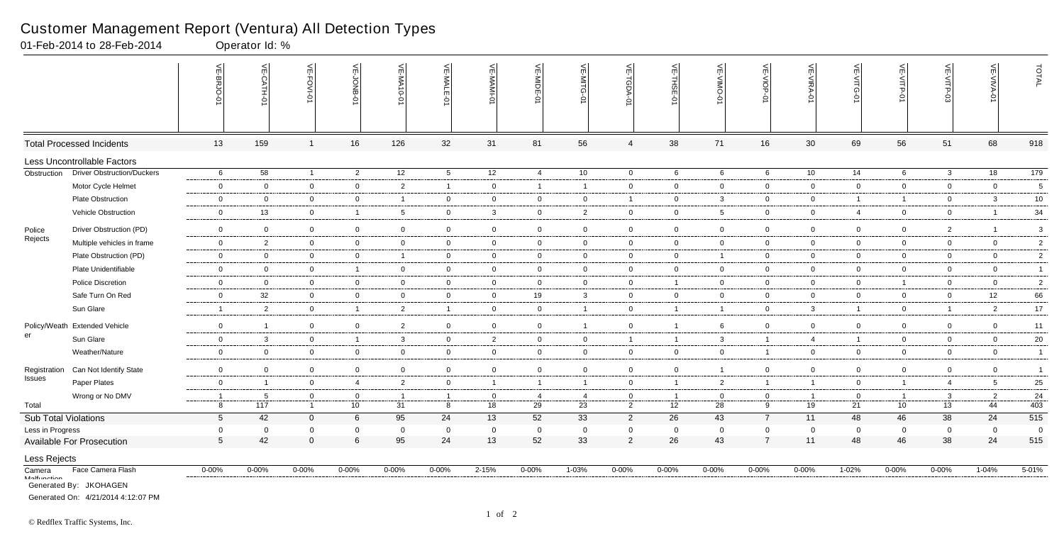|                             |                                             | 늦<br>뾩          | VE-CATH-01              | VE-FOVI-01     | VE-JONB-        | VE-MA10-01     | VE-MALE-01      | VE-MAMI-01     | VE-MIDE-01              | ۴<br>่≤<br>Ò   | VE-TGDA-0      | VE-THSE-01     | VE-VIMO-<br>Ġ   | VE-VIOP-0       | VE-VIRA-01     | VE-VITG-0      | VE-VITP-01      | VE-VITP-03     | VE-VIVA-0      | TOTAL          |
|-----------------------------|---------------------------------------------|-----------------|-------------------------|----------------|-----------------|----------------|-----------------|----------------|-------------------------|----------------|----------------|----------------|-----------------|-----------------|----------------|----------------|-----------------|----------------|----------------|----------------|
|                             | <b>Total Processed Incidents</b>            | 13              | 159                     | -1             | 16              | 126            | 32              | 31             | 81                      | 56             | $\overline{4}$ | 38             | 71              | 16              | 30             | 69             | 56              | 51             | 68             | 918            |
|                             | Less Uncontrollable Factors                 |                 |                         |                |                 |                |                 |                |                         |                |                |                |                 |                 |                |                |                 |                |                |                |
| Obstruction                 | <b>Driver Obstruction/Duckers</b>           | 6               | 58                      | $\overline{1}$ | $\overline{2}$  | 12             | $5\overline{)}$ | 12             | $\overline{4}$          | 10             | $\overline{0}$ | 6              | 6               | $6\phantom{.0}$ | 10             | 14             | $6\overline{6}$ | $\mathbf{3}$   | 18             | 179            |
|                             | Motor Cycle Helmet                          | $\mathbf 0$     | $\mathbf 0$             | $\mathbf 0$    | $\mathbf 0$     | $\overline{2}$ | $\overline{1}$  | $\overline{0}$ | $\overline{1}$          | $\mathbf{1}$   | $\mathbf 0$    | $\mathbf 0$    | $\mathbf 0$     | $\mathbf 0$     | $\mathbf 0$    | $\mathbf 0$    | $\mathbf 0$     | $\mathbf 0$    | $\mathbf 0$    | 5              |
|                             | Plate Obstruction                           | $\mathbf 0$     | $\overline{0}$          | $\overline{0}$ | $\overline{0}$  | $\overline{1}$ | $\overline{0}$  | $\overline{0}$ | $\overline{0}$          | $\overline{0}$ | $\overline{1}$ | $\overline{0}$ | $\mathbf{3}$    | $\overline{0}$  | $\mathbf 0$    | $\overline{1}$ | $\mathbf{1}$    | $\mathbf 0$    | $\mathbf{3}$   | $10\,$         |
|                             | Vehicle Obstruction                         | $\mathbf 0$     | 13                      | $\mathbf 0$    | $\overline{1}$  | 5              | $\overline{0}$  | $\mathbf{3}$   | $\overline{0}$          | $\overline{2}$ | $\overline{0}$ | $\overline{0}$ | $5\overline{)}$ | $\overline{0}$  | $\overline{0}$ | $\overline{4}$ | $\overline{0}$  | $\mathbf 0$    | $\overline{1}$ | 34             |
| Police                      | Driver Obstruction (PD)                     | $\mathbf 0$     | $\overline{0}$          | $\mathbf 0$    | $\mathbf 0$     | $\mathbf 0$    | $\overline{0}$  | $\mathbf 0$    | $\overline{0}$          | $\overline{0}$ | $\mathbf 0$    | $\mathbf 0$    | $\mathbf{0}$    | $\mathbf 0$     | $\overline{0}$ | $\overline{0}$ | $\mathbf 0$     | $\overline{2}$ | $\overline{1}$ | 3              |
| Rejects                     | Multiple vehicles in frame                  | $\mathbf 0$     | 2                       | $\mathbf{0}$   | $\overline{0}$  | $\mathbf 0$    | $\mathbf 0$     | $\mathbf 0$    | $\overline{0}$          | $\mathbf 0$    | $\mathbf 0$    | $\overline{0}$ | $\mathbf 0$     | $\mathbf 0$     | $\mathbf 0$    | $\overline{0}$ | $\overline{0}$  | $\mathbf 0$    | $\mathbf 0$    | $\overline{c}$ |
|                             | Plate Obstruction (PD)                      | $\overline{0}$  | $\overline{0}$          | $\overline{0}$ | $\mathbf 0$     | $\overline{1}$ | $\overline{0}$  | $\overline{0}$ | $\overline{0}$          | $\overline{0}$ | $\overline{0}$ | $\overline{0}$ | $\overline{1}$  | $\overline{0}$  | $\overline{0}$ | $\overline{0}$ | $\overline{0}$  | $\mathbf 0$    | $\mathbf 0$    | $\overline{2}$ |
|                             | Plate Unidentifiable                        | $\mathbf 0$     | $\overline{0}$          | $\overline{0}$ | $\overline{1}$  | $\mathbf 0$    | $\overline{0}$  | $\overline{0}$ | $\overline{0}$          | $\overline{0}$ | $\overline{0}$ | $\overline{0}$ | $\mathbf{0}$    | $\overline{0}$  | $\overline{0}$ | $\overline{0}$ | $\overline{0}$  | $\mathbf 0$    | $\mathbf 0$    | $\mathbf{1}$   |
|                             | Police Discretion                           | $\mathbf 0$     | $\overline{0}$          | $\mathbf 0$    | $\overline{0}$  | $\overline{0}$ | $\overline{0}$  | $\overline{0}$ | $\overline{0}$          | $\overline{0}$ | $\overline{0}$ | $\overline{1}$ | $\Omega$        | $\overline{0}$  | $\overline{0}$ | $\overline{0}$ | $\mathbf{1}$    | $\mathbf 0$    | $\mathbf 0$    | $\overline{2}$ |
|                             | Safe Turn On Red                            | $\mathbf 0$     | 32                      | $\mathbf 0$    | $\overline{0}$  | $\mathbf 0$    | $\overline{0}$  | $\mathsf 0$    | 19                      | 3              | $\overline{0}$ | $\overline{0}$ | $\Omega$        | $\overline{0}$  | $\mathbf 0$    | $\mathbf 0$    | $\overline{0}$  | $\overline{0}$ | 12             | 66             |
|                             | Sun Glare                                   | $\overline{1}$  | 2                       | $\overline{0}$ | $\overline{1}$  | $\overline{2}$ | $\mathbf{1}$    | $\overline{0}$ | $\overline{0}$          | $\overline{1}$ | $\mathbf 0$    | $\overline{1}$ | $\overline{1}$  | $\overline{0}$  | $\mathbf{3}$   | $\mathbf{1}$   | $\overline{0}$  | $\overline{1}$ | $\overline{2}$ | $17$           |
|                             | Policy/Weath Extended Vehicle               | $\mathbf 0$     | $\overline{\mathbf{1}}$ | $\mathbf{0}$   | $\overline{0}$  | $\overline{2}$ | $\overline{0}$  | $\mathbf 0$    | $\overline{0}$          | -1             | $\mathbf 0$    | $\overline{1}$ | 6               | $\mathbf 0$     | $\overline{0}$ | $\mathbf 0$    | $\overline{0}$  | $\mathbf 0$    | $\mathbf 0$    | 11             |
| er                          | Sun Glare                                   | $\mathbf 0$     | $\mathbf{3}$            | $\overline{0}$ | $\overline{1}$  | $\mathbf{3}$   | $\overline{0}$  | $\overline{2}$ | $\overline{0}$          | $\overline{0}$ | $\overline{1}$ | $\overline{1}$ | $\mathbf{3}$    | $\overline{1}$  | $\overline{4}$ | $\mathbf{1}$   | $\overline{0}$  | $\mathbf 0$    | $\overline{0}$ | 20             |
|                             | Weather/Nature                              | $\mathbf 0$     | $\mathbf 0$             | $\mathbf 0$    | $\overline{0}$  | $\mathbf 0$    | $\overline{0}$  | $\mathbf 0$    | $\overline{\mathbf{0}}$ | $\overline{0}$ | $\overline{0}$ | $\overline{0}$ | $\mathbf 0$     | $\mathbf{1}$    | $\mathbf 0$    | $\overline{0}$ | $\overline{0}$  | $\mathbf 0$    | $\overline{0}$ | $\overline{1}$ |
| Registration                | Can Not Identify State                      | $\mathbf 0$     | $\overline{0}$          | $\overline{0}$ | $\overline{0}$  | $\mathbf{0}$   | $\overline{0}$  | $\overline{0}$ | $\overline{0}$          | $\overline{0}$ | $\mathbf 0$    | $\overline{0}$ | $\overline{1}$  | $\overline{0}$  | $\overline{0}$ | $\overline{0}$ | $\overline{0}$  | $\overline{0}$ | $\mathbf 0$    | $\overline{1}$ |
| Issues                      | Paper Plates                                | $\mathbf 0$     | $\overline{1}$          | $\mathbf 0$    | $\overline{4}$  | $\overline{2}$ | $\overline{0}$  | $\overline{1}$ | $\overline{1}$          | $\overline{1}$ | $\mathbf 0$    | $\overline{1}$ | $\overline{2}$  | $\mathbf{1}$    | $\overline{1}$ | $\mathbf 0$    | $\mathbf{1}$    | $\overline{4}$ | 5              | 25             |
|                             | Wrong or No DMV                             | $\overline{1}$  | $5\overline{5}$         | $\mathbf 0$    | $\overline{0}$  | - 1            | -1              | $\overline{0}$ | $\overline{4}$          | $\overline{4}$ | $\overline{0}$ | $\overline{1}$ | $\Omega$        | $\overline{0}$  | $\overline{1}$ | $\overline{0}$ | $\overline{1}$  | $\mathbf{3}$   | $\overline{2}$ | 24             |
| Total                       |                                             | 8               | 117                     | $\overline{1}$ | 10              | 31             | 8               | 18             | 29                      | 23             | $\overline{2}$ | 12             | 28              | 9               | 19             | 21             | 10              | 13             | 44             | 403            |
| <b>Sub Total Violations</b> |                                             | $5\phantom{.0}$ | 42                      | $\overline{0}$ | $6\phantom{.}6$ | 95             | 24              | 13             | 52                      | 33             | $\overline{2}$ | 26             | 43              | $\overline{7}$  | 11             | 48             | 46              | 38             | 24             | 515            |
| Less in Progress            |                                             | $\mathbf 0$     | $\Omega$                | $\Omega$       | $\mathbf 0$     | $\mathbf 0$    | $\mathbf 0$     | $\mathbf 0$    | $\overline{0}$          | $\mathbf 0$    | $\overline{0}$ | $\mathbf 0$    | 0               | $\mathbf 0$     | $\Omega$       | $\mathbf 0$    | $\mathbf 0$     | $\mathbf 0$    | $\mathbf 0$    | $\overline{0}$ |
|                             | <b>Available For Prosecution</b>            | $5\phantom{.0}$ | 42                      | $\overline{0}$ | $\,6\,$         | 95             | 24              | 13             | 52                      | 33             | $\overline{2}$ | 26             | 43              | $\overline{7}$  | 11             | 48             | 46              | 38             | 24             | 515            |
| Less Rejects                |                                             |                 |                         |                |                 |                |                 |                |                         |                |                |                |                 |                 |                |                |                 |                |                |                |
| Camera<br>$M$ olfunation    | Face Camera Flash<br>Generated By: JKOHAGEN | $0 - 00\%$      | $0 - 00\%$              | $0 - 00\%$     | $0 - 00%$       | $0 - 00\%$     | $0 - 00\%$      | 2-15%          | $0 - 00%$               | $1 - 03%$      | $0 - 00\%$     | $0 - 00%$      | $0 - 00\%$      | $0 - 00%$       | $0 - 00\%$     | $1 - 02%$      | $0 - 00%$       | $0 - 00\%$     | $1 - 04%$      | $5 - 01%$      |

01-Feb-2014 to 28-Feb-2014 Operator Id: %

Generated On: 4/21/2014 4:12:07 PM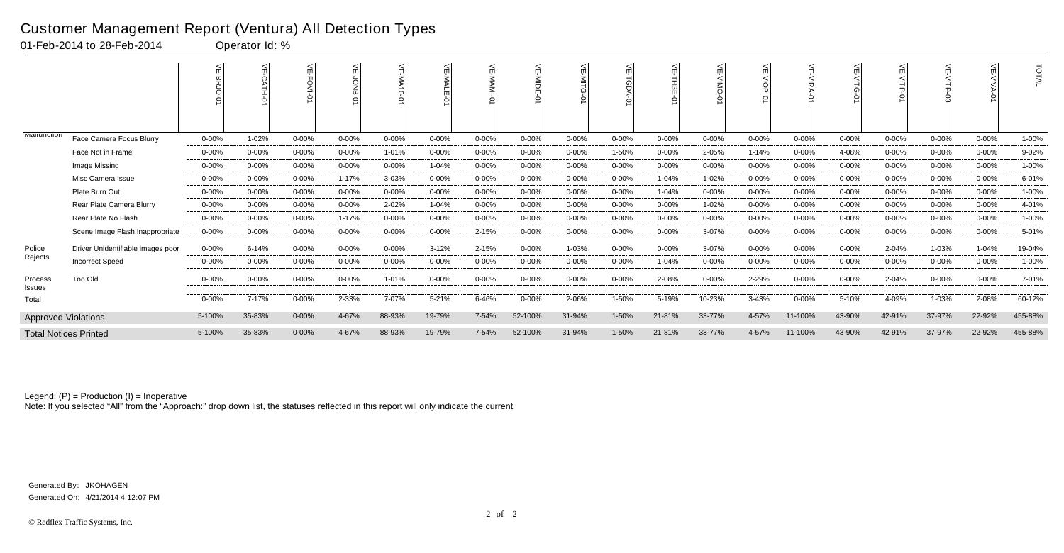|                      |                                   |           |           | 븻          | 늦         |            | ے<br><b>MALE</b><br>$\circ$ | ¥<br>$\circ$ |           | ے<br>$\leq$ | 늦         | 븻         | ے<br>ONIN  | 늰<br>$\frac{1}{2}$<br>⌒ | 븻<br>×ΙΚΑ | 늦          | 늰          |           | $\leq$     | <b>TOTAL</b> |
|----------------------|-----------------------------------|-----------|-----------|------------|-----------|------------|-----------------------------|--------------|-----------|-------------|-----------|-----------|------------|-------------------------|-----------|------------|------------|-----------|------------|--------------|
| <b>IVIAIIUIIUUUI</b> | Face Camera Focus Blurry          | $0 - 00%$ | 1-02%     | $0 - 00%$  | $0 - 00%$ | $0 - 00%$  | $0 - 00\%$                  | $0 - 00%$    | $0 - 00%$ | $0 - 00\%$  | $0 - 00%$ | $0 - 00%$ | $0 - 00\%$ | $0 - 00\%$              | $0 - 00%$ | $0 - 00\%$ | $0 - 00\%$ | $0 - 00%$ | $0 - 00\%$ | 1-00%        |
|                      | Face Not in Frame                 | $0 - 00%$ | $0 - 00%$ | $0 - 00%$  | $0 - 00%$ | 1-01%      | $0 - 00\%$                  | $0 - 00%$    | $0 - 00%$ | $0 - 00%$   | 1-50%     | $0 - 00%$ | 2-05%      | $1 - 14%$               | $0 - 00%$ | 4-08%      | $0 - 00%$  | $0 - 00%$ | $0 - 00\%$ | 9-02%        |
|                      | Image Missing                     | $0 - 00%$ | $0 - 00%$ | $0 - 00%$  | $0 - 00%$ | $0 - 00%$  | 1-04%                       | $0 - 00%$    | $0 - 00%$ | $0 - 00%$   | $0 - 00%$ | $0 - 00%$ | $0 - 00%$  | $0 - 00%$               | $0 - 00%$ | $0 - 00%$  | $0 - 00%$  | $0 - 00%$ | $0 - 00%$  | 1-00%        |
|                      | Misc Camera Issue                 | $0 - 00%$ | $0 - 00%$ | $0 - 00%$  | 1-17%     | 3-03%      | $0 - 00%$                   | $0 - 00%$    | $0 - 00%$ | $0 - 00\%$  | $0 - 00%$ | $1 - 04%$ | 1-02%      | $0 - 00%$               | $0 - 00%$ | $0 - 00%$  | $0 - 00%$  | $0 - 00%$ | $0 - 00\%$ | 6-01%        |
|                      | Plate Burn Out                    | $0 - 00%$ | $0 - 00%$ | $0 - 00%$  | $0 - 00%$ | $0 - 00%$  | $0 - 00%$                   | $0 - 00%$    | $0 - 00%$ | $0 - 00%$   | $0 - 00%$ | 1-04%     | $0 - 00%$  | $0 - 00%$               | $0 - 00%$ | $0 - 00%$  | $0 - 00%$  | $0 - 00%$ | $0 - 00%$  | 1-00%        |
|                      | Rear Plate Camera Blurry          | $0 - 00%$ | $0 - 00%$ | $0 - 00%$  | $0 - 00%$ | 2-02%      | 1-04%                       | $0 - 00%$    | $0 - 00%$ | $0 - 00\%$  | $0 - 00%$ | $0 - 00%$ | 1-02%      | $0 - 00%$               | $0 - 00%$ | $0 - 00%$  | $0 - 00%$  | 0-00%     | $0 - 00%$  | 4-01%        |
|                      | Rear Plate No Flash               | $0 - 00%$ | $0 - 00%$ | $0 - 00%$  | $1 - 17%$ | $0 - 00%$  | $0 - 00%$                   | $0 - 00%$    | $0 - 00%$ | $0 - 00%$   | $0 - 00%$ | $0 - 00%$ | $0 - 00%$  | $0 - 00%$               | $0 - 00%$ | $0 - 00%$  | $0 - 00%$  | $0 - 00%$ | $0 - 00%$  | 1-00%        |
|                      | Scene Image Flash Inappropriate   | $0 - 00%$ | $0 - 00%$ | $0 - 00%$  | $0 - 00%$ | $0 - 00%$  | $0 - 00\%$                  | 2-15%        | 0-00%     | $0 - 00\%$  | $0 - 00%$ | $0 - 00%$ | 3-07%      | $0 - 00%$               | $0 - 00%$ | $0 - 00%$  | $0 - 00%$  | $0 - 00%$ | $0 - 00\%$ | 5-01%        |
| Police               | Driver Unidentifiable images poor | $0 - 00%$ | 6-14%     | $0 - 00%$  | $0 - 00%$ | $0 - 00\%$ | $3 - 12%$                   | 2-15%        | $0 - 00%$ | 1-03%       | 0-00%     | $0 - 00%$ | 3-07%      | 0-00%                   | $0 - 00%$ | $0 - 00\%$ | 2-04%      | 1-03%     | $1 - 04%$  | 19-04%       |
| Rejects              | <b>Incorrect Speed</b>            | $0 - 00%$ | $0 - 00%$ | $0 - 00%$  | $0 - 00%$ | $0 - 00%$  | $0 - 00%$                   | $0 - 00%$    | $0 - 00%$ | $0 - 00%$   | $0 - 00%$ | 1-04%     | $0 - 00%$  | $0 - 00%$               | $0 - 00%$ | $0 - 00%$  | $0 - 00%$  | $0 - 00%$ | $0 - 00%$  | 1-00%        |
| Process<br>Issues    | Too Old                           | $0 - 00%$ | $0 - 00%$ | 0-00%      | $0 - 00%$ | 1-01%      | $0 - 00\%$                  | $0 - 00%$    | $0 - 00%$ | $0 - 00\%$  | $0 - 00%$ | 2-08%     | $0 - 00\%$ | 2-29%                   | $0 - 00%$ | 0-00%      | 2-04%      | $0 - 00%$ | $0 - 00\%$ | 7-01%        |
| Total                |                                   | $0 - 00%$ | 7-17%     | $0 - 00%$  | 2-33%     | 7-07%      | $5 - 21%$                   | 6-46%        | $0 - 00%$ | 2-06%       | 1-50%     | 5-19%     | 10-23%     | 3-43%                   | $0 - 00%$ | 5-10%      | 4-09%      | 1-03%     | 2-08%      | 60-12%       |
|                      | <b>Approved Violations</b>        | 5-100%    | 35-83%    | $0 - 00\%$ | 4-67%     | 88-93%     | 19-79%                      | 7-54%        | 52-100%   | 31-94%      | $1 - 50%$ | 21-81%    | 33-77%     | 4-57%                   | 11-100%   | 43-90%     | 42-91%     | 37-97%    | 22-92%     | 455-88%      |
|                      | <b>Total Notices Printed</b>      | 5-100%    | 35-83%    | $0 - 00\%$ | 4-67%     | 88-93%     | 19-79%                      | 7-54%        | 52-100%   | 31-94%      | 1-50%     | 21-81%    | 33-77%     | 4-57%                   | 11-100%   | 43-90%     | 42-91%     | 37-97%    | 22-92%     | 455-88%      |

Note: If you selected "All" from the "Approach:" drop down list, the statuses reflected in this report will only indicate the current

#### Customer Management Report (Ventura) All Detection Types

01-Feb-2014 to 28-Feb-2014 Operator Id: %

Generated On: 4/21/2014 4:12:07 PM Generated By: JKOHAGEN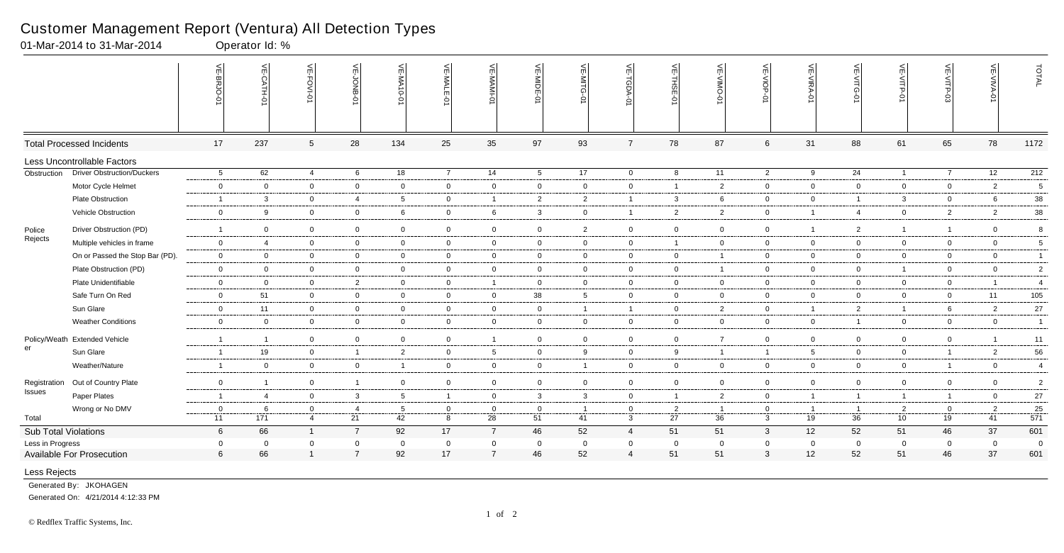|                      |                                   | VE-BRJO-<br>$\circ$     | VE-CATH-01              | VE-FOVI-01      | VE-JONB-01     | VE-MA10-01     | VE-MALE-<br>$\ddot{\Theta}$ | VE-MAMI         | VE-MIDE-01              | $\leq$<br>≊     | VE-TGDA-0      | VE-THSE-01     | VE-VIMO-0      | VE-VIOP-01      | VE-VIRA-01     | VE-VITG-01     | VE-VITP-01      | VE-VITP-03     | VE-VIVA-0      | TOTAL            |
|----------------------|-----------------------------------|-------------------------|-------------------------|-----------------|----------------|----------------|-----------------------------|-----------------|-------------------------|-----------------|----------------|----------------|----------------|-----------------|----------------|----------------|-----------------|----------------|----------------|------------------|
|                      | <b>Total Processed Incidents</b>  | 17                      | 237                     | $5\phantom{.0}$ | 28             | 134            | 25                          | 35              | 97                      | 93              | $\overline{7}$ | 78             | 87             | $6\phantom{.}6$ | 31             | 88             | 61              | 65             | 78             | 1172             |
|                      | Less Uncontrollable Factors       |                         |                         |                 |                |                |                             |                 |                         |                 |                |                |                |                 |                |                |                 |                |                |                  |
| Obstruction          | <b>Driver Obstruction/Duckers</b> | $5\overline{)}$         | 62                      | 4               | 6              | 18             | $\overline{7}$              | 14              | $5\overline{5}$         | 17              | $\overline{0}$ | 8              | 11             | $\overline{2}$  | 9              | 24             | $\mathbf{1}$    | $\overline{7}$ | 12             | $\overline{212}$ |
|                      | Motor Cycle Helmet                | $\mathbf 0$             | $\overline{0}$          | $\mathbf 0$     | $\overline{0}$ | $\overline{0}$ | $\mathbf 0$                 | $\overline{0}$  | $\overline{0}$          | $\overline{0}$  | $\mathbf 0$    | $\overline{1}$ | $\overline{2}$ | $\overline{0}$  | $\mathbf 0$    | $\mathbf 0$    | $\overline{0}$  | $\mathbf 0$    | $\overline{2}$ | 5                |
|                      | Plate Obstruction                 | -1                      | $\mathbf{3}$            | $\mathbf 0$     | $\overline{4}$ | 5              | $\mathbf 0$                 | $\overline{1}$  | $\overline{2}$          | $\overline{2}$  | $\overline{1}$ | $\mathbf{3}$   | 6              | $\overline{0}$  | $\mathbf 0$    | $\overline{1}$ | $\mathbf{3}$    | $\mathbf 0$    | 6              | 38               |
|                      | Vehicle Obstruction               | $\mathbf 0$             | 9                       | $\overline{0}$  | $\mathbf 0$    | 6              | $\overline{0}$              | $6\phantom{.}6$ | $\overline{3}$          | $\overline{0}$  | $\overline{1}$ | $\overline{2}$ | $\overline{2}$ | $\mathbf 0$     | $\overline{1}$ | $\overline{4}$ | $\overline{0}$  | $\overline{2}$ | $\overline{2}$ | 38               |
| Police               | Driver Obstruction (PD)           | -1                      | $\overline{0}$          | $\mathbf 0$     | $\overline{0}$ | $\mathbf 0$    | $\overline{0}$              | $\overline{0}$  | $\overline{0}$          | $\overline{2}$  | $\overline{0}$ | $\overline{0}$ | $\mathbf{0}$   | $\mathbf 0$     | -1             | $\overline{2}$ | $\overline{1}$  | $\overline{1}$ | $\overline{0}$ | 8                |
| Rejects              | Multiple vehicles in frame        | $\mathbf 0$             | $\overline{4}$          | $\mathbf 0$     | $\overline{0}$ | $\mathbf 0$    | $\mathbf 0$                 | $\mathbf 0$     | $\overline{0}$          | $\overline{0}$  | $\mathbf 0$    | $\overline{1}$ | $\mathbf 0$    | $\overline{0}$  | $\mathbf 0$    | $\mathbf 0$    | $\overline{0}$  | $\overline{0}$ | $\overline{0}$ | $5\phantom{.0}$  |
|                      | On or Passed the Stop Bar (PD).   | $\mathbf 0$             | $\overline{0}$          | $\mathbf 0$     | $\overline{0}$ | $\overline{0}$ | $\mathbf 0$                 | $\mathbf 0$     | $\overline{0}$          | $\overline{0}$  | $\mathbf 0$    | $\mathbf 0$    |                | $\mathbf 0$     | $\overline{0}$ | $\mathbf 0$    | $\overline{0}$  | $\mathbf 0$    | $\mathbf 0$    | $\overline{1}$   |
|                      | Plate Obstruction (PD)            | $\overline{0}$          | $\mathbf 0$             | $\mathbf 0$     | $\overline{0}$ | $\overline{0}$ | $\overline{0}$              | $\overline{0}$  | $\overline{0}$          | $\overline{0}$  | $\mathbf 0$    | $\overline{0}$ | $\overline{1}$ | $\overline{0}$  | $\mathbf 0$    | $\mathbf 0$    | $\mathbf{1}$    | $\overline{0}$ | $\mathbf 0$    | $\overline{2}$   |
|                      | Plate Unidentifiable              | $\mathbf 0$             | $\overline{0}$          | $\mathbf 0$     | $\overline{2}$ | $\overline{0}$ | $\overline{0}$              | $\overline{1}$  | $\overline{0}$          | $\overline{0}$  | $\mathbf 0$    | $\mathbf 0$    | $\overline{0}$ | $\overline{0}$  | $\mathbf 0$    | $\overline{0}$ | $\overline{0}$  | $\mathbf 0$    | $\overline{1}$ | $\overline{4}$   |
|                      | Safe Turn On Red                  | $\mathbf 0$             | 51                      | $\overline{0}$  | $\overline{0}$ | $\mathbf 0$    | $\mathbf 0$                 | $\overline{0}$  | 38                      | $5\overline{)}$ | $\overline{0}$ | $\overline{0}$ | $\mathbf 0$    | $\overline{0}$  | $\mathbf 0$    | $\mathbf 0$    | $\overline{0}$  | $\mathbf 0$    | 11             | 105              |
|                      | Sun Glare                         | $\mathbf{0}$            | 11                      | $\overline{0}$  | $\overline{0}$ | $\overline{0}$ | $\overline{0}$              | $\overline{0}$  | $\overline{0}$          | $\overline{1}$  | $\overline{1}$ | $\mathbf 0$    | $\overline{2}$ | $\mathbf 0$     | $\overline{1}$ | $\overline{2}$ | $\mathbf{1}$    | 6              | $\overline{2}$ | 27               |
|                      | <b>Weather Conditions</b>         | $\mathbf 0$             | $\mathbf 0$             | $\mathbf 0$     | $\overline{0}$ | $\mathbf 0$    | $\mathbf 0$                 | $\overline{0}$  | $\overline{0}$          | $\overline{0}$  | $\mathbf 0$    | $\mathbf 0$    | $\mathbf 0$    | $\overline{0}$  | $\mathbf 0$    | $\mathbf{1}$   | $\overline{0}$  | $\mathbf 0$    | $\overline{0}$ | $\overline{1}$   |
| Policy/Weath         | <b>Extended Vehicle</b>           | $\overline{1}$          | $\overline{\mathbf{1}}$ | $\overline{0}$  | $\overline{0}$ | $\mathbf 0$    | $\mathbf 0$                 | $\overline{1}$  | $\overline{0}$          | $\overline{0}$  | $\overline{0}$ | $\overline{0}$ | $\overline{7}$ | $\mathbf 0$     | $\overline{0}$ | $\overline{0}$ | $\overline{0}$  | $\mathbf 0$    | $\overline{1}$ | 11               |
| er                   | Sun Glare                         | $\overline{1}$          | 19                      | $\overline{0}$  | $\overline{1}$ | $\overline{2}$ | $\overline{0}$              | $5\overline{)}$ | $\overline{0}$          | 9               | $\overline{0}$ | 9              | $\overline{1}$ | $\mathbf{1}$    | 5              | $\mathbf 0$    | $\overline{0}$  | $\overline{1}$ | $\overline{2}$ | 56               |
|                      | Weather/Nature                    | $\overline{\mathbf{1}}$ | $\mathbf 0$             | $\mathbf 0$     | $\overline{0}$ | $\overline{1}$ | $\mathbf 0$                 | $\overline{0}$  | $\overline{0}$          | $\overline{1}$  | $\mathbf 0$    | $\overline{0}$ | $\mathbf 0$    | $\overline{0}$  | $\mathbf 0$    | $\mathbf 0$    | $\overline{0}$  | $\overline{1}$ | $\overline{0}$ | $\overline{4}$   |
| Registration         | Out of Country Plate              | $\overline{0}$          | $\overline{\mathbf{1}}$ | $\mathbf 0$     | $\overline{1}$ | $\mathbf 0$    | $\mathbf 0$                 | $\overline{0}$  | $\overline{0}$          | $\overline{0}$  | $\overline{0}$ | $\overline{0}$ | $\mathbf 0$    | $\mathbf 0$     | $\overline{0}$ | $\mathbf 0$    | $\overline{0}$  | $\mathbf 0$    | $\overline{0}$ | $\overline{2}$   |
| Issues               | Paper Plates                      | $\overline{1}$          | $\overline{4}$          | $\overline{0}$  | $\mathbf{3}$   | 5              | $\overline{1}$              | $\overline{0}$  | 3                       | $\mathbf{3}$    | $\overline{0}$ | $\overline{1}$ | $\overline{2}$ | $\overline{0}$  | $\overline{1}$ | $\overline{1}$ | $\overline{1}$  | $\overline{1}$ | $\mathbf 0$    | 27               |
|                      | Wrong or No DMV                   | $\mathbf 0$             | 6                       | $\mathbf 0$     | $\overline{4}$ | 5              | $\mathbf 0$                 | $\overline{0}$  | $\overline{0}$          | $\overline{1}$  | $\mathbf 0$    | $\overline{2}$ | $\overline{1}$ | $\overline{0}$  | $\overline{1}$ | $\overline{1}$ | $2^{\circ}$     | $\mathbf 0$    | $\overline{2}$ | 25               |
| Total                |                                   | 11                      | 171                     | $\overline{4}$  | 21             | 42             | 8                           | 28              | 51                      | 41              | $\mathbf{3}$   | 27             | 36             | $\mathbf{3}$    | 19             | 36             | 10 <sub>1</sub> | 19             | 41             | $-571$           |
| Sub Total Violations |                                   | $6\overline{6}$         | 66                      | $\mathbf{1}$    | $\overline{7}$ | 92             | 17                          | $\overline{7}$  | 46                      | 52              | $\overline{4}$ | 51             | 51             | $\mathbf{3}$    | 12             | 52             | 51              | 46             | 37             | 601              |
| Less in Progress     |                                   | $\mathbf 0$             | $\mathbf 0$             | $\Omega$        | $\mathbf 0$    | $\mathbf 0$    | $\mathbf 0$                 | $\mathbf 0$     | $\overline{\mathbf{0}}$ | $\mathbf 0$     | $\mathbf 0$    | $\mathbf 0$    | 0              | $\mathbf 0$     | $\overline{0}$ | $\mathbf 0$    | $\mathbf 0$     | $\mathbf 0$    | $\mathbf 0$    | $\overline{0}$   |
|                      | <b>Available For Prosecution</b>  | $6\phantom{1}$          | 66                      |                 | $\overline{7}$ | 92             | 17                          | $\overline{7}$  | 46                      | 52              | $\overline{4}$ | 51             | 51             | 3               | 12             | 52             | 51              | 46             | 37             | 601              |
| Less Rejects         |                                   |                         |                         |                 |                |                |                             |                 |                         |                 |                |                |                |                 |                |                |                 |                |                |                  |

01-Mar-2014 to 31-Mar-2014 Qperator Id: %

Camera Face Camera Flash 0-00% 0-00% 1-100% 0-00% 0-00% 1-06% 0-00% 0-00% 0-00% 0-00% 0-00% 0-00% 0-00% 0-00% 0-00% 0-00% 0-00% 0-00% 2-00% Generated By: JKOHAGEN

Generated On: 4/21/2014 4:12:33 PM